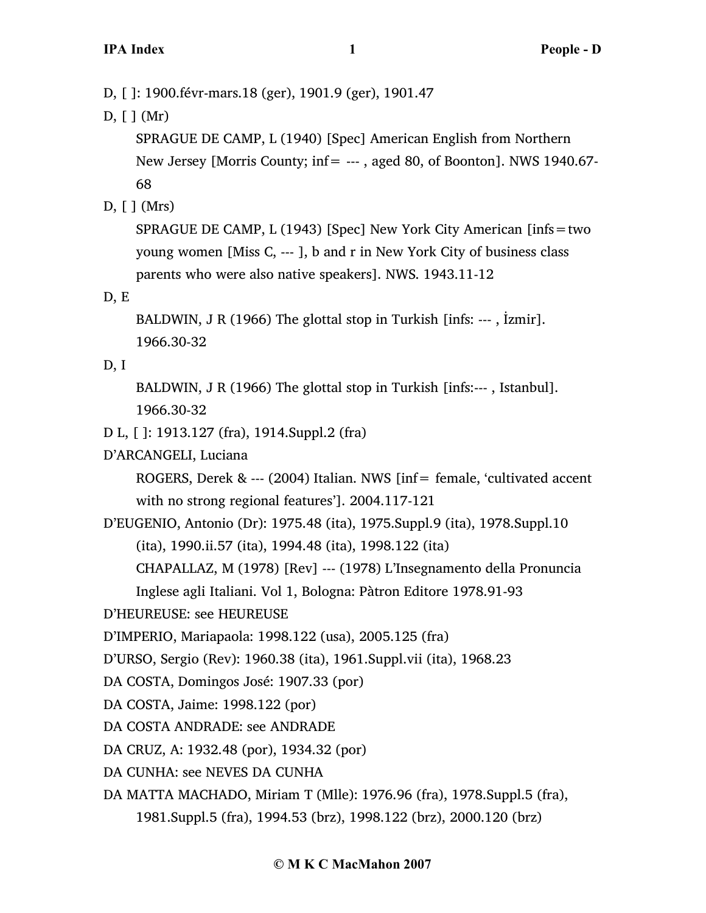D, [ ]: 1900.févr-mars.18 (ger), 1901.9 (ger), 1901.47

D, [ ] (Mr)

SPRAGUE DE CAMP, L (1940) [Spec] American English from Northern New Jersey [Morris County; inf= --- , aged 80, of Boonton]. NWS 1940.67- 68

D, [ ] (Mrs)

SPRAGUE DE CAMP, L (1943) [Spec] New York City American [infs=two young women [Miss C, --- ], b and r in New York City of business class parents who were also native speakers]. NWS. 1943.11-12

D, E

BALDWIN, J R (1966) The glottal stop in Turkish [infs: --- , İzmir]. 1966.30-32

## D, I

BALDWIN, J R (1966) The glottal stop in Turkish [infs:--- , Istanbul]. 1966.30-32

- D L, [ ]: 1913.127 (fra), 1914.Suppl.2 (fra)
- D'ARCANGELI, Luciana

ROGERS, Derek & --- (2004) Italian. NWS [inf= female, 'cultivated accent with no strong regional features']. 2004.117-121

D'EUGENIO, Antonio (Dr): 1975.48 (ita), 1975.Suppl.9 (ita), 1978.Suppl.10 (ita), 1990.ii.57 (ita), 1994.48 (ita), 1998.122 (ita)

CHAPALLAZ, M (1978) [Rev] --- (1978) L'Insegnamento della Pronuncia

Inglese agli Italiani. Vol 1, Bologna: Pàtron Editore 1978.91-93

D'HEUREUSE: see HEUREUSE

D'IMPERIO, Mariapaola: 1998.122 (usa), 2005.125 (fra)

D'URSO, Sergio (Rev): 1960.38 (ita), 1961.Suppl.vii (ita), 1968.23

- DA COSTA, Domingos José: 1907.33 (por)
- DA COSTA, Jaime: 1998.122 (por)
- DA COSTA ANDRADE: see ANDRADE

DA CRUZ, A: 1932.48 (por), 1934.32 (por)

DA CUNHA: see NEVES DA CUNHA

DA MATTA MACHADO, Miriam T (Mlle): 1976.96 (fra), 1978.Suppl.5 (fra), 1981.Suppl.5 (fra), 1994.53 (brz), 1998.122 (brz), 2000.120 (brz)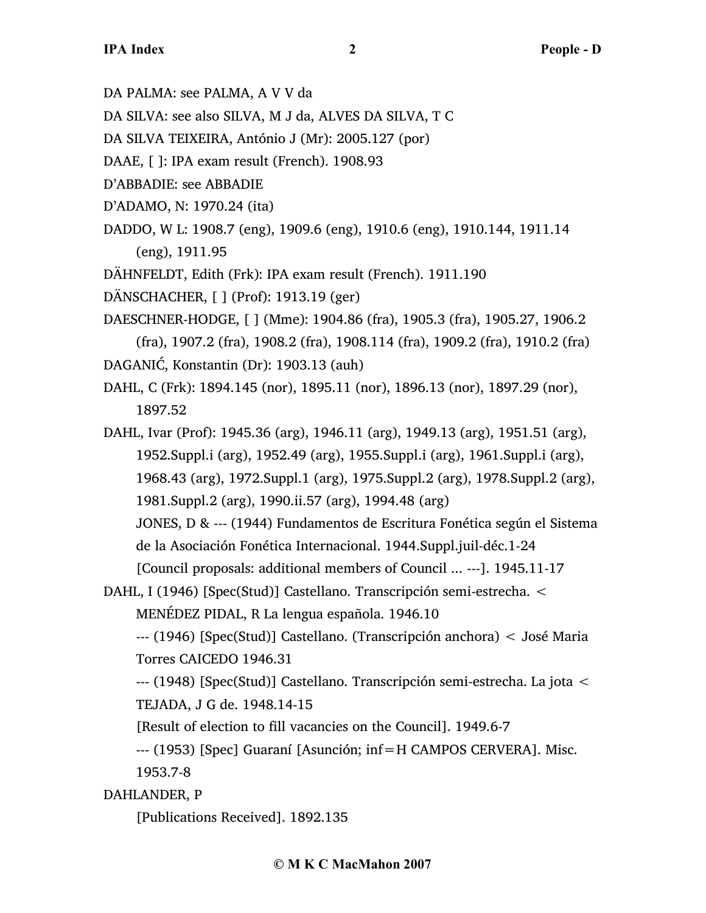DA PALMA: see PALMA, A V V da

DA SILVA: see also SILVA, M J da, ALVES DA SILVA, T C

- DA SILVA TEIXEIRA, António J (Mr): 2005.127 (por)
- DAAE, [ ]: IPA exam result (French). 1908.93

D'ABBADIE: see ABBADIE

- D'ADAMO, N: 1970.24 (ita)
- DADDO, W L: 1908.7 (eng), 1909.6 (eng), 1910.6 (eng), 1910.144, 1911.14 (eng), 1911.95

DÄHNFELDT, Edith (Frk): IPA exam result (French). 1911.190

- DÄNSCHACHER, [ ] (Prof): 1913.19 (ger)
- DAESCHNER-HODGE, [ ] (Mme): 1904.86 (fra), 1905.3 (fra), 1905.27, 1906.2 (fra), 1907.2 (fra), 1908.2 (fra), 1908.114 (fra), 1909.2 (fra), 1910.2 (fra) DAGANIĆ, Konstantin (Dr): 1903.13 (auh)
- DAHL, C (Frk): 1894.145 (nor), 1895.11 (nor), 1896.13 (nor), 1897.29 (nor), 1897.52
- DAHL, Ivar (Prof): 1945.36 (arg), 1946.11 (arg), 1949.13 (arg), 1951.51 (arg), 1952.Suppl.i (arg), 1952.49 (arg), 1955.Suppl.i (arg), 1961.Suppl.i (arg), 1968.43 (arg), 1972.Suppl.1 (arg), 1975.Suppl.2 (arg), 1978.Suppl.2 (arg), 1981.Suppl.2 (arg), 1990.ii.57 (arg), 1994.48 (arg) JONES, D & --- (1944) Fundamentos de Escritura Fonética según el Sistema de la Asociación Fonética Internacional. 1944.Suppl.juil-déc.1-24

[Council proposals: additional members of Council ... ---]. 1945.11-17

DAHL, I (1946) [Spec(Stud)] Castellano. Transcripción semi-estrecha. <

MENÉDEZ PIDAL, R La lengua española. 1946.10

--- (1946) [Spec(Stud)] Castellano. (Transcripción anchora) < José Maria Torres CAICEDO 1946.31

--- (1948) [Spec(Stud)] Castellano. Transcripción semi-estrecha. La jota < TEJADA, J G de. 1948.14-15

[Result of election to fill vacancies on the Council]. 1949.6-7

--- (1953) [Spec] Guaraní [Asunción; inf=H CAMPOS CERVERA]. Misc.

1953.7-8

DAHLANDER, P

[Publications Received]. 1892.135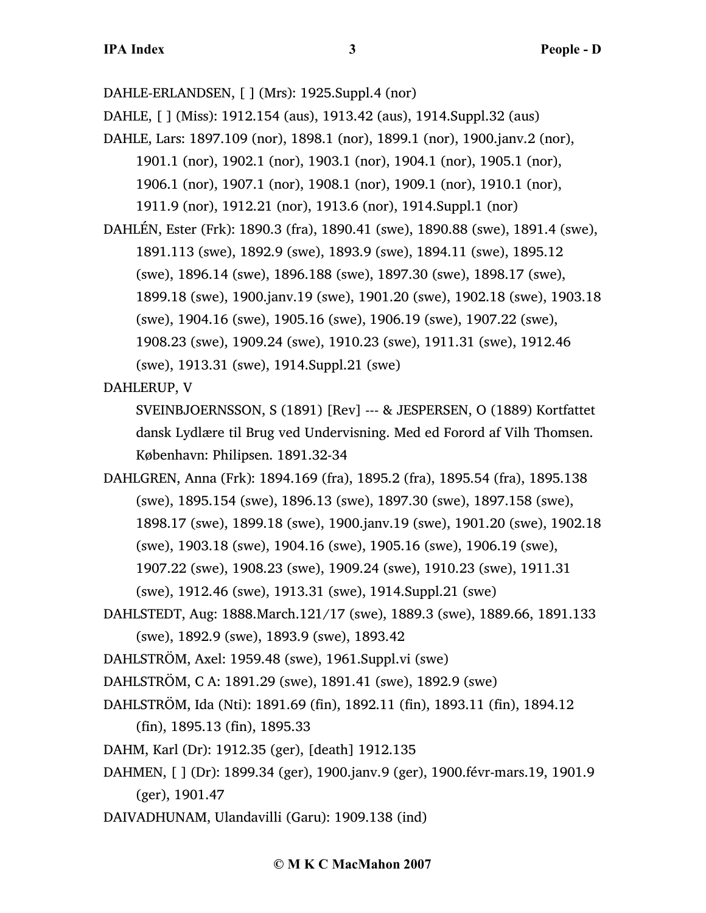DAHLE-ERLANDSEN, [ ] (Mrs): 1925.Suppl.4 (nor)

DAHLE, [ ] (Miss): 1912.154 (aus), 1913.42 (aus), 1914.Suppl.32 (aus)

DAHLE, Lars: 1897.109 (nor), 1898.1 (nor), 1899.1 (nor), 1900.janv.2 (nor),

1901.1 (nor), 1902.1 (nor), 1903.1 (nor), 1904.1 (nor), 1905.1 (nor),

1906.1 (nor), 1907.1 (nor), 1908.1 (nor), 1909.1 (nor), 1910.1 (nor),

1911.9 (nor), 1912.21 (nor), 1913.6 (nor), 1914.Suppl.1 (nor)

DAHLÉN, Ester (Frk): 1890.3 (fra), 1890.41 (swe), 1890.88 (swe), 1891.4 (swe), 1891.113 (swe), 1892.9 (swe), 1893.9 (swe), 1894.11 (swe), 1895.12 (swe), 1896.14 (swe), 1896.188 (swe), 1897.30 (swe), 1898.17 (swe), 1899.18 (swe), 1900.janv.19 (swe), 1901.20 (swe), 1902.18 (swe), 1903.18 (swe), 1904.16 (swe), 1905.16 (swe), 1906.19 (swe), 1907.22 (swe), 1908.23 (swe), 1909.24 (swe), 1910.23 (swe), 1911.31 (swe), 1912.46 (swe), 1913.31 (swe), 1914.Suppl.21 (swe)

DAHLERUP, V

SVEINBJOERNSSON, S (1891) [Rev] --- & JESPERSEN, O (1889) Kortfattet dansk Lydlære til Brug ved Undervisning. Med ed Forord af Vilh Thomsen. København: Philipsen. 1891.32-34

DAHLGREN, Anna (Frk): 1894.169 (fra), 1895.2 (fra), 1895.54 (fra), 1895.138 (swe), 1895.154 (swe), 1896.13 (swe), 1897.30 (swe), 1897.158 (swe), 1898.17 (swe), 1899.18 (swe), 1900.janv.19 (swe), 1901.20 (swe), 1902.18 (swe), 1903.18 (swe), 1904.16 (swe), 1905.16 (swe), 1906.19 (swe), 1907.22 (swe), 1908.23 (swe), 1909.24 (swe), 1910.23 (swe), 1911.31 (swe), 1912.46 (swe), 1913.31 (swe), 1914.Suppl.21 (swe)

DAHLSTEDT, Aug: 1888.March.121/17 (swe), 1889.3 (swe), 1889.66, 1891.133 (swe), 1892.9 (swe), 1893.9 (swe), 1893.42

DAHLSTRÖM, Axel: 1959.48 (swe), 1961.Suppl.vi (swe)

DAHLSTRÖM, C A: 1891.29 (swe), 1891.41 (swe), 1892.9 (swe)

DAHLSTRÖM, Ida (Nti): 1891.69 (fin), 1892.11 (fin), 1893.11 (fin), 1894.12

(fin), 1895.13 (fin), 1895.33

DAHM, Karl (Dr): 1912.35 (ger), [death] 1912.135

- DAHMEN, [ ] (Dr): 1899.34 (ger), 1900.janv.9 (ger), 1900.févr-mars.19, 1901.9 (ger), 1901.47
- DAIVADHUNAM, Ulandavilli (Garu): 1909.138 (ind)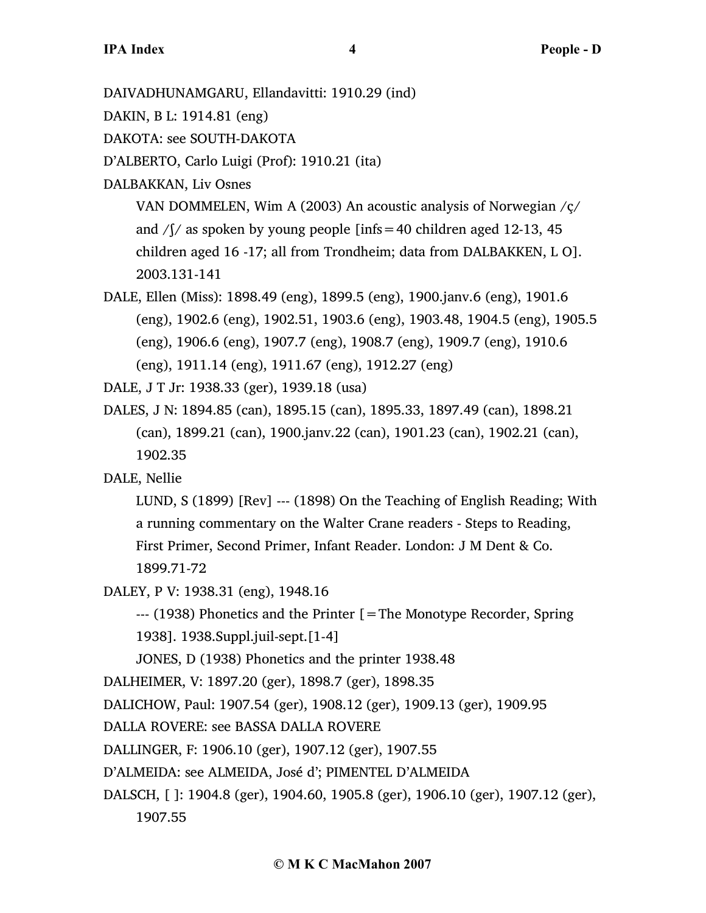DAIVADHUNAMGARU, Ellandavitti: 1910.29 (ind)

DAKIN, B L: 1914.81 (eng)

DAKOTA: see SOUTH-DAKOTA

D'ALBERTO, Carlo Luigi (Prof): 1910.21 (ita)

DALBAKKAN, Liv Osnes

VAN DOMMELEN, Wim A (2003) An acoustic analysis of Norwegian /ç/ and  $/$ [ $/$  as spoken by young people [infs = 40 children aged 12-13, 45 children aged 16 -17; all from Trondheim; data from DALBAKKEN, L O]. 2003.131-141

DALE, Ellen (Miss): 1898.49 (eng), 1899.5 (eng), 1900.janv.6 (eng), 1901.6 (eng), 1902.6 (eng), 1902.51, 1903.6 (eng), 1903.48, 1904.5 (eng), 1905.5 (eng), 1906.6 (eng), 1907.7 (eng), 1908.7 (eng), 1909.7 (eng), 1910.6 (eng), 1911.14 (eng), 1911.67 (eng), 1912.27 (eng)

DALE, J T Jr: 1938.33 (ger), 1939.18 (usa)

DALES, J N: 1894.85 (can), 1895.15 (can), 1895.33, 1897.49 (can), 1898.21 (can), 1899.21 (can), 1900.janv.22 (can), 1901.23 (can), 1902.21 (can), 1902.35

DALE, Nellie

LUND, S (1899) [Rev] --- (1898) On the Teaching of English Reading; With a running commentary on the Walter Crane readers - Steps to Reading, First Primer, Second Primer, Infant Reader. London: J M Dent & Co. 1899.71-72

DALEY, P V: 1938.31 (eng), 1948.16

--- (1938) Phonetics and the Printer [=The Monotype Recorder, Spring 1938]. 1938.Suppl.juil-sept.[1-4]

JONES, D (1938) Phonetics and the printer 1938.48

DALHEIMER, V: 1897.20 (ger), 1898.7 (ger), 1898.35

DALICHOW, Paul: 1907.54 (ger), 1908.12 (ger), 1909.13 (ger), 1909.95

DALLA ROVERE: see BASSA DALLA ROVERE

DALLINGER, F: 1906.10 (ger), 1907.12 (ger), 1907.55

D'ALMEIDA: see ALMEIDA, José d'; PIMENTEL D'ALMEIDA

DALSCH, [ ]: 1904.8 (ger), 1904.60, 1905.8 (ger), 1906.10 (ger), 1907.12 (ger), 1907.55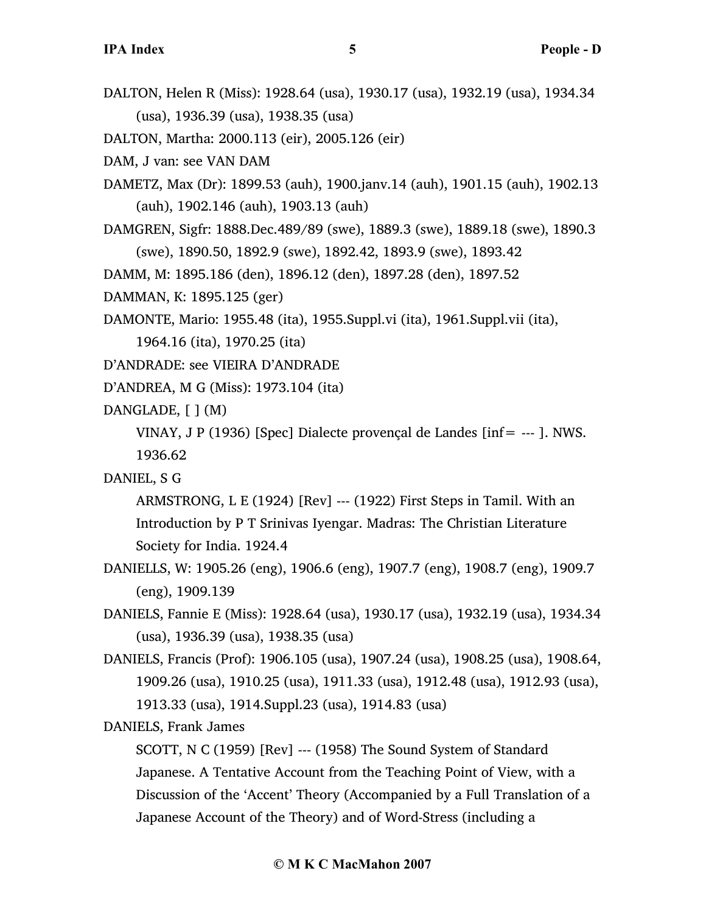DALTON, Helen R (Miss): 1928.64 (usa), 1930.17 (usa), 1932.19 (usa), 1934.34 (usa), 1936.39 (usa), 1938.35 (usa)

DALTON, Martha: 2000.113 (eir), 2005.126 (eir)

DAM, J van: see VAN DAM

- DAMETZ, Max (Dr): 1899.53 (auh), 1900.janv.14 (auh), 1901.15 (auh), 1902.13 (auh), 1902.146 (auh), 1903.13 (auh)
- DAMGREN, Sigfr: 1888.Dec.489/89 (swe), 1889.3 (swe), 1889.18 (swe), 1890.3 (swe), 1890.50, 1892.9 (swe), 1892.42, 1893.9 (swe), 1893.42

DAMM, M: 1895.186 (den), 1896.12 (den), 1897.28 (den), 1897.52

DAMMAN, K: 1895.125 (ger)

DAMONTE, Mario: 1955.48 (ita), 1955.Suppl.vi (ita), 1961.Suppl.vii (ita),

1964.16 (ita), 1970.25 (ita)

D'ANDRADE: see VIEIRA D'ANDRADE

D'ANDREA, M G (Miss): 1973.104 (ita)

DANGLADE, [ ] (M)

VINAY, J P (1936) [Spec] Dialecte provençal de Landes [inf= --- ]. NWS. 1936.62

### DANIEL, S G

ARMSTRONG, L E (1924) [Rev] --- (1922) First Steps in Tamil. With an Introduction by P T Srinivas Iyengar. Madras: The Christian Literature Society for India. 1924.4

- DANIELLS, W: 1905.26 (eng), 1906.6 (eng), 1907.7 (eng), 1908.7 (eng), 1909.7 (eng), 1909.139
- DANIELS, Fannie E (Miss): 1928.64 (usa), 1930.17 (usa), 1932.19 (usa), 1934.34 (usa), 1936.39 (usa), 1938.35 (usa)
- DANIELS, Francis (Prof): 1906.105 (usa), 1907.24 (usa), 1908.25 (usa), 1908.64, 1909.26 (usa), 1910.25 (usa), 1911.33 (usa), 1912.48 (usa), 1912.93 (usa), 1913.33 (usa), 1914.Suppl.23 (usa), 1914.83 (usa)

DANIELS, Frank James

SCOTT, N C (1959) [Rev] --- (1958) The Sound System of Standard Japanese. A Tentative Account from the Teaching Point of View, with a Discussion of the 'Accent' Theory (Accompanied by a Full Translation of a Japanese Account of the Theory) and of Word-Stress (including a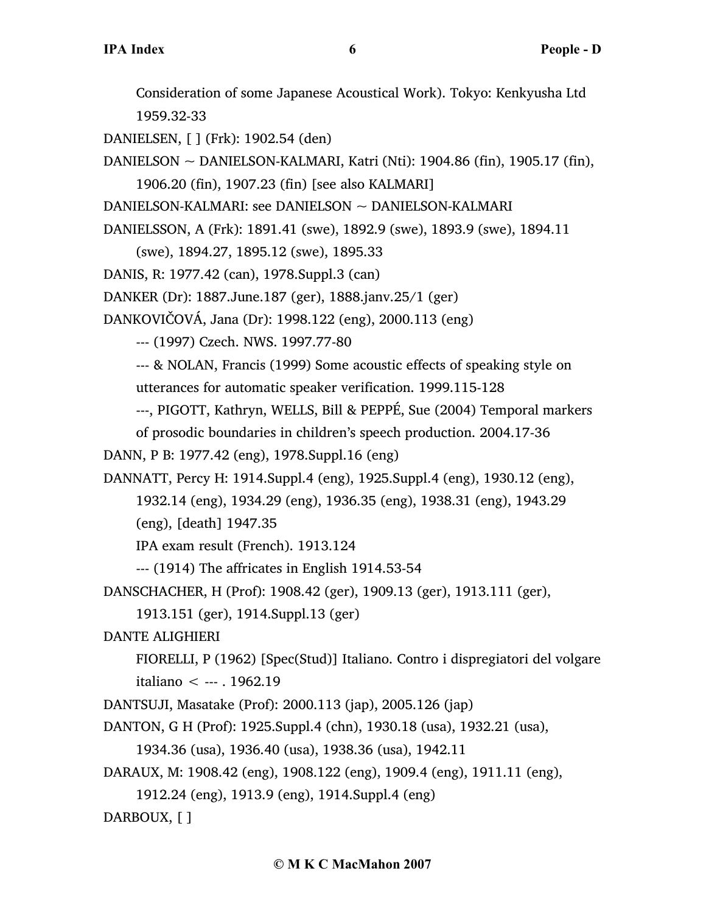Consideration of some Japanese Acoustical Work). Tokyo: Kenkyusha Ltd 1959.32-33

DANIELSEN, [ ] (Frk): 1902.54 (den)

DANIELSON ~ DANIELSON-KALMARI, Katri (Nti): 1904.86 (fin), 1905.17 (fin),

1906.20 (fin), 1907.23 (fin) [see also KALMARI]

DANIELSON-KALMARI: see DANIELSON ~ DANIELSON-KALMARI

DANIELSSON, A (Frk): 1891.41 (swe), 1892.9 (swe), 1893.9 (swe), 1894.11

(swe), 1894.27, 1895.12 (swe), 1895.33

DANIS, R: 1977.42 (can), 1978.Suppl.3 (can)

DANKER (Dr): 1887.June.187 (ger), 1888.janv.25/1 (ger)

DANKOVIČOVÁ, Jana (Dr): 1998.122 (eng), 2000.113 (eng)

--- (1997) Czech. NWS. 1997.77-80

--- & NOLAN, Francis (1999) Some acoustic effects of speaking style on utterances for automatic speaker verification. 1999.115-128

---, PIGOTT, Kathryn, WELLS, Bill & PEPPÉ, Sue (2004) Temporal markers

of prosodic boundaries in children's speech production. 2004.17-36

DANN, P B: 1977.42 (eng), 1978.Suppl.16 (eng)

DANNATT, Percy H: 1914.Suppl.4 (eng), 1925.Suppl.4 (eng), 1930.12 (eng),

1932.14 (eng), 1934.29 (eng), 1936.35 (eng), 1938.31 (eng), 1943.29 (eng), [death] 1947.35

IPA exam result (French). 1913.124

--- (1914) The affricates in English 1914.53-54

DANSCHACHER, H (Prof): 1908.42 (ger), 1909.13 (ger), 1913.111 (ger),

1913.151 (ger), 1914.Suppl.13 (ger)

DANTE ALIGHIERI

FIORELLI, P (1962) [Spec(Stud)] Italiano. Contro i dispregiatori del volgare italiano < --- . 1962.19

DANTSUJI, Masatake (Prof): 2000.113 (jap), 2005.126 (jap)

DANTON, G H (Prof): 1925.Suppl.4 (chn), 1930.18 (usa), 1932.21 (usa),

1934.36 (usa), 1936.40 (usa), 1938.36 (usa), 1942.11

DARAUX, M: 1908.42 (eng), 1908.122 (eng), 1909.4 (eng), 1911.11 (eng),

1912.24 (eng), 1913.9 (eng), 1914.Suppl.4 (eng)

DARBOUX, [ ]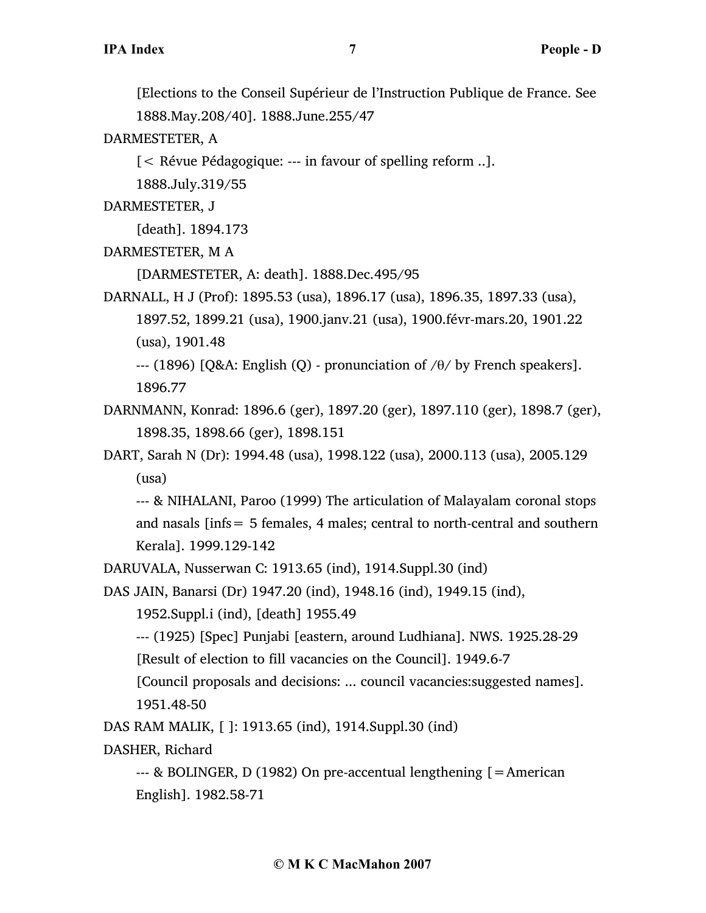[Elections to the Conseil Supérieur de l'Instruction Publique de France. See 1888.May.208/40]. 1888.June.255/47

DARMESTETER, A

[< Révue Pédagogique: --- in favour of spelling reform ..].

1888.July.319/55

DARMESTETER, J

[death]. 1894.173

DARMESTETER, M A

[DARMESTETER, A: death]. 1888.Dec.495/95

DARNALL, H J (Prof): 1895.53 (usa), 1896.17 (usa), 1896.35, 1897.33 (usa), 1897.52, 1899.21 (usa), 1900.janv.21 (usa), 1900.févr-mars.20, 1901.22 (usa), 1901.48

--- (1896) [Q&A: English (Q) - pronunciation of  $/\theta$ / by French speakers]. 1896.77

DARNMANN, Konrad: 1896.6 (ger), 1897.20 (ger), 1897.110 (ger), 1898.7 (ger), 1898.35, 1898.66 (ger), 1898.151

DART, Sarah N (Dr): 1994.48 (usa), 1998.122 (usa), 2000.113 (usa), 2005.129 (usa)

--- & NIHALANI, Paroo (1999) The articulation of Malayalam coronal stops and nasals [infs= 5 females, 4 males; central to north-central and southern Kerala]. 1999.129-142

DARUVALA, Nusserwan C: 1913.65 (ind), 1914.Suppl.30 (ind)

DAS JAIN, Banarsi (Dr) 1947.20 (ind), 1948.16 (ind), 1949.15 (ind),

1952.Suppl.i (ind), [death] 1955.49

--- (1925) [Spec] Punjabi [eastern, around Ludhiana]. NWS. 1925.28-29

[Result of election to fill vacancies on the Council]. 1949.6-7

[Council proposals and decisions: ... council vacancies:suggested names]. 1951.48-50

DAS RAM MALIK, [ ]: 1913.65 (ind), 1914.Suppl.30 (ind)

DASHER, Richard

--- & BOLINGER, D (1982) On pre-accentual lengthening [=American English]. 1982.58-71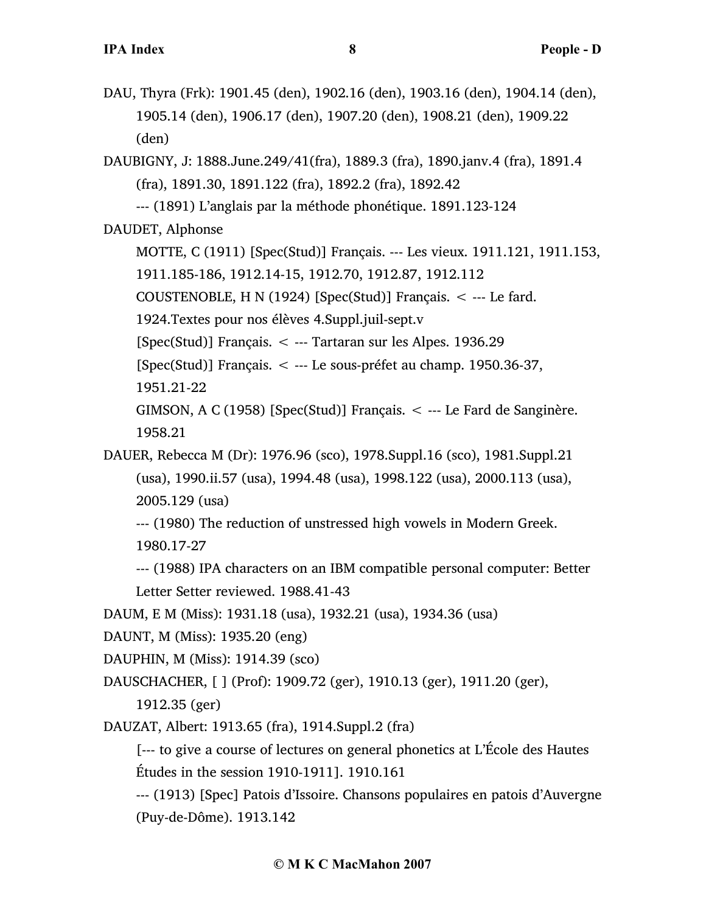- DAU, Thyra (Frk): 1901.45 (den), 1902.16 (den), 1903.16 (den), 1904.14 (den), 1905.14 (den), 1906.17 (den), 1907.20 (den), 1908.21 (den), 1909.22 (den)
- DAUBIGNY, J: 1888.June.249/41(fra), 1889.3 (fra), 1890.janv.4 (fra), 1891.4 (fra), 1891.30, 1891.122 (fra), 1892.2 (fra), 1892.42

--- (1891) L'anglais par la méthode phonétique. 1891.123-124

DAUDET, Alphonse

MOTTE, C (1911) [Spec(Stud)] Français. --- Les vieux. 1911.121, 1911.153,

1911.185-186, 1912.14-15, 1912.70, 1912.87, 1912.112

COUSTENOBLE, H N (1924) [Spec(Stud)] Français. < --- Le fard.

1924.Textes pour nos élèves 4.Suppl.juil-sept.v

 $[Spec(Stud)]$  Français.  $\lt$  --- Tartaran sur les Alpes. 1936.29

[Spec(Stud)] Français. < --- Le sous-préfet au champ. 1950.36-37,

1951.21-22

GIMSON, A C (1958) [Spec(Stud)] Français.  $\lt$  --- Le Fard de Sanginère. 1958.21

DAUER, Rebecca M (Dr): 1976.96 (sco), 1978.Suppl.16 (sco), 1981.Suppl.21 (usa), 1990.ii.57 (usa), 1994.48 (usa), 1998.122 (usa), 2000.113 (usa), 2005.129 (usa)

--- (1980) The reduction of unstressed high vowels in Modern Greek. 1980.17-27

--- (1988) IPA characters on an IBM compatible personal computer: Better Letter Setter reviewed. 1988.41-43

DAUM, E M (Miss): 1931.18 (usa), 1932.21 (usa), 1934.36 (usa)

DAUNT, M (Miss): 1935.20 (eng)

DAUPHIN, M (Miss): 1914.39 (sco)

DAUSCHACHER, [ ] (Prof): 1909.72 (ger), 1910.13 (ger), 1911.20 (ger),

1912.35 (ger)

DAUZAT, Albert: 1913.65 (fra), 1914.Suppl.2 (fra)

[--- to give a course of lectures on general phonetics at L'École des Hautes Études in the session 1910-1911]. 1910.161

--- (1913) [Spec] Patois d'Issoire. Chansons populaires en patois d'Auvergne (Puy-de-Dôme). 1913.142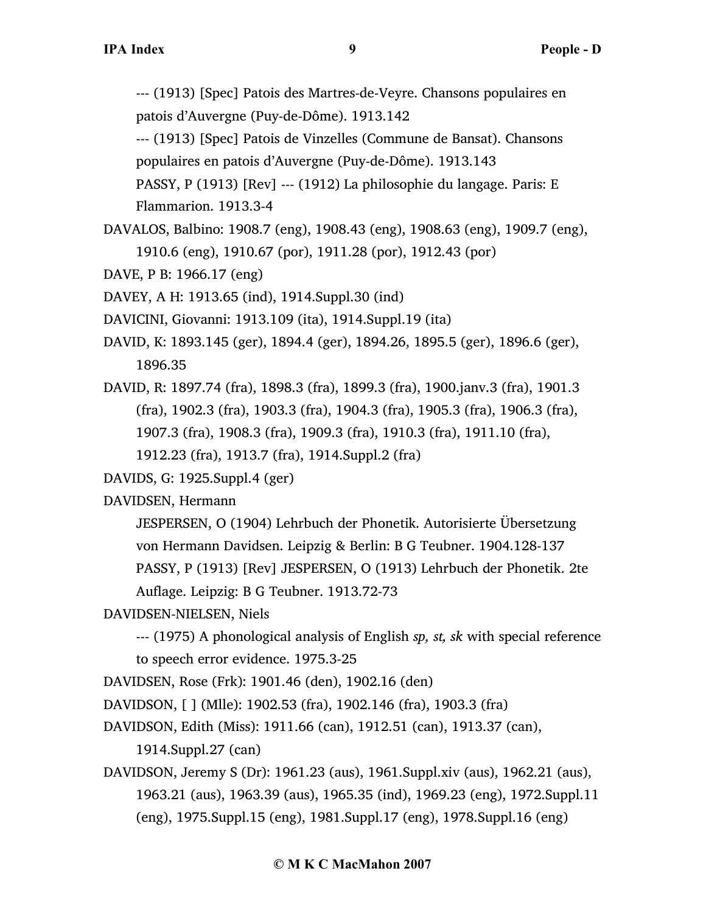--- (1913) [Spec] Patois des Martres-de-Veyre. Chansons populaires en patois d'Auvergne (Puy-de-Dôme). 1913.142

--- (1913) [Spec] Patois de Vinzelles (Commune de Bansat). Chansons populaires en patois d'Auvergne (Puy-de-Dôme). 1913.143

PASSY, P (1913) [Rev] --- (1912) La philosophie du langage. Paris: E Flammarion. 1913.3-4

DAVALOS, Balbino: 1908.7 (eng), 1908.43 (eng), 1908.63 (eng), 1909.7 (eng), 1910.6 (eng), 1910.67 (por), 1911.28 (por), 1912.43 (por)

DAVE, P B: 1966.17 (eng)

DAVEY, A H: 1913.65 (ind), 1914.Suppl.30 (ind)

DAVICINI, Giovanni: 1913.109 (ita), 1914.Suppl.19 (ita)

DAVID, K: 1893.145 (ger), 1894.4 (ger), 1894.26, 1895.5 (ger), 1896.6 (ger), 1896.35

DAVID, R: 1897.74 (fra), 1898.3 (fra), 1899.3 (fra), 1900.janv.3 (fra), 1901.3 (fra), 1902.3 (fra), 1903.3 (fra), 1904.3 (fra), 1905.3 (fra), 1906.3 (fra), 1907.3 (fra), 1908.3 (fra), 1909.3 (fra), 1910.3 (fra), 1911.10 (fra),

1912.23 (fra), 1913.7 (fra), 1914.Suppl.2 (fra)

DAVIDS, G: 1925.Suppl.4 (ger)

DAVIDSEN, Hermann

JESPERSEN, O (1904) Lehrbuch der Phonetik. Autorisierte Übersetzung von Hermann Davidsen. Leipzig & Berlin: B G Teubner. 1904.128-137 PASSY, P (1913) [Rev] JESPERSEN, O (1913) Lehrbuch der Phonetik. 2te Auflage. Leipzig: B G Teubner. 1913.72-73

DAVIDSEN-NIELSEN, Niels

--- (1975) A phonological analysis of English *sp, st, sk* with special reference to speech error evidence. 1975.3-25

DAVIDSEN, Rose (Frk): 1901.46 (den), 1902.16 (den)

DAVIDSON, [ ] (Mlle): 1902.53 (fra), 1902.146 (fra), 1903.3 (fra)

DAVIDSON, Edith (Miss): 1911.66 (can), 1912.51 (can), 1913.37 (can),

1914.Suppl.27 (can)

DAVIDSON, Jeremy S (Dr): 1961.23 (aus), 1961.Suppl.xiv (aus), 1962.21 (aus), 1963.21 (aus), 1963.39 (aus), 1965.35 (ind), 1969.23 (eng), 1972.Suppl.11 (eng), 1975.Suppl.15 (eng), 1981.Suppl.17 (eng), 1978.Suppl.16 (eng)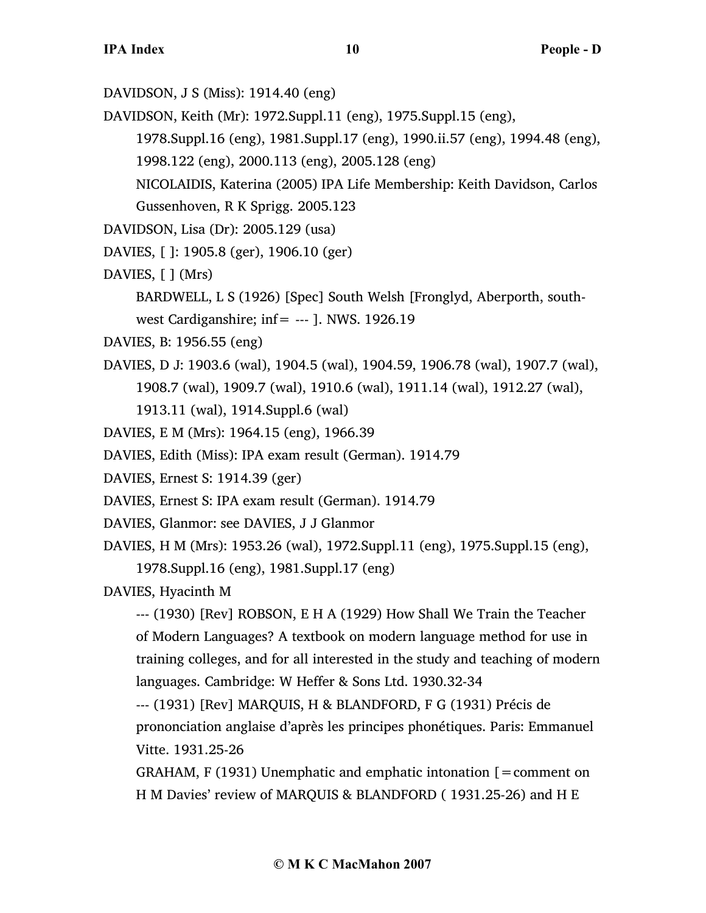- DAVIDSON, J S (Miss): 1914.40 (eng)
- DAVIDSON, Keith (Mr): 1972.Suppl.11 (eng), 1975.Suppl.15 (eng),
	- 1978.Suppl.16 (eng), 1981.Suppl.17 (eng), 1990.ii.57 (eng), 1994.48 (eng),
	- 1998.122 (eng), 2000.113 (eng), 2005.128 (eng)
	- NICOLAIDIS, Katerina (2005) IPA Life Membership: Keith Davidson, Carlos Gussenhoven, R K Sprigg. 2005.123
- DAVIDSON, Lisa (Dr): 2005.129 (usa)
- DAVIES, [ ]: 1905.8 (ger), 1906.10 (ger)
- DAVIES,  $\lceil \cdot \rceil$  (Mrs)
	- BARDWELL, L S (1926) [Spec] South Welsh [Fronglyd, Aberporth, south-
	- west Cardiganshire; inf=  $---$  ]. NWS. 1926.19
- DAVIES, B: 1956.55 (eng)
- DAVIES, D J: 1903.6 (wal), 1904.5 (wal), 1904.59, 1906.78 (wal), 1907.7 (wal), 1908.7 (wal), 1909.7 (wal), 1910.6 (wal), 1911.14 (wal), 1912.27 (wal),
	- 1913.11 (wal), 1914.Suppl.6 (wal)
- DAVIES, E M (Mrs): 1964.15 (eng), 1966.39
- DAVIES, Edith (Miss): IPA exam result (German). 1914.79
- DAVIES, Ernest S: 1914.39 (ger)
- DAVIES, Ernest S: IPA exam result (German). 1914.79
- DAVIES, Glanmor: see DAVIES, J J Glanmor
- DAVIES, H M (Mrs): 1953.26 (wal), 1972.Suppl.11 (eng), 1975.Suppl.15 (eng), 1978.Suppl.16 (eng), 1981.Suppl.17 (eng)
- DAVIES, Hyacinth M
	- --- (1930) [Rev] ROBSON, E H A (1929) How Shall We Train the Teacher of Modern Languages? A textbook on modern language method for use in training colleges, and for all interested in the study and teaching of modern languages. Cambridge: W Heffer & Sons Ltd. 1930.32-34
	- --- (1931) [Rev] MARQUIS, H & BLANDFORD, F G (1931) Précis de prononciation anglaise d'après les principes phonétiques. Paris: Emmanuel Vitte. 1931.25-26
	- GRAHAM, F (1931) Unemphatic and emphatic intonation  $[=$  comment on H M Davies' review of MARQUIS & BLANDFORD ( 1931.25-26) and H E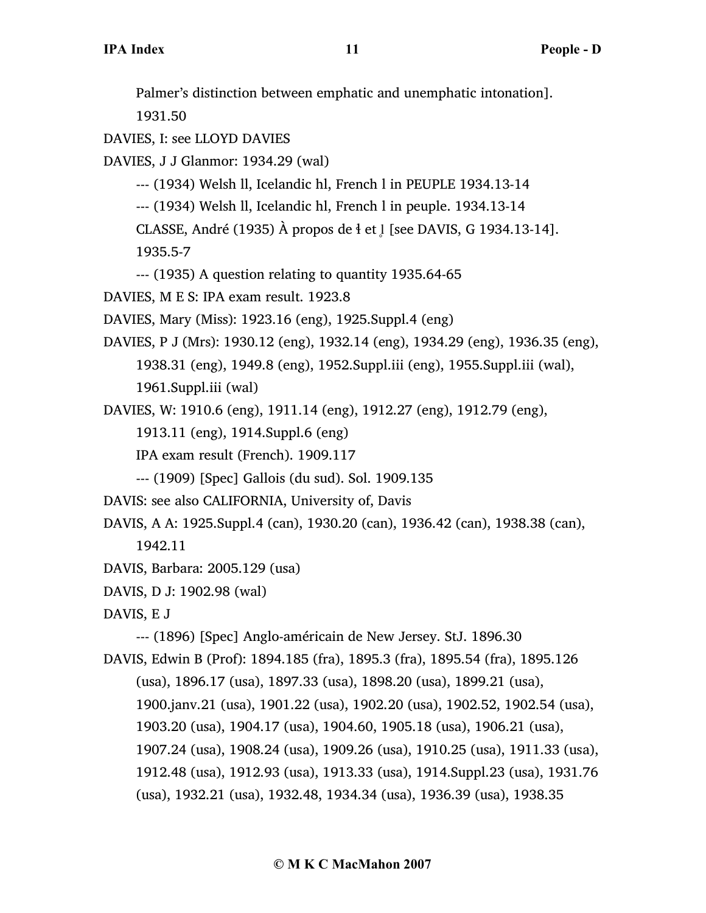Palmer's distinction between emphatic and unemphatic intonation]. 1931.50 DAVIES, I: see LLOYD DAVIES DAVIES, J J Glanmor: 1934.29 (wal) --- (1934) Welsh ll, Icelandic hl, French l in PEUPLE 1934.13-14 --- (1934) Welsh ll, Icelandic hl, French l in peuple. 1934.13-14 CLASSE, André (1935) À propos de  $\frac{1}{2}$  et l [see DAVIS, G 1934.13-14]. 1935.5-7 --- (1935) A question relating to quantity 1935.64-65 DAVIES, M E S: IPA exam result. 1923.8 DAVIES, Mary (Miss): 1923.16 (eng), 1925.Suppl.4 (eng) DAVIES, P J (Mrs): 1930.12 (eng), 1932.14 (eng), 1934.29 (eng), 1936.35 (eng), 1938.31 (eng), 1949.8 (eng), 1952.Suppl.iii (eng), 1955.Suppl.iii (wal), 1961.Suppl.iii (wal) DAVIES, W: 1910.6 (eng), 1911.14 (eng), 1912.27 (eng), 1912.79 (eng), 1913.11 (eng), 1914.Suppl.6 (eng) IPA exam result (French). 1909.117 --- (1909) [Spec] Gallois (du sud). Sol. 1909.135 DAVIS: see also CALIFORNIA, University of, Davis DAVIS, A A: 1925.Suppl.4 (can), 1930.20 (can), 1936.42 (can), 1938.38 (can), 1942.11 DAVIS, Barbara: 2005.129 (usa) DAVIS, D J: 1902.98 (wal) DAVIS, E J --- (1896) [Spec] Anglo-américain de New Jersey. StJ. 1896.30 DAVIS, Edwin B (Prof): 1894.185 (fra), 1895.3 (fra), 1895.54 (fra), 1895.126 (usa), 1896.17 (usa), 1897.33 (usa), 1898.20 (usa), 1899.21 (usa), 1900.janv.21 (usa), 1901.22 (usa), 1902.20 (usa), 1902.52, 1902.54 (usa), 1903.20 (usa), 1904.17 (usa), 1904.60, 1905.18 (usa), 1906.21 (usa), 1907.24 (usa), 1908.24 (usa), 1909.26 (usa), 1910.25 (usa), 1911.33 (usa), 1912.48 (usa), 1912.93 (usa), 1913.33 (usa), 1914.Suppl.23 (usa), 1931.76 (usa), 1932.21 (usa), 1932.48, 1934.34 (usa), 1936.39 (usa), 1938.35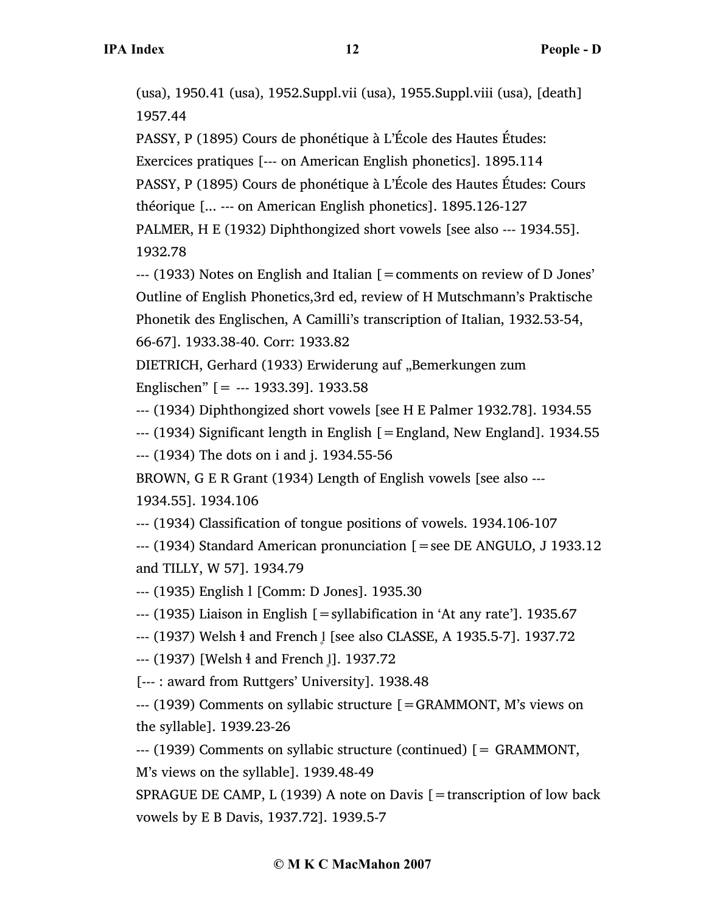(usa), 1950.41 (usa), 1952.Suppl.vii (usa), 1955.Suppl.viii (usa), [death] 1957.44

PASSY, P (1895) Cours de phonétique à L'École des Hautes Études: Exercices pratiques [--- on American English phonetics]. 1895.114 PASSY, P (1895) Cours de phonétique à L'École des Hautes Études: Cours théorique [... --- on American English phonetics]. 1895.126-127 PALMER, H E (1932) Diphthongized short vowels [see also --- 1934.55]. 1932.78

--- (1933) Notes on English and Italian [=comments on review of D Jones' Outline of English Phonetics,3rd ed, review of H Mutschmann's Praktische Phonetik des Englischen, A Camilli's transcription of Italian, 1932.53-54, 66-67]. 1933.38-40. Corr: 1933.82

DIETRICH, Gerhard (1933) Erwiderung auf "Bemerkungen zum Englischen" [= --- 1933.39]. 1933.58

--- (1934) Diphthongized short vowels [see H E Palmer 1932.78]. 1934.55

 $-$ -- (1934) Significant length in English  $[=$  England, New England]. 1934.55 --- (1934) The dots on i and j. 1934.55-56

BROWN, G E R Grant (1934) Length of English vowels [see also ---

1934.55]. 1934.106

--- (1934) Classification of tongue positions of vowels. 1934.106-107

--- (1934) Standard American pronunciation [=see DE ANGULO, J 1933.12 and TILLY, W 57]. 1934.79

--- (1935) English l [Comm: D Jones]. 1935.30

--- (1935) Liaison in English [=syllabification in 'At any rate']. 1935.67

--- (1937) Welsh <sup>§</sup> and French l [see also CLASSE, A 1935.5-7]. 1937.72

--- (1937) [Welsh <sup>1</sup> and French 1]. 1937.72

[--- : award from Ruttgers' University]. 1938.48

--- (1939) Comments on syllabic structure [=GRAMMONT, M's views on the syllable]. 1939.23-26

--- (1939) Comments on syllabic structure (continued) [= GRAMMONT, M's views on the syllable]. 1939.48-49

SPRAGUE DE CAMP, L (1939) A note on Davis  $[$  = transcription of low back vowels by E B Davis, 1937.72]. 1939.5-7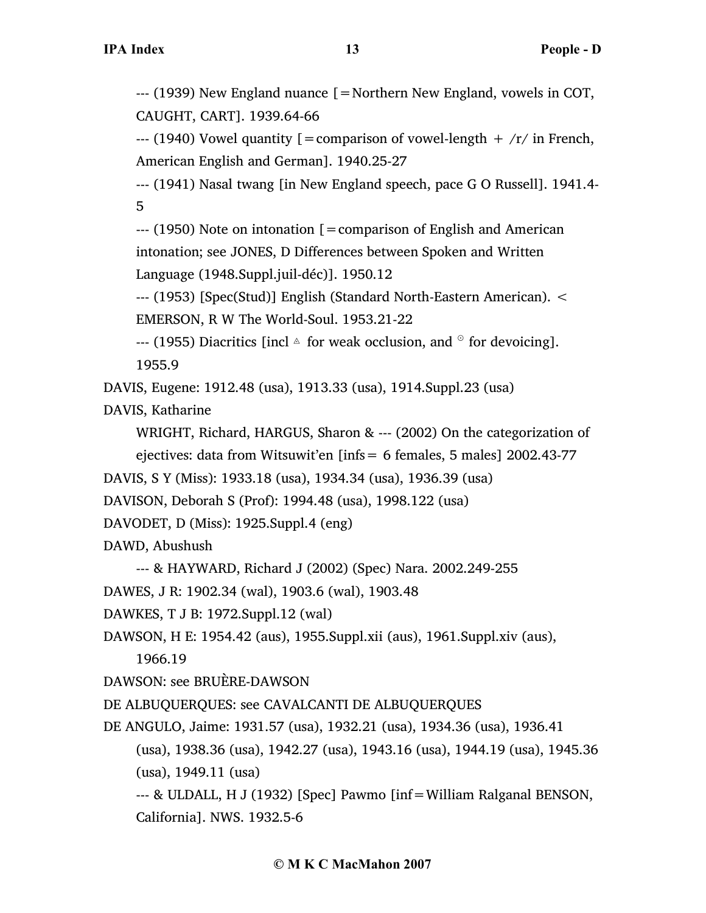--- (1939) New England nuance [=Northern New England, vowels in COT, CAUGHT, CART]. 1939.64-66

--- (1940) Vowel quantity  $[ =$  comparison of vowel-length  $+$  /r/ in French, American English and German]. 1940.25-27

--- (1941) Nasal twang [in New England speech, pace G O Russell]. 1941.4- 5

 $-$ --- (1950) Note on intonation  $\mathfrak{g}$  = comparison of English and American intonation; see JONES, D Differences between Spoken and Written Language (1948.Suppl.juil-déc)]. 1950.12

--- (1953) [Spec(Stud)] English (Standard North-Eastern American). < EMERSON, R W The World-Soul. 1953.21-22

--- (1955) Diacritics [incl  $\triangle$  for weak occlusion, and  $\degree$  for devoicing]. 1955.9

DAVIS, Eugene: 1912.48 (usa), 1913.33 (usa), 1914.Suppl.23 (usa)

DAVIS, Katharine

WRIGHT, Richard, HARGUS, Sharon & --- (2002) On the categorization of

ejectives: data from Witsuwit'en [infs= 6 females, 5 males] 2002.43-77

DAVIS, S Y (Miss): 1933.18 (usa), 1934.34 (usa), 1936.39 (usa)

DAVISON, Deborah S (Prof): 1994.48 (usa), 1998.122 (usa)

DAVODET, D (Miss): 1925.Suppl.4 (eng)

DAWD, Abushush

--- & HAYWARD, Richard J (2002) (Spec) Nara. 2002.249-255

DAWES, J R: 1902.34 (wal), 1903.6 (wal), 1903.48

DAWKES, T J B: 1972.Suppl.12 (wal)

DAWSON, H E: 1954.42 (aus), 1955.Suppl.xii (aus), 1961.Suppl.xiv (aus),

1966.19

DAWSON: see BRUÈRE-DAWSON

DE ALBUQUERQUES: see CAVALCANTI DE ALBUQUERQUES

DE ANGULO, Jaime: 1931.57 (usa), 1932.21 (usa), 1934.36 (usa), 1936.41 (usa), 1938.36 (usa), 1942.27 (usa), 1943.16 (usa), 1944.19 (usa), 1945.36 (usa), 1949.11 (usa) --- & ULDALL, H J (1932) [Spec] Pawmo [inf=William Ralganal BENSON,

California]. NWS. 1932.5-6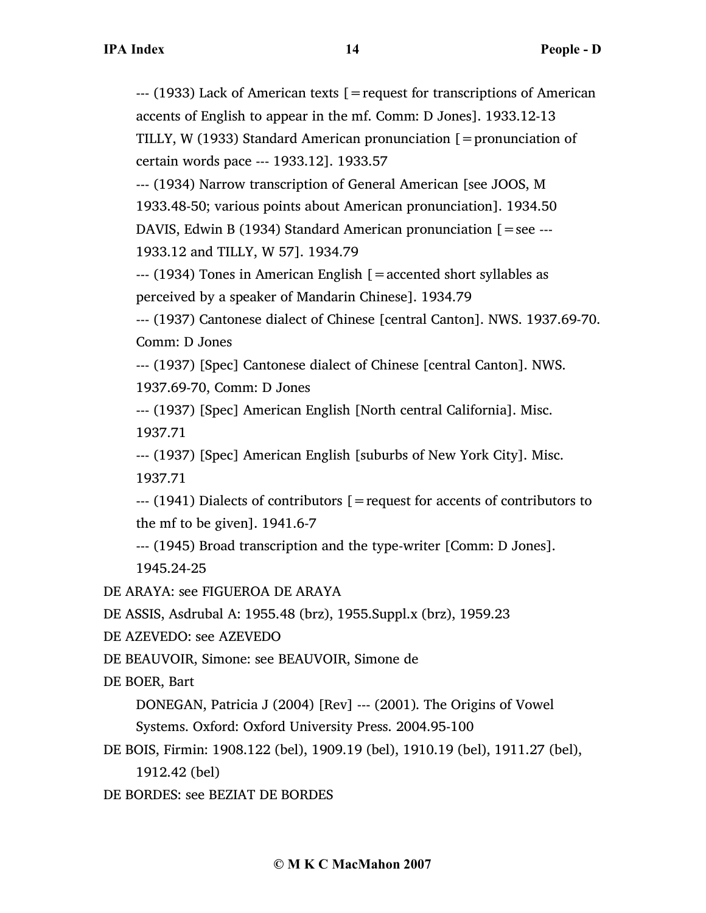--- (1933) Lack of American texts [=request for transcriptions of American accents of English to appear in the mf. Comm: D Jones]. 1933.12-13 TILLY, W (1933) Standard American pronunciation  $[$  = pronunciation of certain words pace --- 1933.12]. 1933.57

--- (1934) Narrow transcription of General American [see JOOS, M 1933.48-50; various points about American pronunciation]. 1934.50 DAVIS, Edwin B (1934) Standard American pronunciation  $\mathfrak{[}=$  see ---1933.12 and TILLY, W 57]. 1934.79

 $-$ --- (1934) Tones in American English  $\mathfrak{g}$  = accented short syllables as perceived by a speaker of Mandarin Chinese]. 1934.79

--- (1937) Cantonese dialect of Chinese [central Canton]. NWS. 1937.69-70. Comm: D Jones

--- (1937) [Spec] Cantonese dialect of Chinese [central Canton]. NWS.

1937.69-70, Comm: D Jones

--- (1937) [Spec] American English [North central California]. Misc. 1937.71

--- (1937) [Spec] American English [suburbs of New York City]. Misc. 1937.71

--- (1941) Dialects of contributors [=request for accents of contributors to the mf to be given]. 1941.6-7

--- (1945) Broad transcription and the type-writer [Comm: D Jones]. 1945.24-25

DE ARAYA: see FIGUEROA DE ARAYA

DE ASSIS, Asdrubal A: 1955.48 (brz), 1955.Suppl.x (brz), 1959.23

DE AZEVEDO: see AZEVEDO

DE BEAUVOIR, Simone: see BEAUVOIR, Simone de

DE BOER, Bart

DONEGAN, Patricia J (2004) [Rev] --- (2001). The Origins of Vowel

Systems. Oxford: Oxford University Press. 2004.95-100

DE BOIS, Firmin: 1908.122 (bel), 1909.19 (bel), 1910.19 (bel), 1911.27 (bel), 1912.42 (bel)

DE BORDES: see BEZIAT DE BORDES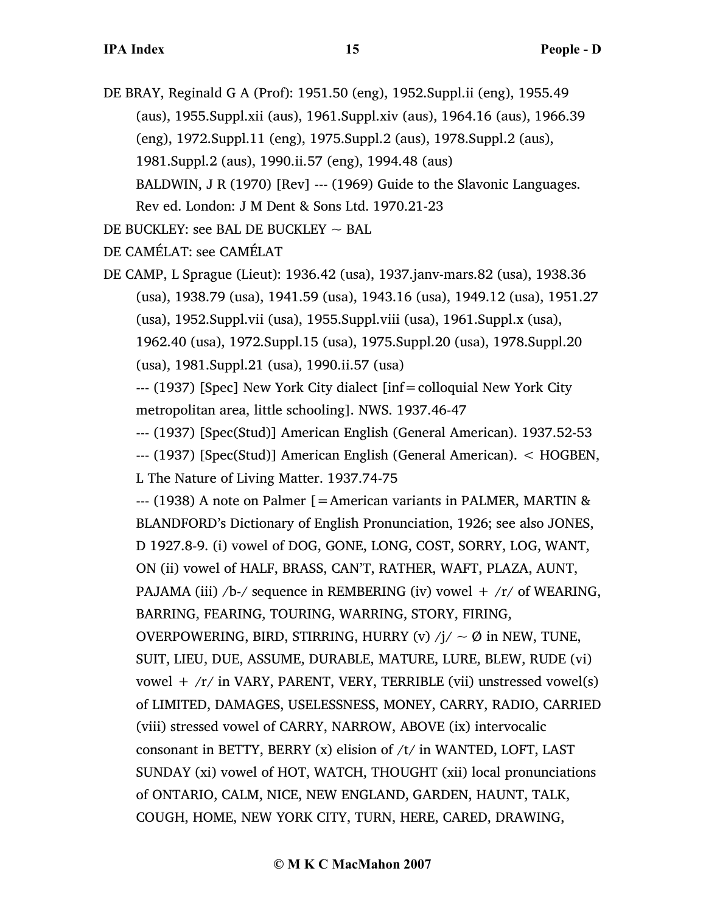DE BRAY, Reginald G A (Prof): 1951.50 (eng), 1952.Suppl.ii (eng), 1955.49 (aus), 1955.Suppl.xii (aus), 1961.Suppl.xiv (aus), 1964.16 (aus), 1966.39 (eng), 1972.Suppl.11 (eng), 1975.Suppl.2 (aus), 1978.Suppl.2 (aus), 1981.Suppl.2 (aus), 1990.ii.57 (eng), 1994.48 (aus) BALDWIN, J R (1970) [Rev] --- (1969) Guide to the Slavonic Languages. Rev ed. London: J M Dent & Sons Ltd. 1970.21-23

DE BUCKLEY: see BAL DE BUCKLEY  $\sim$  BAL

DE CAMÉLAT: see CAMÉLAT

DE CAMP, L Sprague (Lieut): 1936.42 (usa), 1937.janv-mars.82 (usa), 1938.36 (usa), 1938.79 (usa), 1941.59 (usa), 1943.16 (usa), 1949.12 (usa), 1951.27 (usa), 1952.Suppl.vii (usa), 1955.Suppl.viii (usa), 1961.Suppl.x (usa), 1962.40 (usa), 1972.Suppl.15 (usa), 1975.Suppl.20 (usa), 1978.Suppl.20 (usa), 1981.Suppl.21 (usa), 1990.ii.57 (usa)

--- (1937) [Spec] New York City dialect [inf=colloquial New York City metropolitan area, little schooling]. NWS. 1937.46-47

--- (1937) [Spec(Stud)] American English (General American). 1937.52-53 --- (1937) [Spec(Stud)] American English (General American). < HOGBEN, L The Nature of Living Matter. 1937.74-75

--- (1938) A note on Palmer [=American variants in PALMER, MARTIN & BLANDFORD's Dictionary of English Pronunciation, 1926; see also JONES, D 1927.8-9. (i) vowel of DOG, GONE, LONG, COST, SORRY, LOG, WANT, ON (ii) vowel of HALF, BRASS, CAN'T, RATHER, WAFT, PLAZA, AUNT, PAJAMA (iii) /b-/ sequence in REMBERING (iv) vowel  $+$  /r/ of WEARING, BARRING, FEARING, TOURING, WARRING, STORY, FIRING, OVERPOWERING, BIRD, STIRRING, HURRY (v)  $/i \sim \emptyset$  in NEW, TUNE, SUIT, LIEU, DUE, ASSUME, DURABLE, MATURE, LURE, BLEW, RUDE (vi) vowel +  $/r/$  in VARY, PARENT, VERY, TERRIBLE (vii) unstressed vowel(s) of LIMITED, DAMAGES, USELESSNESS, MONEY, CARRY, RADIO, CARRIED (viii) stressed vowel of CARRY, NARROW, ABOVE (ix) intervocalic consonant in BETTY, BERRY  $(x)$  elision of  $/t/$  in WANTED, LOFT, LAST SUNDAY (xi) vowel of HOT, WATCH, THOUGHT (xii) local pronunciations of ONTARIO, CALM, NICE, NEW ENGLAND, GARDEN, HAUNT, TALK, COUGH, HOME, NEW YORK CITY, TURN, HERE, CARED, DRAWING,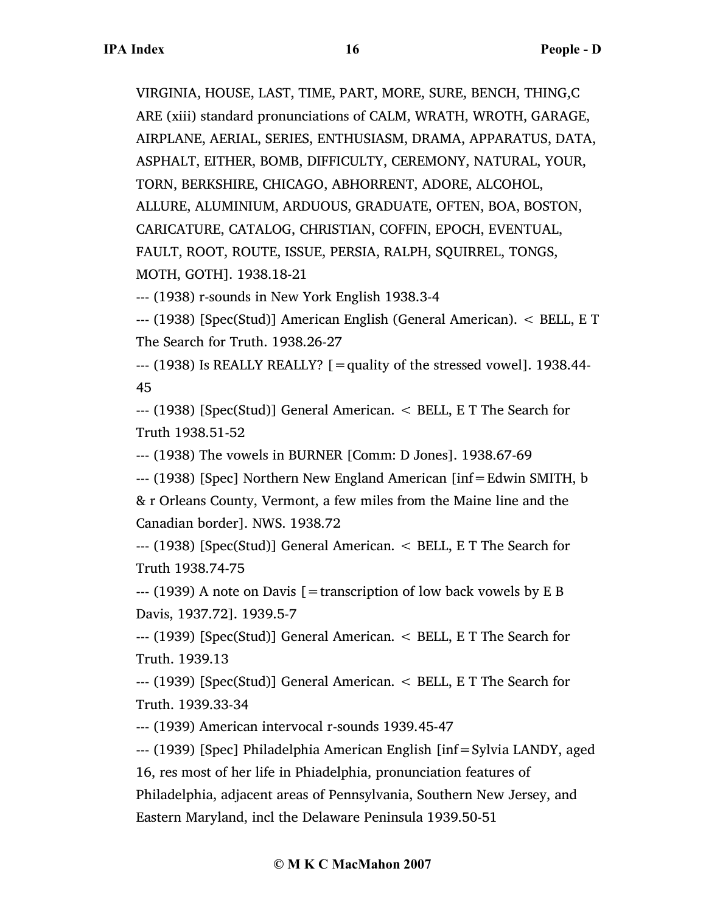VIRGINIA, HOUSE, LAST, TIME, PART, MORE, SURE, BENCH, THING,C ARE (xiii) standard pronunciations of CALM, WRATH, WROTH, GARAGE, AIRPLANE, AERIAL, SERIES, ENTHUSIASM, DRAMA, APPARATUS, DATA, ASPHALT, EITHER, BOMB, DIFFICULTY, CEREMONY, NATURAL, YOUR, TORN, BERKSHIRE, CHICAGO, ABHORRENT, ADORE, ALCOHOL, ALLURE, ALUMINIUM, ARDUOUS, GRADUATE, OFTEN, BOA, BOSTON, CARICATURE, CATALOG, CHRISTIAN, COFFIN, EPOCH, EVENTUAL, FAULT, ROOT, ROUTE, ISSUE, PERSIA, RALPH, SQUIRREL, TONGS, MOTH, GOTH]. 1938.18-21

--- (1938) r-sounds in New York English 1938.3-4

--- (1938) [Spec(Stud)] American English (General American). < BELL, E T The Search for Truth. 1938.26-27

 $-$ -- (1938) Is REALLY REALLY? [=quality of the stressed vowel]. 1938.44-45

--- (1938) [Spec(Stud)] General American. < BELL, E T The Search for Truth 1938.51-52

--- (1938) The vowels in BURNER [Comm: D Jones]. 1938.67-69

--- (1938) [Spec] Northern New England American [inf=Edwin SMITH, b

& r Orleans County, Vermont, a few miles from the Maine line and the Canadian border]. NWS. 1938.72

--- (1938) [Spec(Stud)] General American. < BELL, E T The Search for Truth 1938.74-75

 $-$ --- (1939) A note on Davis  $=$  transcription of low back vowels by E B Davis, 1937.72]. 1939.5-7

--- (1939) [Spec(Stud)] General American. < BELL, E T The Search for Truth. 1939.13

--- (1939) [Spec(Stud)] General American. < BELL, E T The Search for Truth. 1939.33-34

--- (1939) American intervocal r-sounds 1939.45-47

--- (1939) [Spec] Philadelphia American English [inf=Sylvia LANDY, aged 16, res most of her life in Phiadelphia, pronunciation features of Philadelphia, adjacent areas of Pennsylvania, Southern New Jersey, and Eastern Maryland, incl the Delaware Peninsula 1939.50-51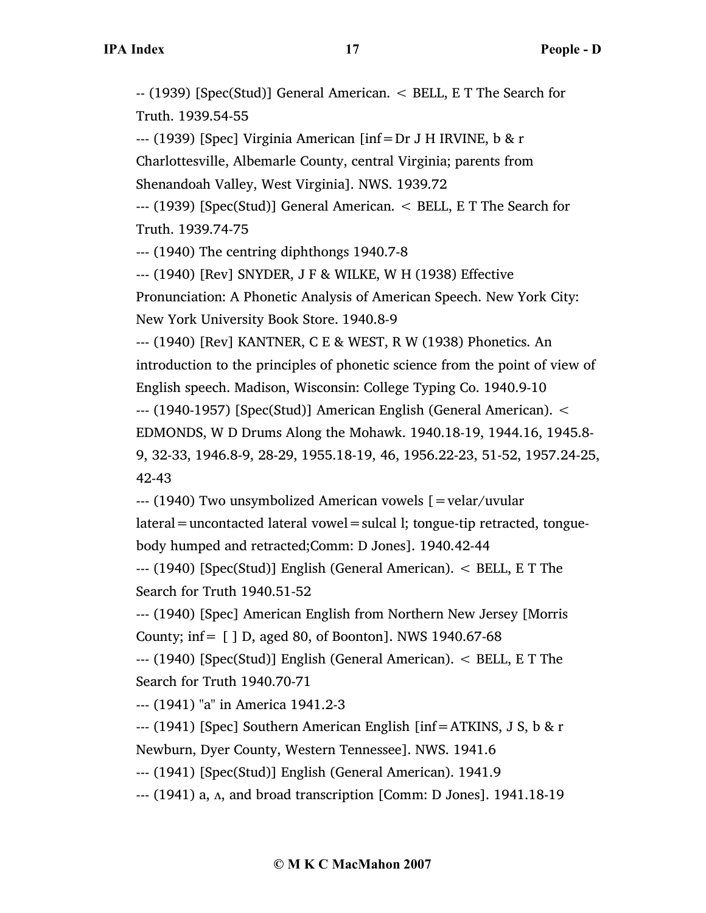-- (1939) [Spec(Stud)] General American. < BELL, E T The Search for Truth. 1939.54-55

--- (1939) [Spec] Virginia American [inf=Dr J H IRVINE, b & r

Charlottesville, Albemarle County, central Virginia; parents from

Shenandoah Valley, West Virginia]. NWS. 1939.72

--- (1939) [Spec(Stud)] General American. < BELL, E T The Search for Truth. 1939.74-75

--- (1940) The centring diphthongs 1940.7-8

--- (1940) [Rev] SNYDER, J F & WILKE, W H (1938) Effective

Pronunciation: A Phonetic Analysis of American Speech. New York City: New York University Book Store. 1940.8-9

--- (1940) [Rev] KANTNER, C E & WEST, R W (1938) Phonetics. An introduction to the principles of phonetic science from the point of view of English speech. Madison, Wisconsin: College Typing Co. 1940.9-10 --- (1940-1957) [Spec(Stud)] American English (General American). < EDMONDS, W D Drums Along the Mohawk. 1940.18-19, 1944.16, 1945.8- 9, 32-33, 1946.8-9, 28-29, 1955.18-19, 46, 1956.22-23, 51-52, 1957.24-25, 42-43

--- (1940) Two unsymbolized American vowels [=velar/uvular

lateral=uncontacted lateral vowel=sulcal l; tongue-tip retracted, tongue-

body humped and retracted;Comm: D Jones]. 1940.42-44

--- (1940) [Spec(Stud)] English (General American). < BELL, E T The Search for Truth 1940.51-52

--- (1940) [Spec] American English from Northern New Jersey [Morris County; inf=  $\lceil$  ] D, aged 80, of Boonton]. NWS 1940.67-68

--- (1940) [Spec(Stud)] English (General American). < BELL, E T The Search for Truth 1940.70-71

--- (1941) "a" in America 1941.2-3

--- (1941) [Spec] Southern American English [inf=ATKINS, J S, b & r Newburn, Dyer County, Western Tennessee]. NWS. 1941.6

--- (1941) [Spec(Stud)] English (General American). 1941.9

--- (1941) a, ʌ, and broad transcription [Comm: D Jones]. 1941.18-19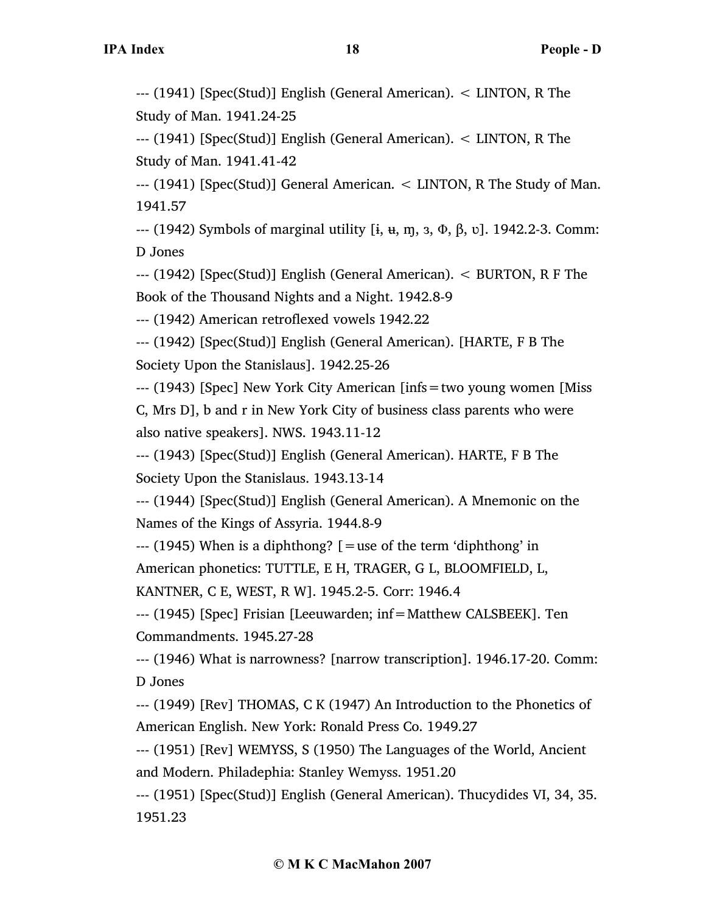--- (1941) [Spec(Stud)] English (General American). < LINTON, R The Study of Man. 1941.24-25

--- (1941) [Spec(Stud)] English (General American). < LINTON, R The Study of Man. 1941.41-42

--- (1941) [Spec(Stud)] General American. < LINTON, R The Study of Man. 1941.57

--- (1942) Symbols of marginal utility [ɨ, ʉ, ɱ, ɜ, Φ, β, ʋ]. 1942.2-3. Comm: D Jones

--- (1942) [Spec(Stud)] English (General American). < BURTON, R F The Book of the Thousand Nights and a Night. 1942.8-9

--- (1942) American retroflexed vowels 1942.22

--- (1942) [Spec(Stud)] English (General American). [HARTE, F B The Society Upon the Stanislaus]. 1942.25-26

--- (1943) [Spec] New York City American [infs=two young women [Miss C, Mrs D], b and r in New York City of business class parents who were

also native speakers]. NWS. 1943.11-12

--- (1943) [Spec(Stud)] English (General American). HARTE, F B The Society Upon the Stanislaus. 1943.13-14

--- (1944) [Spec(Stud)] English (General American). A Mnemonic on the Names of the Kings of Assyria. 1944.8-9

 $-$ -- (1945) When is a diphthong?  $\lceil$  = use of the term 'diphthong' in

American phonetics: TUTTLE, E H, TRAGER, G L, BLOOMFIELD, L,

KANTNER, C E, WEST, R W]. 1945.2-5. Corr: 1946.4

--- (1945) [Spec] Frisian [Leeuwarden; inf=Matthew CALSBEEK]. Ten Commandments. 1945.27-28

--- (1946) What is narrowness? [narrow transcription]. 1946.17-20. Comm: D Jones

--- (1949) [Rev] THOMAS, C K (1947) An Introduction to the Phonetics of American English. New York: Ronald Press Co. 1949.27

--- (1951) [Rev] WEMYSS, S (1950) The Languages of the World, Ancient and Modern. Philadephia: Stanley Wemyss. 1951.20

--- (1951) [Spec(Stud)] English (General American). Thucydides VI, 34, 35. 1951.23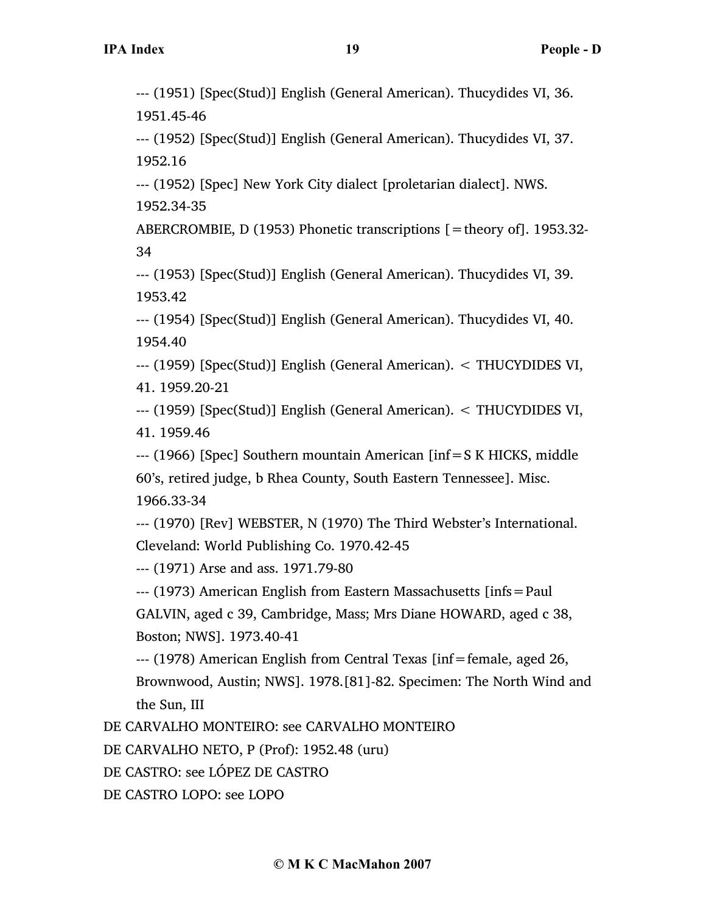--- (1951) [Spec(Stud)] English (General American). Thucydides VI, 36. 1951.45-46

--- (1952) [Spec(Stud)] English (General American). Thucydides VI, 37. 1952.16

--- (1952) [Spec] New York City dialect [proletarian dialect]. NWS. 1952.34-35

ABERCROMBIE, D (1953) Phonetic transcriptions  $[$  = theory of]. 1953.32-34

--- (1953) [Spec(Stud)] English (General American). Thucydides VI, 39. 1953.42

--- (1954) [Spec(Stud)] English (General American). Thucydides VI, 40. 1954.40

--- (1959) [Spec(Stud)] English (General American). < THUCYDIDES VI, 41. 1959.20-21

--- (1959) [Spec(Stud)] English (General American). < THUCYDIDES VI, 41. 1959.46

--- (1966) [Spec] Southern mountain American [inf=S K HICKS, middle 60's, retired judge, b Rhea County, South Eastern Tennessee]. Misc. 1966.33-34

--- (1970) [Rev] WEBSTER, N (1970) The Third Webster's International. Cleveland: World Publishing Co. 1970.42-45

--- (1971) Arse and ass. 1971.79-80

--- (1973) American English from Eastern Massachusetts [infs=Paul

GALVIN, aged c 39, Cambridge, Mass; Mrs Diane HOWARD, aged c 38, Boston; NWS]. 1973.40-41

--- (1978) American English from Central Texas [inf=female, aged 26, Brownwood, Austin; NWS]. 1978.[81]-82. Specimen: The North Wind and the Sun, III

DE CARVALHO MONTEIRO: see CARVALHO MONTEIRO

DE CARVALHO NETO, P (Prof): 1952.48 (uru)

DE CASTRO: see LÓPEZ DE CASTRO

DE CASTRO LOPO: see LOPO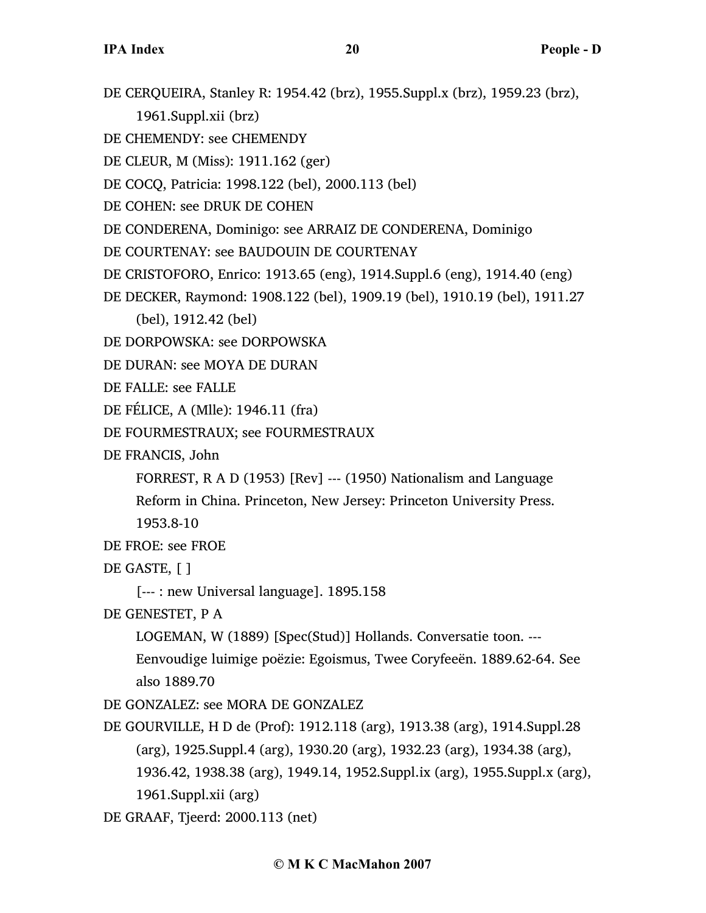- DE CERQUEIRA, Stanley R: 1954.42 (brz), 1955.Suppl.x (brz), 1959.23 (brz),
	- 1961.Suppl.xii (brz)
- DE CHEMENDY: see CHEMENDY
- DE CLEUR, M (Miss): 1911.162 (ger)
- DE COCQ, Patricia: 1998.122 (bel), 2000.113 (bel)
- DE COHEN: see DRUK DE COHEN
- DE CONDERENA, Dominigo: see ARRAIZ DE CONDERENA, Dominigo
- DE COURTENAY: see BAUDOUIN DE COURTENAY
- DE CRISTOFORO, Enrico: 1913.65 (eng), 1914.Suppl.6 (eng), 1914.40 (eng)
- DE DECKER, Raymond: 1908.122 (bel), 1909.19 (bel), 1910.19 (bel), 1911.27
	- (bel), 1912.42 (bel)
- DE DORPOWSKA: see DORPOWSKA
- DE DURAN: see MOYA DE DURAN
- DE FALLE: see FALLE
- DE FÉLICE, A (Mlle): 1946.11 (fra)
- DE FOURMESTRAUX; see FOURMESTRAUX
- DE FRANCIS, John
	- FORREST, R A D (1953) [Rev] --- (1950) Nationalism and Language
	- Reform in China. Princeton, New Jersey: Princeton University Press. 1953.8-10
- DE FROE: see FROE
- DE GASTE, [ ]
	- [--- : new Universal language]. 1895.158
- DE GENESTET, P A
	- LOGEMAN, W (1889) [Spec(Stud)] Hollands. Conversatie toon. --- Eenvoudige luimige poëzie: Egoismus, Twee Coryfeeën. 1889.62-64. See
	- also 1889.70
- DE GONZALEZ: see MORA DE GONZALEZ
- DE GOURVILLE, H D de (Prof): 1912.118 (arg), 1913.38 (arg), 1914.Suppl.28 (arg), 1925.Suppl.4 (arg), 1930.20 (arg), 1932.23 (arg), 1934.38 (arg), 1936.42, 1938.38 (arg), 1949.14, 1952.Suppl.ix (arg), 1955.Suppl.x (arg), 1961.Suppl.xii (arg)
- DE GRAAF, Tjeerd: 2000.113 (net)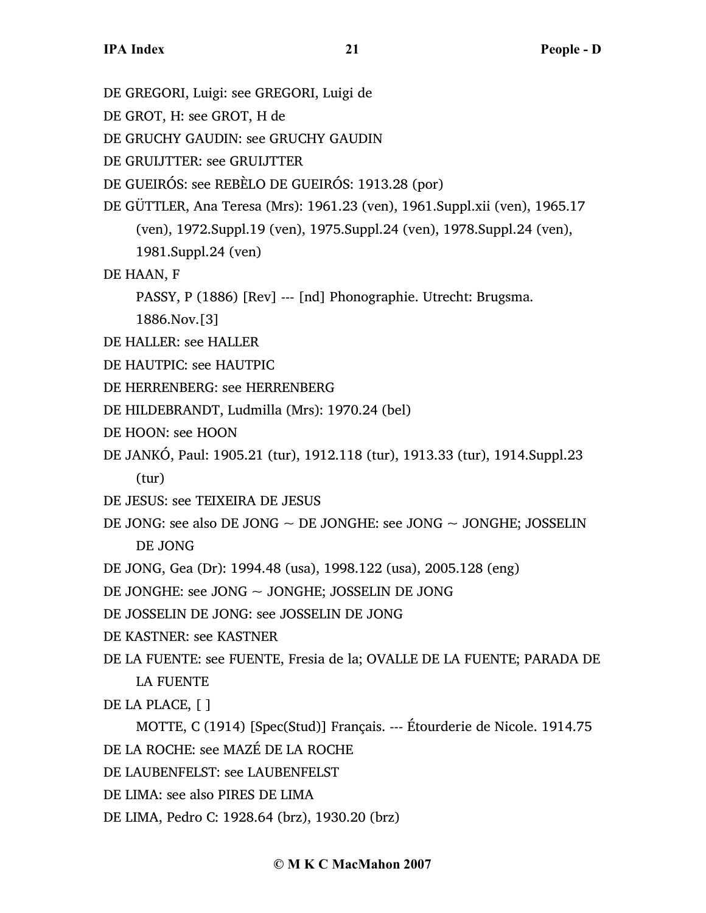DE GREGORI, Luigi: see GREGORI, Luigi de

DE GROT, H: see GROT, H de

DE GRUCHY GAUDIN: see GRUCHY GAUDIN

DE GRUIJTTER: see GRUIJTTER

DE GUEIRÓS: see REBÈLO DE GUEIRÓS: 1913.28 (por)

DE GÜTTLER, Ana Teresa (Mrs): 1961.23 (ven), 1961.Suppl.xii (ven), 1965.17 (ven), 1972.Suppl.19 (ven), 1975.Suppl.24 (ven), 1978.Suppl.24 (ven), 1981.Suppl.24 (ven)

DE HAAN, F

PASSY, P (1886) [Rev] --- [nd] Phonographie. Utrecht: Brugsma.

1886.Nov.[3]

- DE HALLER: see HALLER
- DE HAUTPIC: see HAUTPIC
- DE HERRENBERG: see HERRENBERG
- DE HILDEBRANDT, Ludmilla (Mrs): 1970.24 (bel)
- DE HOON: see HOON
- DE JANKÓ, Paul: 1905.21 (tur), 1912.118 (tur), 1913.33 (tur), 1914.Suppl.23 (tur)
- DE JESUS: see TEIXEIRA DE JESUS
- DE JONG: see also DE JONG  $\sim$  DE JONGHE: see JONG  $\sim$  JONGHE; JOSSELIN DE JONG
- DE JONG, Gea (Dr): 1994.48 (usa), 1998.122 (usa), 2005.128 (eng)

DE JONGHE: see JONG ~ JONGHE; JOSSELIN DE JONG

- DE JOSSELIN DE JONG: see JOSSELIN DE JONG
- DE KASTNER: see KASTNER
- DE LA FUENTE: see FUENTE, Fresia de la; OVALLE DE LA FUENTE; PARADA DE LA FUENTE
- DE LA PLACE, [ ]
- MOTTE, C (1914) [Spec(Stud)] Français. --- Étourderie de Nicole. 1914.75 DE LA ROCHE: see MAZÉ DE LA ROCHE
- DE LAUBENFELST: see LAUBENFELST
- DE LIMA: see also PIRES DE LIMA
- DE LIMA, Pedro C: 1928.64 (brz), 1930.20 (brz)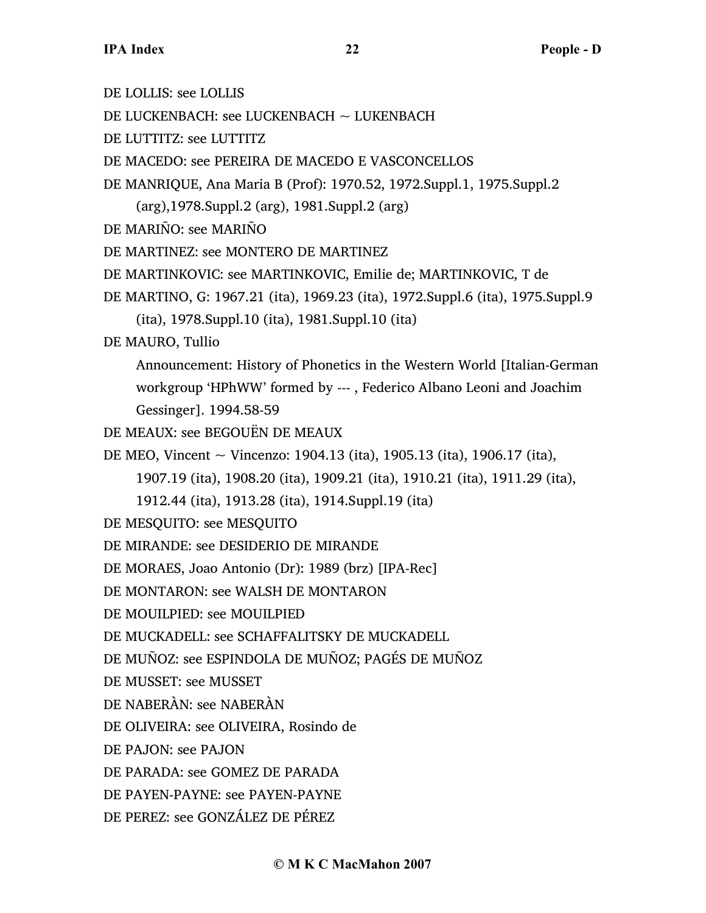DE LOLLIS: see LOLLIS DE LUCKENBACH: see LUCKENBACH ~ LUKENBACH DE LUTTITZ: see LUTTITZ DE MACEDO: see PEREIRA DE MACEDO E VASCONCELLOS DE MANRIQUE, Ana Maria B (Prof): 1970.52, 1972.Suppl.1, 1975.Suppl.2 (arg),1978.Suppl.2 (arg), 1981.Suppl.2 (arg) DE MARIÑO: see MARIÑO DE MARTINEZ: see MONTERO DE MARTINEZ DE MARTINKOVIC: see MARTINKOVIC, Emilie de; MARTINKOVIC, T de DE MARTINO, G: 1967.21 (ita), 1969.23 (ita), 1972.Suppl.6 (ita), 1975.Suppl.9 (ita), 1978.Suppl.10 (ita), 1981.Suppl.10 (ita) DE MAURO, Tullio Announcement: History of Phonetics in the Western World [Italian-German workgroup 'HPhWW' formed by --- , Federico Albano Leoni and Joachim Gessinger]. 1994.58-59 DE MEAUX: see BEGOUËN DE MEAUX DE MEO, Vincent ~ Vincenzo: 1904.13 (ita), 1905.13 (ita), 1906.17 (ita), 1907.19 (ita), 1908.20 (ita), 1909.21 (ita), 1910.21 (ita), 1911.29 (ita), 1912.44 (ita), 1913.28 (ita), 1914.Suppl.19 (ita) DE MESQUITO: see MESQUITO DE MIRANDE: see DESIDERIO DE MIRANDE DE MORAES, Joao Antonio (Dr): 1989 (brz) [IPA-Rec] DE MONTARON: see WALSH DE MONTARON DE MOUILPIED: see MOUILPIED DE MUCKADELL: see SCHAFFALITSKY DE MUCKADELL DE MUÑOZ: see ESPINDOLA DE MUÑOZ; PAGÉS DE MUÑOZ DE MUSSET: see MUSSET DE NABERÀN: see NABERÀN DE OLIVEIRA: see OLIVEIRA, Rosindo de DE PAJON: see PAJON DE PARADA: see GOMEZ DE PARADA DE PAYEN-PAYNE: see PAYEN-PAYNE DE PEREZ: see GONZÁLEZ DE PÉREZ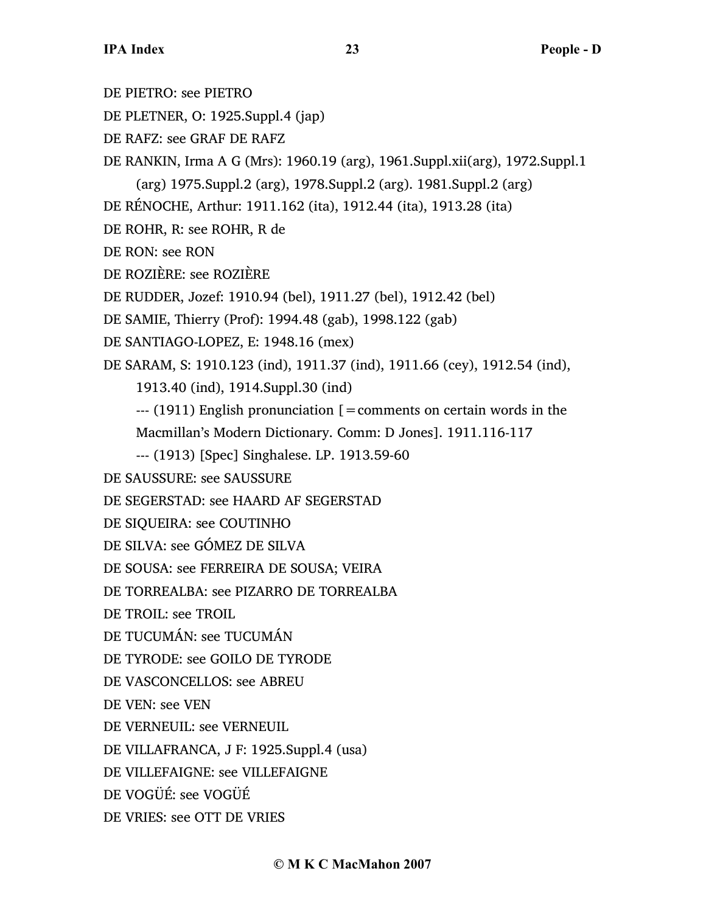DE PIETRO: see PIETRO DE PLETNER, O: 1925.Suppl.4 (jap) DE RAFZ: see GRAF DE RAFZ DE RANKIN, Irma A G (Mrs): 1960.19 (arg), 1961.Suppl.xii(arg), 1972.Suppl.1 (arg) 1975.Suppl.2 (arg), 1978.Suppl.2 (arg). 1981.Suppl.2 (arg) DE RÉNOCHE, Arthur: 1911.162 (ita), 1912.44 (ita), 1913.28 (ita) DE ROHR, R: see ROHR, R de DE RON: see RON DE ROZIÈRE: see ROZIÈRE DE RUDDER, Jozef: 1910.94 (bel), 1911.27 (bel), 1912.42 (bel) DE SAMIE, Thierry (Prof): 1994.48 (gab), 1998.122 (gab) DE SANTIAGO-LOPEZ, E: 1948.16 (mex) DE SARAM, S: 1910.123 (ind), 1911.37 (ind), 1911.66 (cey), 1912.54 (ind), 1913.40 (ind), 1914.Suppl.30 (ind)  $-$ -- $(1911)$  English pronunciation  $[$  = comments on certain words in the Macmillan's Modern Dictionary. Comm: D Jones]. 1911.116-117 --- (1913) [Spec] Singhalese. LP. 1913.59-60 DE SAUSSURE: see SAUSSURE DE SEGERSTAD: see HAARD AF SEGERSTAD DE SIQUEIRA: see COUTINHO DE SILVA: see GÓMEZ DE SILVA DE SOUSA: see FERREIRA DE SOUSA; VEIRA DE TORREALBA: see PIZARRO DE TORREALBA DE TROIL: see TROIL DE TUCUMÁN: see TUCUMÁN DE TYRODE: see GOILO DE TYRODE DE VASCONCELLOS: see ABREU DE VEN: see VEN DE VERNEUIL: see VERNEUIL DE VILLAFRANCA, J F: 1925.Suppl.4 (usa) DE VILLEFAIGNE: see VILLEFAIGNE DE VOGÜÉ: see VOGÜÉ DE VRIES: see OTT DE VRIES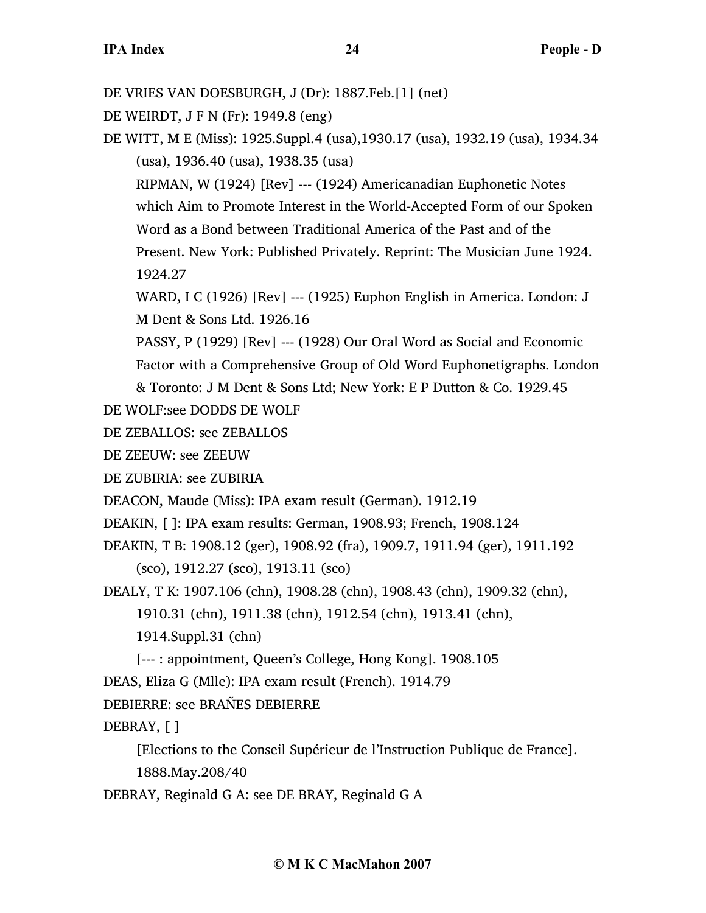DE VRIES VAN DOESBURGH, J (Dr): 1887.Feb.[1] (net)

DE WEIRDT, J F N (Fr): 1949.8 (eng)

DE WITT, M E (Miss): 1925.Suppl.4 (usa),1930.17 (usa), 1932.19 (usa), 1934.34 (usa), 1936.40 (usa), 1938.35 (usa)

RIPMAN, W (1924) [Rev] --- (1924) Americanadian Euphonetic Notes which Aim to Promote Interest in the World-Accepted Form of our Spoken Word as a Bond between Traditional America of the Past and of the Present. New York: Published Privately. Reprint: The Musician June 1924.

1924.27

WARD, I C (1926) [Rev] --- (1925) Euphon English in America. London: J M Dent & Sons Ltd. 1926.16

PASSY, P (1929) [Rev] --- (1928) Our Oral Word as Social and Economic Factor with a Comprehensive Group of Old Word Euphonetigraphs. London

& Toronto: J M Dent & Sons Ltd; New York: E P Dutton & Co. 1929.45

DE WOLF:see DODDS DE WOLF

DE ZEBALLOS: see ZEBALLOS

DE ZEEUW: see ZEEUW

DE ZUBIRIA: see ZUBIRIA

DEACON, Maude (Miss): IPA exam result (German). 1912.19

DEAKIN, [ ]: IPA exam results: German, 1908.93; French, 1908.124

DEAKIN, T B: 1908.12 (ger), 1908.92 (fra), 1909.7, 1911.94 (ger), 1911.192 (sco), 1912.27 (sco), 1913.11 (sco)

DEALY, T K: 1907.106 (chn), 1908.28 (chn), 1908.43 (chn), 1909.32 (chn),

1910.31 (chn), 1911.38 (chn), 1912.54 (chn), 1913.41 (chn),

1914.Suppl.31 (chn)

[--- : appointment, Queen's College, Hong Kong]. 1908.105

DEAS, Eliza G (Mlle): IPA exam result (French). 1914.79

DEBIERRE: see BRAÑES DEBIERRE

DEBRAY, [ ]

[Elections to the Conseil Supérieur de l'Instruction Publique de France]. 1888.May.208/40

DEBRAY, Reginald G A: see DE BRAY, Reginald G A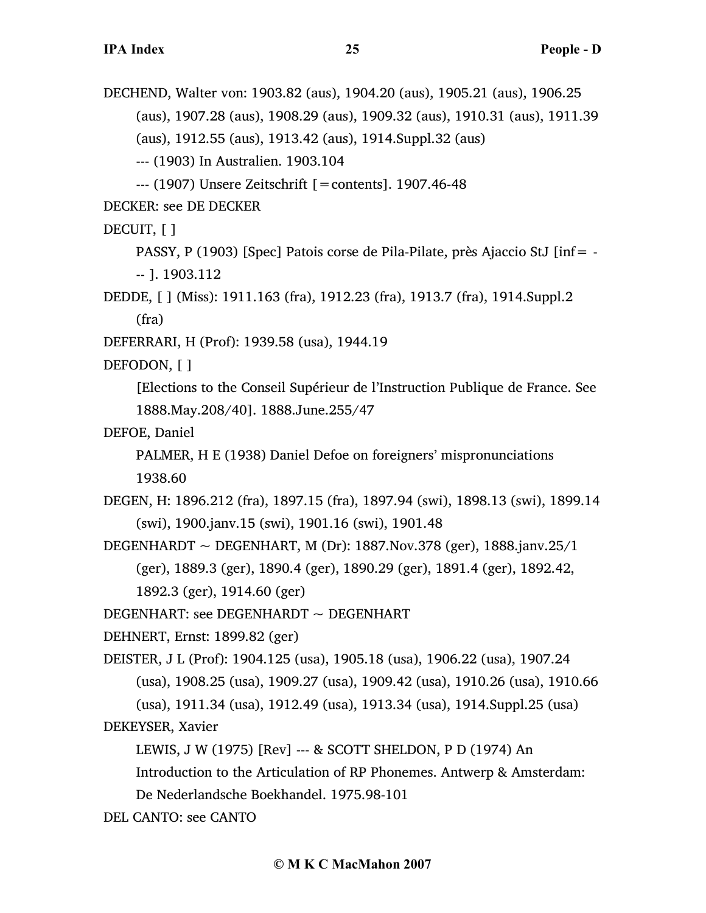DECHEND, Walter von: 1903.82 (aus), 1904.20 (aus), 1905.21 (aus), 1906.25 (aus), 1907.28 (aus), 1908.29 (aus), 1909.32 (aus), 1910.31 (aus), 1911.39 (aus), 1912.55 (aus), 1913.42 (aus), 1914.Suppl.32 (aus) --- (1903) In Australien. 1903.104 --- (1907) Unsere Zeitschrift [=contents]. 1907.46-48 DECKER: see DE DECKER

DECUIT, [ ]

PASSY, P (1903) [Spec] Patois corse de Pila-Pilate, près Ajaccio StJ [inf= - -- ]. 1903.112

DEDDE, [ ] (Miss): 1911.163 (fra), 1912.23 (fra), 1913.7 (fra), 1914.Suppl.2 (fra)

DEFERRARI, H (Prof): 1939.58 (usa), 1944.19

DEFODON, [ ]

[Elections to the Conseil Supérieur de l'Instruction Publique de France. See 1888.May.208/40]. 1888.June.255/47

DEFOE, Daniel

PALMER, H E (1938) Daniel Defoe on foreigners' mispronunciations 1938.60

DEGEN, H: 1896.212 (fra), 1897.15 (fra), 1897.94 (swi), 1898.13 (swi), 1899.14 (swi), 1900.janv.15 (swi), 1901.16 (swi), 1901.48

DEGENHARDT  $\sim$  DEGENHART, M (Dr): 1887.Nov.378 (ger), 1888.janv.25/1 (ger), 1889.3 (ger), 1890.4 (ger), 1890.29 (ger), 1891.4 (ger), 1892.42, 1892.3 (ger), 1914.60 (ger)

DEGENHART: see DEGENHARDT ~ DEGENHART

DEHNERT, Ernst: 1899.82 (ger)

DEISTER, J L (Prof): 1904.125 (usa), 1905.18 (usa), 1906.22 (usa), 1907.24

(usa), 1908.25 (usa), 1909.27 (usa), 1909.42 (usa), 1910.26 (usa), 1910.66

(usa), 1911.34 (usa), 1912.49 (usa), 1913.34 (usa), 1914.Suppl.25 (usa)

DEKEYSER, Xavier

LEWIS, J W (1975) [Rev] --- & SCOTT SHELDON, P D (1974) An

Introduction to the Articulation of RP Phonemes. Antwerp & Amsterdam:

De Nederlandsche Boekhandel. 1975.98-101

DEL CANTO: see CANTO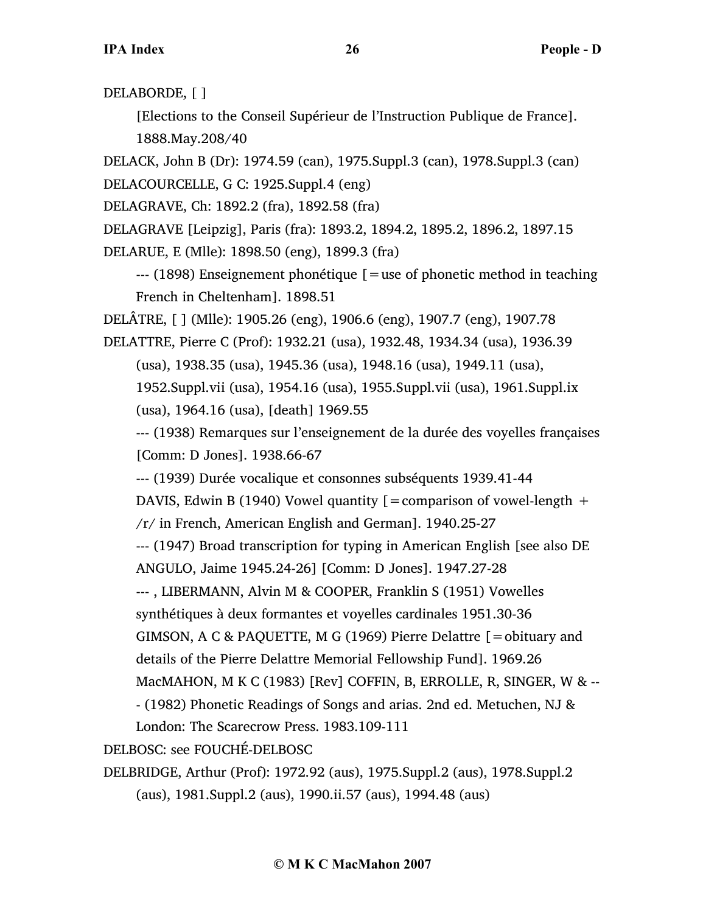DELABORDE, [ ]

[Elections to the Conseil Supérieur de l'Instruction Publique de France]. 1888.May.208/40

DELACK, John B (Dr): 1974.59 (can), 1975.Suppl.3 (can), 1978.Suppl.3 (can) DELACOURCELLE, G C: 1925.Suppl.4 (eng)

DELAGRAVE, Ch: 1892.2 (fra), 1892.58 (fra)

DELAGRAVE [Leipzig], Paris (fra): 1893.2, 1894.2, 1895.2, 1896.2, 1897.15 DELARUE, E (Mlle): 1898.50 (eng), 1899.3 (fra)

 $-$ -- (1898) Enseignement phonétique  $\mathfrak{g}$  = use of phonetic method in teaching French in Cheltenham]. 1898.51

DELÂTRE, [ ] (Mlle): 1905.26 (eng), 1906.6 (eng), 1907.7 (eng), 1907.78

DELATTRE, Pierre C (Prof): 1932.21 (usa), 1932.48, 1934.34 (usa), 1936.39

(usa), 1938.35 (usa), 1945.36 (usa), 1948.16 (usa), 1949.11 (usa),

1952.Suppl.vii (usa), 1954.16 (usa), 1955.Suppl.vii (usa), 1961.Suppl.ix (usa), 1964.16 (usa), [death] 1969.55

--- (1938) Remarques sur l'enseignement de la durée des voyelles françaises [Comm: D Jones]. 1938.66-67

--- (1939) Durée vocalique et consonnes subséquents 1939.41-44

DAVIS, Edwin B (1940) Vowel quantity  $[=$  comparison of vowel-length  $+$ 

/r/ in French, American English and German]. 1940.25-27

--- (1947) Broad transcription for typing in American English [see also DE

ANGULO, Jaime 1945.24-26] [Comm: D Jones]. 1947.27-28

--- , LIBERMANN, Alvin M & COOPER, Franklin S (1951) Vowelles

synthétiques à deux formantes et voyelles cardinales 1951.30-36

GIMSON, A C & PAQUETTE, M G (1969) Pierre Delattre [=obituary and

details of the Pierre Delattre Memorial Fellowship Fund]. 1969.26

MacMAHON, M K C (1983) [Rev] COFFIN, B, ERROLLE, R, SINGER, W & --

- (1982) Phonetic Readings of Songs and arias. 2nd ed. Metuchen, NJ &

London: The Scarecrow Press. 1983.109-111

DELBOSC: see FOUCHÉ-DELBOSC

DELBRIDGE, Arthur (Prof): 1972.92 (aus), 1975.Suppl.2 (aus), 1978.Suppl.2 (aus), 1981.Suppl.2 (aus), 1990.ii.57 (aus), 1994.48 (aus)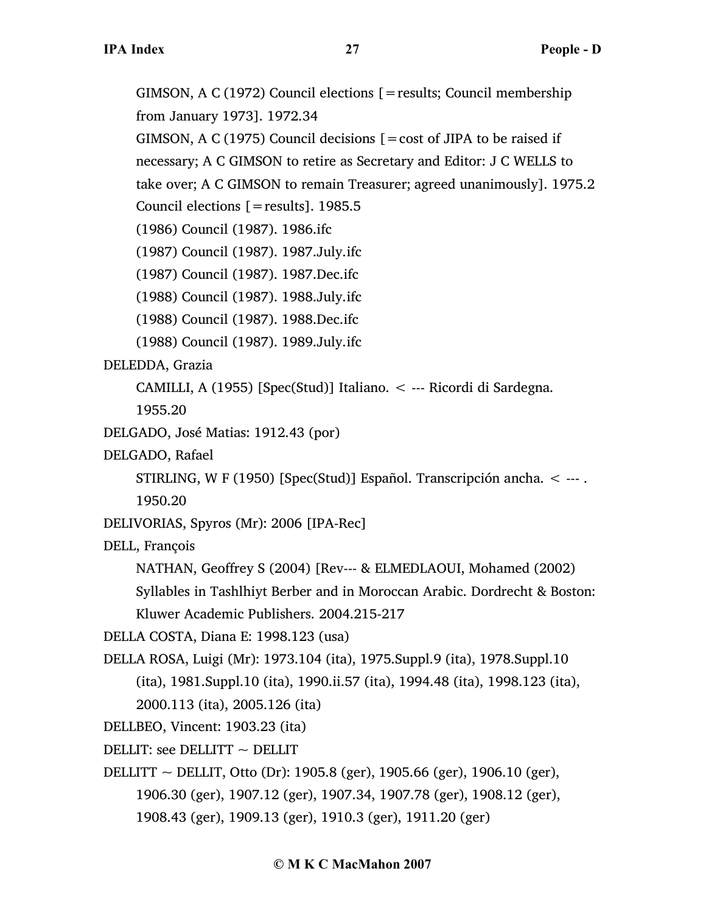GIMSON, A C (1972) Council elections [=results; Council membership from January 1973]. 1972.34 GIMSON, A C (1975) Council decisions  $\mathbf{r} = \cos t$  of JIPA to be raised if necessary; A C GIMSON to retire as Secretary and Editor: J C WELLS to take over; A C GIMSON to remain Treasurer; agreed unanimously]. 1975.2 Council elections  $[=$  results]. 1985.5 (1986) Council (1987). 1986.ifc (1987) Council (1987). 1987.July.ifc (1987) Council (1987). 1987.Dec.ifc (1988) Council (1987). 1988.July.ifc (1988) Council (1987). 1988.Dec.ifc (1988) Council (1987). 1989.July.ifc DELEDDA, Grazia CAMILLI, A (1955) [Spec(Stud)] Italiano. < --- Ricordi di Sardegna. 1955.20 DELGADO, José Matias: 1912.43 (por) DELGADO, Rafael STIRLING, W F (1950) [Spec(Stud)] Español. Transcripción ancha. < --- . 1950.20 DELIVORIAS, Spyros (Mr): 2006 [IPA-Rec] DELL, François NATHAN, Geoffrey S (2004) [Rev--- & ELMEDLAOUI, Mohamed (2002) Syllables in Tashlhiyt Berber and in Moroccan Arabic. Dordrecht & Boston: Kluwer Academic Publishers. 2004.215-217 DELLA COSTA, Diana E: 1998.123 (usa) DELLA ROSA, Luigi (Mr): 1973.104 (ita), 1975.Suppl.9 (ita), 1978.Suppl.10 (ita), 1981.Suppl.10 (ita), 1990.ii.57 (ita), 1994.48 (ita), 1998.123 (ita), 2000.113 (ita), 2005.126 (ita) DELLBEO, Vincent: 1903.23 (ita) DELLIT: see DELLITT  $\sim$  DELLIT DELLITT ~ DELLIT, Otto (Dr): 1905.8 (ger), 1905.66 (ger), 1906.10 (ger), 1906.30 (ger), 1907.12 (ger), 1907.34, 1907.78 (ger), 1908.12 (ger), 1908.43 (ger), 1909.13 (ger), 1910.3 (ger), 1911.20 (ger)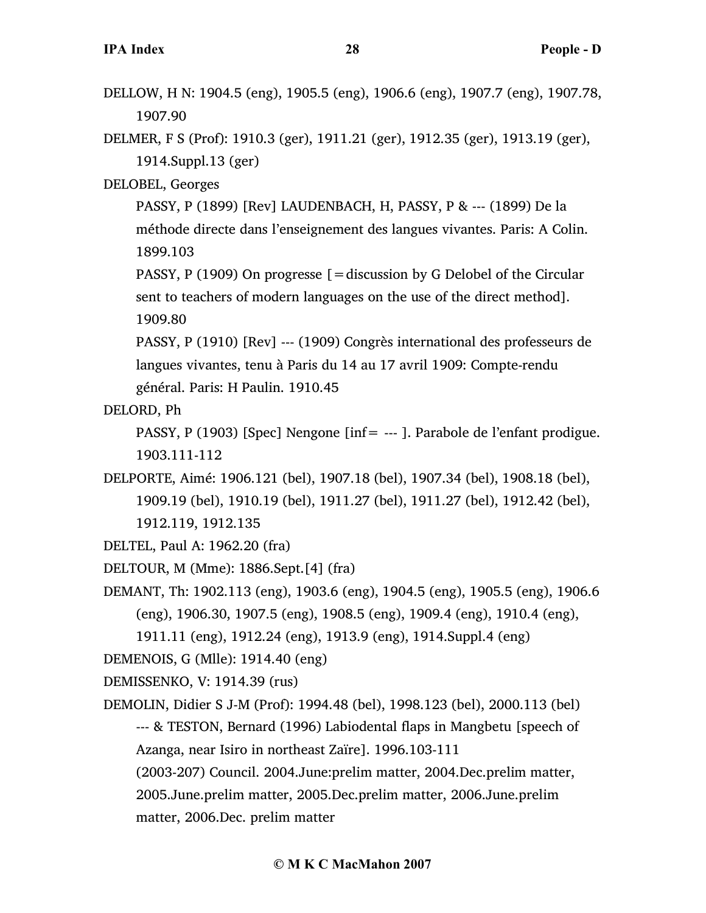- DELLOW, H N: 1904.5 (eng), 1905.5 (eng), 1906.6 (eng), 1907.7 (eng), 1907.78, 1907.90
- DELMER, F S (Prof): 1910.3 (ger), 1911.21 (ger), 1912.35 (ger), 1913.19 (ger), 1914.Suppl.13 (ger)
- DELOBEL, Georges

PASSY, P (1899) [Rev] LAUDENBACH, H, PASSY, P & --- (1899) De la méthode directe dans l'enseignement des langues vivantes. Paris: A Colin. 1899.103

PASSY, P (1909) On progresse  $=$  discussion by G Delobel of the Circular sent to teachers of modern languages on the use of the direct method]. 1909.80

PASSY, P (1910) [Rev] --- (1909) Congrès international des professeurs de langues vivantes, tenu à Paris du 14 au 17 avril 1909: Compte-rendu général. Paris: H Paulin. 1910.45

DELORD, Ph

PASSY, P (1903) [Spec] Nengone [inf= --- ]. Parabole de l'enfant prodigue. 1903.111-112

DELPORTE, Aimé: 1906.121 (bel), 1907.18 (bel), 1907.34 (bel), 1908.18 (bel), 1909.19 (bel), 1910.19 (bel), 1911.27 (bel), 1911.27 (bel), 1912.42 (bel), 1912.119, 1912.135

- DELTEL, Paul A: 1962.20 (fra)
- DELTOUR, M (Mme): 1886.Sept.[4] (fra)
- DEMANT, Th: 1902.113 (eng), 1903.6 (eng), 1904.5 (eng), 1905.5 (eng), 1906.6 (eng), 1906.30, 1907.5 (eng), 1908.5 (eng), 1909.4 (eng), 1910.4 (eng),
	- 1911.11 (eng), 1912.24 (eng), 1913.9 (eng), 1914.Suppl.4 (eng)

DEMENOIS, G (Mlle): 1914.40 (eng)

DEMISSENKO, V: 1914.39 (rus)

DEMOLIN, Didier S J-M (Prof): 1994.48 (bel), 1998.123 (bel), 2000.113 (bel) --- & TESTON, Bernard (1996) Labiodental flaps in Mangbetu [speech of Azanga, near Isiro in northeast Zaïre]. 1996.103-111

(2003-207) Council. 2004.June:prelim matter, 2004.Dec.prelim matter, 2005.June.prelim matter, 2005.Dec.prelim matter, 2006.June.prelim matter, 2006.Dec. prelim matter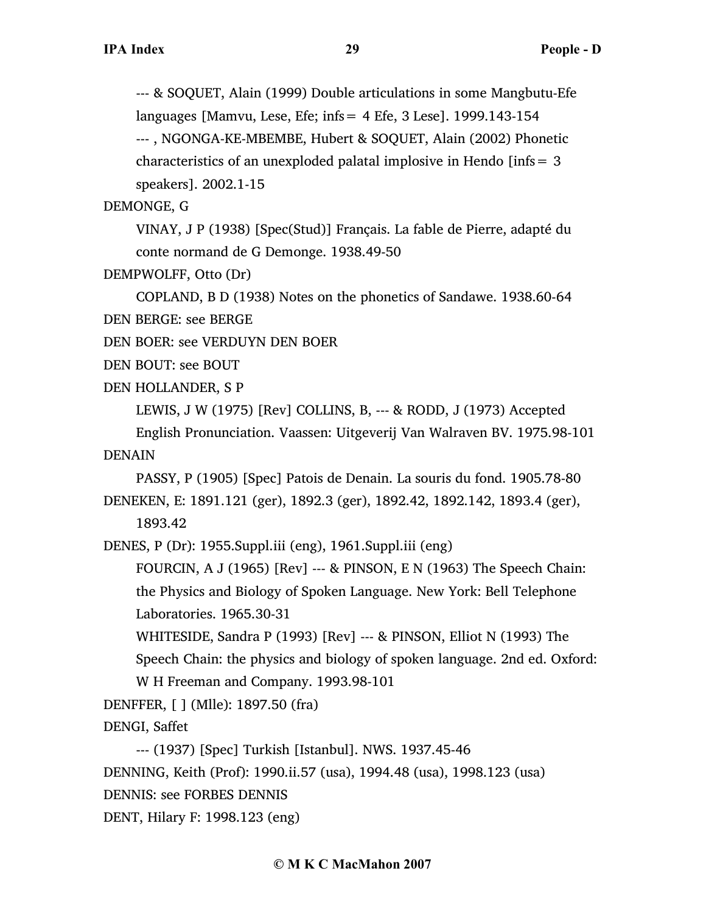--- & SOQUET, Alain (1999) Double articulations in some Mangbutu-Efe languages [Mamvu, Lese, Efe; infs= 4 Efe, 3 Lese]. 1999.143-154 --- , NGONGA-KE-MBEMBE, Hubert & SOQUET, Alain (2002) Phonetic characteristics of an unexploded palatal implosive in Hendo [infs  $= 3$ ] speakers]. 2002.1-15

DEMONGE, G

VINAY, J P (1938) [Spec(Stud)] Français. La fable de Pierre, adapté du conte normand de G Demonge. 1938.49-50

DEMPWOLFF, Otto (Dr)

COPLAND, B D (1938) Notes on the phonetics of Sandawe. 1938.60-64 DEN BERGE: see BERGE

DEN BOER: see VERDUYN DEN BOER

DEN BOUT: see BOUT

DEN HOLLANDER, S P

LEWIS, J W (1975) [Rev] COLLINS, B, --- & RODD, J (1973) Accepted English Pronunciation. Vaassen: Uitgeverij Van Walraven BV. 1975.98-101 DENAIN

PASSY, P (1905) [Spec] Patois de Denain. La souris du fond. 1905.78-80 DENEKEN, E: 1891.121 (ger), 1892.3 (ger), 1892.42, 1892.142, 1893.4 (ger), 1893.42

DENES, P (Dr): 1955.Suppl.iii (eng), 1961.Suppl.iii (eng)

FOURCIN, A J (1965) [Rev] --- & PINSON, E N (1963) The Speech Chain: the Physics and Biology of Spoken Language. New York: Bell Telephone Laboratories. 1965.30-31

WHITESIDE, Sandra P (1993) [Rev] --- & PINSON, Elliot N (1993) The Speech Chain: the physics and biology of spoken language. 2nd ed. Oxford: W H Freeman and Company. 1993.98-101

DENFFER, [ ] (Mlle): 1897.50 (fra)

DENGI, Saffet

--- (1937) [Spec] Turkish [Istanbul]. NWS. 1937.45-46

DENNING, Keith (Prof): 1990.ii.57 (usa), 1994.48 (usa), 1998.123 (usa)

DENNIS: see FORBES DENNIS

DENT, Hilary F: 1998.123 (eng)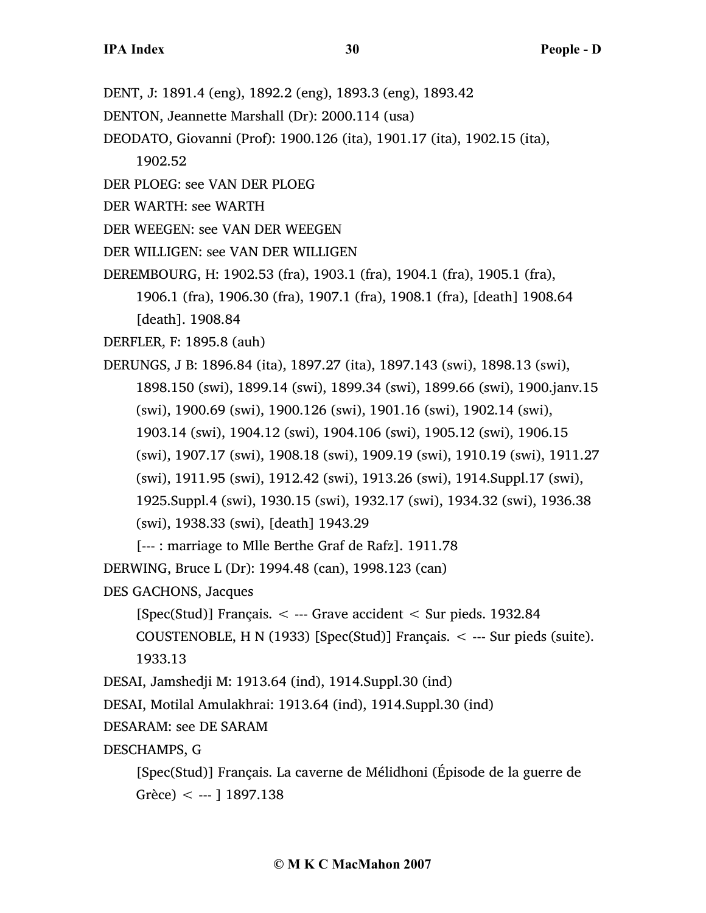- DENT, J: 1891.4 (eng), 1892.2 (eng), 1893.3 (eng), 1893.42
- DENTON, Jeannette Marshall (Dr): 2000.114 (usa)
- DEODATO, Giovanni (Prof): 1900.126 (ita), 1901.17 (ita), 1902.15 (ita),
	- 1902.52
- DER PLOEG: see VAN DER PLOEG
- DER WARTH: see WARTH
- DER WEEGEN: see VAN DER WEEGEN
- DER WILLIGEN: see VAN DER WILLIGEN
- DEREMBOURG, H: 1902.53 (fra), 1903.1 (fra), 1904.1 (fra), 1905.1 (fra), 1906.1 (fra), 1906.30 (fra), 1907.1 (fra), 1908.1 (fra), [death] 1908.64 [death]. 1908.84
- DERFLER, F: 1895.8 (auh)
- DERUNGS, J B: 1896.84 (ita), 1897.27 (ita), 1897.143 (swi), 1898.13 (swi), 1898.150 (swi), 1899.14 (swi), 1899.34 (swi), 1899.66 (swi), 1900.janv.15 (swi), 1900.69 (swi), 1900.126 (swi), 1901.16 (swi), 1902.14 (swi), 1903.14 (swi), 1904.12 (swi), 1904.106 (swi), 1905.12 (swi), 1906.15 (swi), 1907.17 (swi), 1908.18 (swi), 1909.19 (swi), 1910.19 (swi), 1911.27 (swi), 1911.95 (swi), 1912.42 (swi), 1913.26 (swi), 1914.Suppl.17 (swi), 1925.Suppl.4 (swi), 1930.15 (swi), 1932.17 (swi), 1934.32 (swi), 1936.38 (swi), 1938.33 (swi), [death] 1943.29

[--- : marriage to Mlle Berthe Graf de Rafz]. 1911.78

DERWING, Bruce L (Dr): 1994.48 (can), 1998.123 (can)

DES GACHONS, Jacques

[Spec(Stud)] Français. < --- Grave accident < Sur pieds. 1932.84

COUSTENOBLE, H N (1933) [Spec(Stud)] Français. < --- Sur pieds (suite). 1933.13

DESAI, Jamshedji M: 1913.64 (ind), 1914.Suppl.30 (ind)

DESAI, Motilal Amulakhrai: 1913.64 (ind), 1914.Suppl.30 (ind)

DESARAM: see DE SARAM

DESCHAMPS, G

```
[Spec(Stud)] Français. La caverne de Mélidhoni (Épisode de la guerre de
Grèce) < --- ] 1897.138
```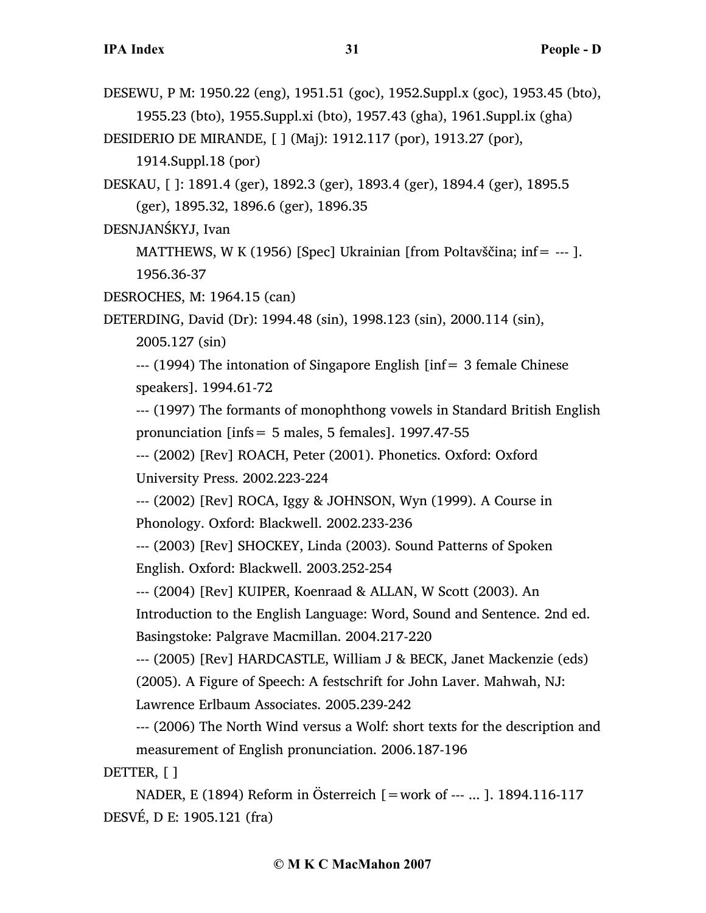DESEWU, P M: 1950.22 (eng), 1951.51 (goc), 1952.Suppl.x (goc), 1953.45 (bto), 1955.23 (bto), 1955.Suppl.xi (bto), 1957.43 (gha), 1961.Suppl.ix (gha) DESIDERIO DE MIRANDE, [ ] (Maj): 1912.117 (por), 1913.27 (por),

1914.Suppl.18 (por)

DESKAU, [ ]: 1891.4 (ger), 1892.3 (ger), 1893.4 (ger), 1894.4 (ger), 1895.5 (ger), 1895.32, 1896.6 (ger), 1896.35

DESNJANŚKYJ, Ivan

MATTHEWS, W K (1956) [Spec] Ukrainian [from Poltavščina; inf= --- ]. 1956.36-37

DESROCHES, M: 1964.15 (can)

DETERDING, David (Dr): 1994.48 (sin), 1998.123 (sin), 2000.114 (sin),

2005.127 (sin)

 $-$ -- (1994) The intonation of Singapore English [inf= 3 female Chinese speakers]. 1994.61-72

--- (1997) The formants of monophthong vowels in Standard British English pronunciation [infs= 5 males, 5 females]. 1997.47-55

--- (2002) [Rev] ROACH, Peter (2001). Phonetics. Oxford: Oxford University Press. 2002.223-224

--- (2002) [Rev] ROCA, Iggy & JOHNSON, Wyn (1999). A Course in Phonology. Oxford: Blackwell. 2002.233-236

--- (2003) [Rev] SHOCKEY, Linda (2003). Sound Patterns of Spoken English. Oxford: Blackwell. 2003.252-254

--- (2004) [Rev] KUIPER, Koenraad & ALLAN, W Scott (2003). An

Introduction to the English Language: Word, Sound and Sentence. 2nd ed. Basingstoke: Palgrave Macmillan. 2004.217-220

--- (2005) [Rev] HARDCASTLE, William J & BECK, Janet Mackenzie (eds) (2005). A Figure of Speech: A festschrift for John Laver. Mahwah, NJ: Lawrence Erlbaum Associates. 2005.239-242

--- (2006) The North Wind versus a Wolf: short texts for the description and measurement of English pronunciation. 2006.187-196

DETTER, [ ]

NADER, E (1894) Reform in Österreich [=work of --- ... ]. 1894.116-117 DESVÉ, D E: 1905.121 (fra)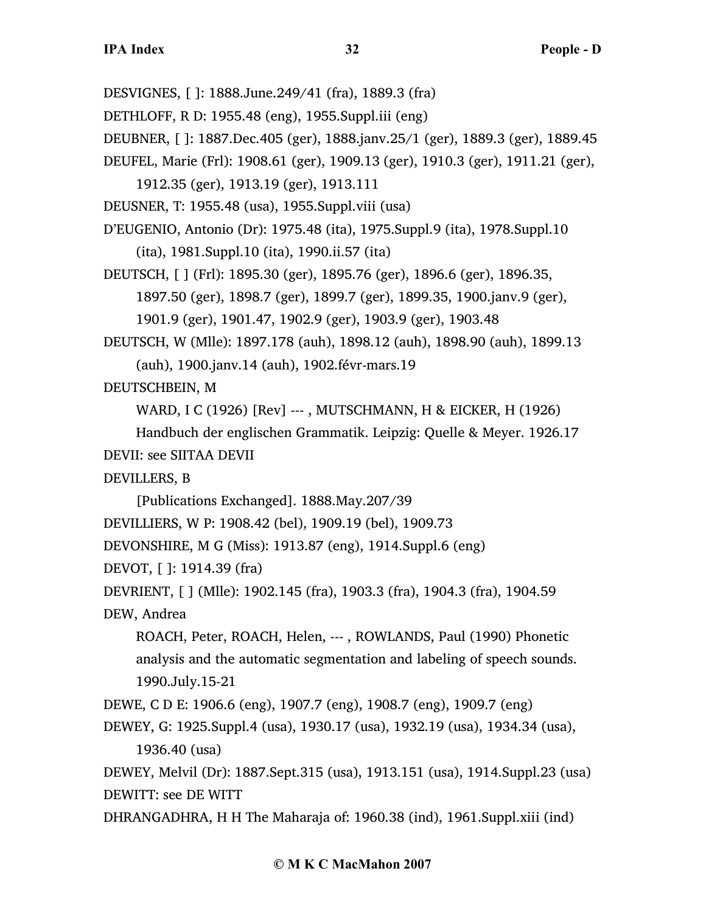DESVIGNES, [ ]: 1888.June.249/41 (fra), 1889.3 (fra) DETHLOFF, R D: 1955.48 (eng), 1955.Suppl.iii (eng) DEUBNER, [ ]: 1887.Dec.405 (ger), 1888.janv.25/1 (ger), 1889.3 (ger), 1889.45 DEUFEL, Marie (Frl): 1908.61 (ger), 1909.13 (ger), 1910.3 (ger), 1911.21 (ger), 1912.35 (ger), 1913.19 (ger), 1913.111 DEUSNER, T: 1955.48 (usa), 1955.Suppl.viii (usa) D'EUGENIO, Antonio (Dr): 1975.48 (ita), 1975.Suppl.9 (ita), 1978.Suppl.10 (ita), 1981.Suppl.10 (ita), 1990.ii.57 (ita) DEUTSCH, [ ] (Frl): 1895.30 (ger), 1895.76 (ger), 1896.6 (ger), 1896.35, 1897.50 (ger), 1898.7 (ger), 1899.7 (ger), 1899.35, 1900.janv.9 (ger), 1901.9 (ger), 1901.47, 1902.9 (ger), 1903.9 (ger), 1903.48 DEUTSCH, W (Mlle): 1897.178 (auh), 1898.12 (auh), 1898.90 (auh), 1899.13 (auh), 1900.janv.14 (auh), 1902.févr-mars.19 DEUTSCHBEIN, M WARD, I C (1926) [Rev] --- , MUTSCHMANN, H & EICKER, H (1926) Handbuch der englischen Grammatik. Leipzig: Quelle & Meyer. 1926.17 DEVII: see SIITAA DEVII DEVILLERS, B [Publications Exchanged]. 1888.May.207/39 DEVILLIERS, W P: 1908.42 (bel), 1909.19 (bel), 1909.73 DEVONSHIRE, M G (Miss): 1913.87 (eng), 1914.Suppl.6 (eng) DEVOT, [ ]: 1914.39 (fra) DEVRIENT, [ ] (Mlle): 1902.145 (fra), 1903.3 (fra), 1904.3 (fra), 1904.59 DEW, Andrea ROACH, Peter, ROACH, Helen, --- , ROWLANDS, Paul (1990) Phonetic analysis and the automatic segmentation and labeling of speech sounds. 1990.July.15-21

DEWE, C D E: 1906.6 (eng), 1907.7 (eng), 1908.7 (eng), 1909.7 (eng)

DEWEY, G: 1925.Suppl.4 (usa), 1930.17 (usa), 1932.19 (usa), 1934.34 (usa), 1936.40 (usa)

```
DEWEY, Melvil (Dr): 1887.Sept.315 (usa), 1913.151 (usa), 1914.Suppl.23 (usa)
DEWITT: see DE WITT
```
DHRANGADHRA, H H The Maharaja of: 1960.38 (ind), 1961.Suppl.xiii (ind)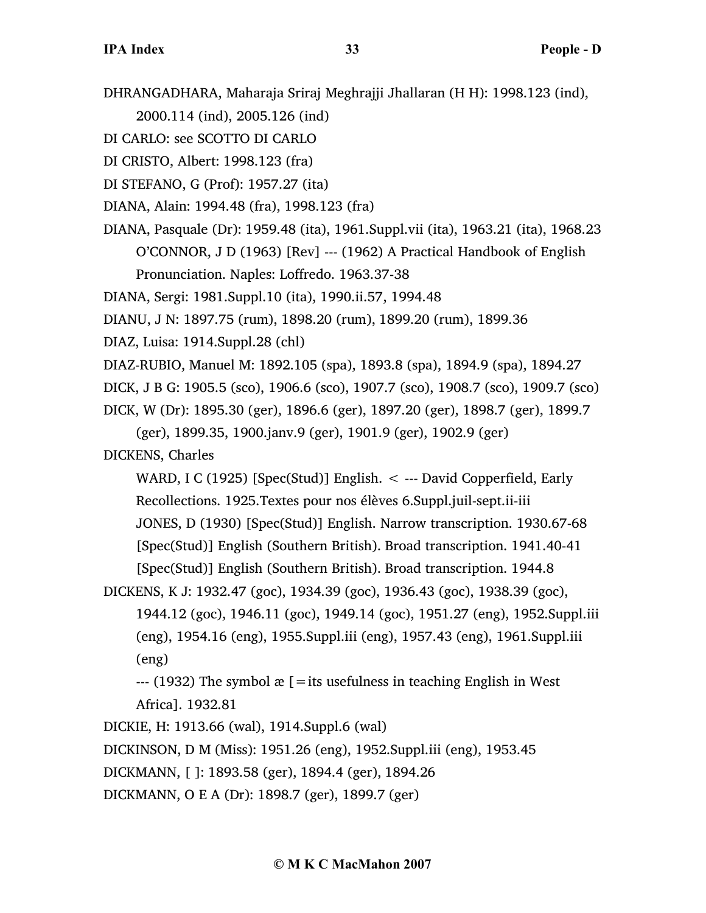DHRANGADHARA, Maharaja Sriraj Meghrajji Jhallaran (H H): 1998.123 (ind),

2000.114 (ind), 2005.126 (ind)

DI CARLO: see SCOTTO DI CARLO

DI CRISTO, Albert: 1998.123 (fra)

DI STEFANO, G (Prof): 1957.27 (ita)

DIANA, Alain: 1994.48 (fra), 1998.123 (fra)

DIANA, Pasquale (Dr): 1959.48 (ita), 1961.Suppl.vii (ita), 1963.21 (ita), 1968.23 O'CONNOR, J D (1963) [Rev] --- (1962) A Practical Handbook of English Pronunciation. Naples: Loffredo. 1963.37-38

DIANA, Sergi: 1981.Suppl.10 (ita), 1990.ii.57, 1994.48

DIANU, J N: 1897.75 (rum), 1898.20 (rum), 1899.20 (rum), 1899.36

DIAZ, Luisa: 1914.Suppl.28 (chl)

DIAZ-RUBIO, Manuel M: 1892.105 (spa), 1893.8 (spa), 1894.9 (spa), 1894.27

DICK, J B G: 1905.5 (sco), 1906.6 (sco), 1907.7 (sco), 1908.7 (sco), 1909.7 (sco)

DICK, W (Dr): 1895.30 (ger), 1896.6 (ger), 1897.20 (ger), 1898.7 (ger), 1899.7

(ger), 1899.35, 1900.janv.9 (ger), 1901.9 (ger), 1902.9 (ger)

DICKENS, Charles

WARD, I C (1925) [Spec(Stud)] English. < --- David Copperfield, Early Recollections. 1925.Textes pour nos élèves 6.Suppl.juil-sept.ii-iii JONES, D (1930) [Spec(Stud)] English. Narrow transcription. 1930.67-68 [Spec(Stud)] English (Southern British). Broad transcription. 1941.40-41 [Spec(Stud)] English (Southern British). Broad transcription. 1944.8

DICKENS, K J: 1932.47 (goc), 1934.39 (goc), 1936.43 (goc), 1938.39 (goc),

1944.12 (goc), 1946.11 (goc), 1949.14 (goc), 1951.27 (eng), 1952.Suppl.iii (eng), 1954.16 (eng), 1955.Suppl.iii (eng), 1957.43 (eng), 1961.Suppl.iii (eng)

 $-$ --- (1932) The symbol  $\mathcal{E}$  [=its usefulness in teaching English in West Africa]. 1932.81

DICKIE, H: 1913.66 (wal), 1914.Suppl.6 (wal)

DICKINSON, D M (Miss): 1951.26 (eng), 1952.Suppl.iii (eng), 1953.45

DICKMANN, [ ]: 1893.58 (ger), 1894.4 (ger), 1894.26

DICKMANN, O E A (Dr): 1898.7 (ger), 1899.7 (ger)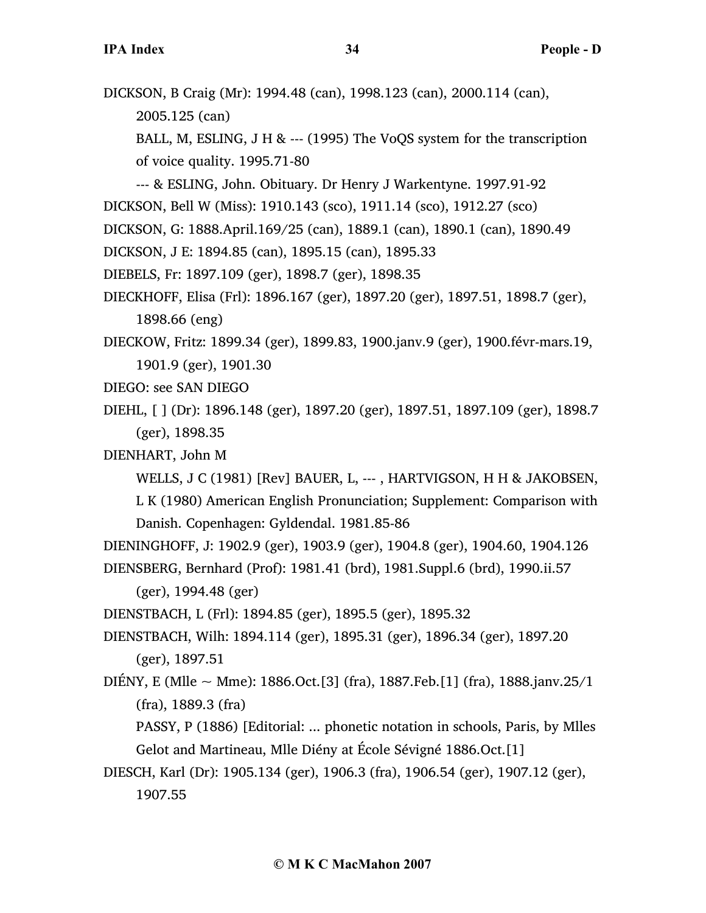DICKSON, B Craig (Mr): 1994.48 (can), 1998.123 (can), 2000.114 (can), 2005.125 (can)

BALL, M, ESLING, J H & --- (1995) The VoQS system for the transcription of voice quality. 1995.71-80

--- & ESLING, John. Obituary. Dr Henry J Warkentyne. 1997.91-92

DICKSON, Bell W (Miss): 1910.143 (sco), 1911.14 (sco), 1912.27 (sco)

- DICKSON, G: 1888.April.169/25 (can), 1889.1 (can), 1890.1 (can), 1890.49
- DICKSON, J E: 1894.85 (can), 1895.15 (can), 1895.33
- DIEBELS, Fr: 1897.109 (ger), 1898.7 (ger), 1898.35
- DIECKHOFF, Elisa (Frl): 1896.167 (ger), 1897.20 (ger), 1897.51, 1898.7 (ger), 1898.66 (eng)
- DIECKOW, Fritz: 1899.34 (ger), 1899.83, 1900.janv.9 (ger), 1900.févr-mars.19, 1901.9 (ger), 1901.30
- DIEGO: see SAN DIEGO
- DIEHL, [ ] (Dr): 1896.148 (ger), 1897.20 (ger), 1897.51, 1897.109 (ger), 1898.7 (ger), 1898.35
- DIENHART, John M

WELLS, J C (1981) [Rev] BAUER, L, --- , HARTVIGSON, H H & JAKOBSEN,

L K (1980) American English Pronunciation; Supplement: Comparison with Danish. Copenhagen: Gyldendal. 1981.85-86

DIENINGHOFF, J: 1902.9 (ger), 1903.9 (ger), 1904.8 (ger), 1904.60, 1904.126 DIENSBERG, Bernhard (Prof): 1981.41 (brd), 1981.Suppl.6 (brd), 1990.ii.57

(ger), 1994.48 (ger)

DIENSTBACH, L (Frl): 1894.85 (ger), 1895.5 (ger), 1895.32

DIENSTBACH, Wilh: 1894.114 (ger), 1895.31 (ger), 1896.34 (ger), 1897.20 (ger), 1897.51

DIÉNY, E (M $\text{lle} \sim \text{Mme}$ ): 1886.Oct.[3] (fra), 1887.Feb.[1] (fra), 1888.janv.25/1 (fra), 1889.3 (fra)

PASSY, P (1886) [Editorial: ... phonetic notation in schools, Paris, by Mlles Gelot and Martineau, Mlle Diény at École Sévigné 1886.Oct.[1]

DIESCH, Karl (Dr): 1905.134 (ger), 1906.3 (fra), 1906.54 (ger), 1907.12 (ger), 1907.55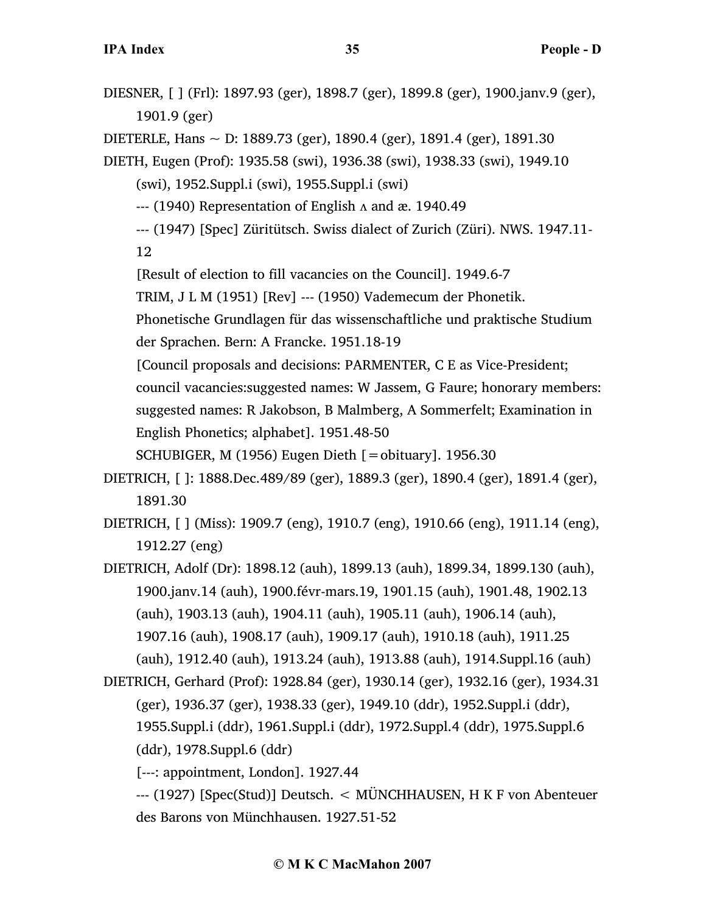DIESNER, [ ] (Frl): 1897.93 (ger), 1898.7 (ger), 1899.8 (ger), 1900.janv.9 (ger), 1901.9 (ger)

DIETERLE, Hans ~ D: 1889.73 (ger), 1890.4 (ger), 1891.4 (ger), 1891.30

DIETH, Eugen (Prof): 1935.58 (swi), 1936.38 (swi), 1938.33 (swi), 1949.10

(swi), 1952.Suppl.i (swi), 1955.Suppl.i (swi)

 $-$ -- $(1940)$  Representation of English  $\Lambda$  and æ. 1940.49

--- (1947) [Spec] Züritütsch. Swiss dialect of Zurich (Züri). NWS. 1947.11-

12

[Result of election to fill vacancies on the Council]. 1949.6-7

TRIM, J L M (1951) [Rev] --- (1950) Vademecum der Phonetik.

Phonetische Grundlagen für das wissenschaftliche und praktische Studium der Sprachen. Bern: A Francke. 1951.18-19

[Council proposals and decisions: PARMENTER, C E as Vice-President;

council vacancies:suggested names: W Jassem, G Faure; honorary members: suggested names: R Jakobson, B Malmberg, A Sommerfelt; Examination in English Phonetics; alphabet]. 1951.48-50

SCHUBIGER, M (1956) Eugen Dieth [=obituary]. 1956.30

- DIETRICH, [ ]: 1888.Dec.489/89 (ger), 1889.3 (ger), 1890.4 (ger), 1891.4 (ger), 1891.30
- DIETRICH, [ ] (Miss): 1909.7 (eng), 1910.7 (eng), 1910.66 (eng), 1911.14 (eng), 1912.27 (eng)
- DIETRICH, Adolf (Dr): 1898.12 (auh), 1899.13 (auh), 1899.34, 1899.130 (auh), 1900.janv.14 (auh), 1900.févr-mars.19, 1901.15 (auh), 1901.48, 1902.13 (auh), 1903.13 (auh), 1904.11 (auh), 1905.11 (auh), 1906.14 (auh), 1907.16 (auh), 1908.17 (auh), 1909.17 (auh), 1910.18 (auh), 1911.25 (auh), 1912.40 (auh), 1913.24 (auh), 1913.88 (auh), 1914.Suppl.16 (auh)
- DIETRICH, Gerhard (Prof): 1928.84 (ger), 1930.14 (ger), 1932.16 (ger), 1934.31 (ger), 1936.37 (ger), 1938.33 (ger), 1949.10 (ddr), 1952.Suppl.i (ddr), 1955.Suppl.i (ddr), 1961.Suppl.i (ddr), 1972.Suppl.4 (ddr), 1975.Suppl.6 (ddr), 1978.Suppl.6 (ddr)

[---: appointment, London]. 1927.44

--- (1927) [Spec(Stud)] Deutsch. < MÜNCHHAUSEN, H K F von Abenteuer des Barons von Münchhausen. 1927.51-52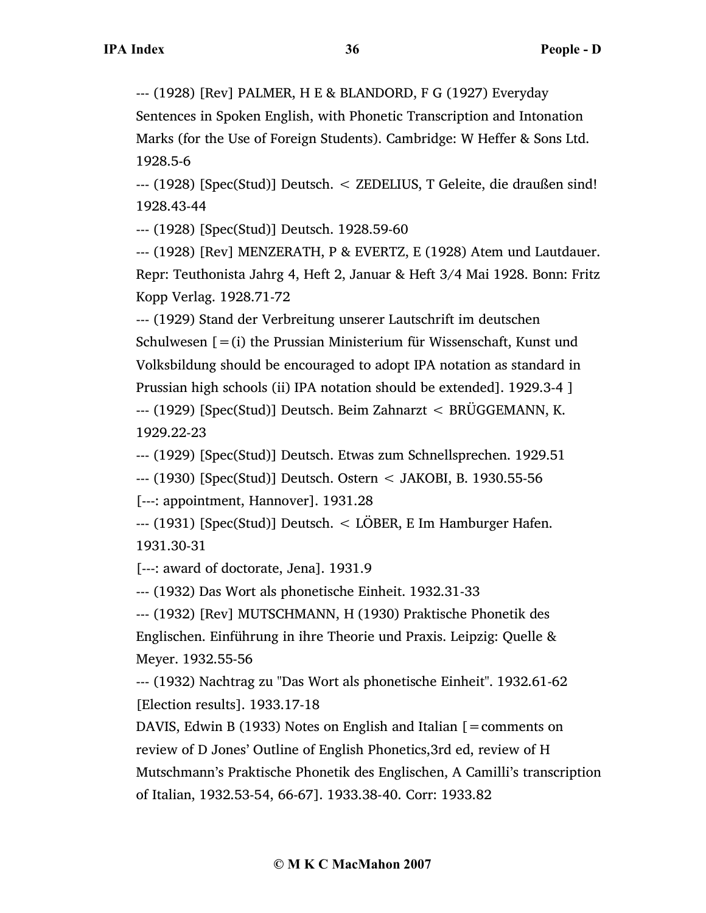--- (1928) [Rev] PALMER, H E & BLANDORD, F G (1927) Everyday

Sentences in Spoken English, with Phonetic Transcription and Intonation Marks (for the Use of Foreign Students). Cambridge: W Heffer & Sons Ltd. 1928.5-6

--- (1928) [Spec(Stud)] Deutsch. < ZEDELIUS, T Geleite, die draußen sind! 1928.43-44

--- (1928) [Spec(Stud)] Deutsch. 1928.59-60

--- (1928) [Rev] MENZERATH, P & EVERTZ, E (1928) Atem und Lautdauer. Repr: Teuthonista Jahrg 4, Heft 2, Januar & Heft 3/4 Mai 1928. Bonn: Fritz Kopp Verlag. 1928.71-72

--- (1929) Stand der Verbreitung unserer Lautschrift im deutschen Schulwesen  $[=(i)]$  the Prussian Ministerium für Wissenschaft, Kunst und Volksbildung should be encouraged to adopt IPA notation as standard in Prussian high schools (ii) IPA notation should be extended]. 1929.3-4 ] --- (1929) [Spec(Stud)] Deutsch. Beim Zahnarzt < BRÜGGEMANN, K. 1929.22-23

--- (1929) [Spec(Stud)] Deutsch. Etwas zum Schnellsprechen. 1929.51

--- (1930) [Spec(Stud)] Deutsch. Ostern < JAKOBI, B. 1930.55-56

[---: appointment, Hannover]. 1931.28

--- (1931) [Spec(Stud)] Deutsch. < LÖBER, E Im Hamburger Hafen. 1931.30-31

[---: award of doctorate, Jena]. 1931.9

--- (1932) Das Wort als phonetische Einheit. 1932.31-33

--- (1932) [Rev] MUTSCHMANN, H (1930) Praktische Phonetik des Englischen. Einführung in ihre Theorie und Praxis. Leipzig: Quelle & Meyer. 1932.55-56

--- (1932) Nachtrag zu "Das Wort als phonetische Einheit". 1932.61-62 [Election results]. 1933.17-18

DAVIS, Edwin B (1933) Notes on English and Italian  $\mathbf{r} = \mathbf{comments}$  on review of D Jones' Outline of English Phonetics,3rd ed, review of H Mutschmann's Praktische Phonetik des Englischen, A Camilli's transcription of Italian, 1932.53-54, 66-67]. 1933.38-40. Corr: 1933.82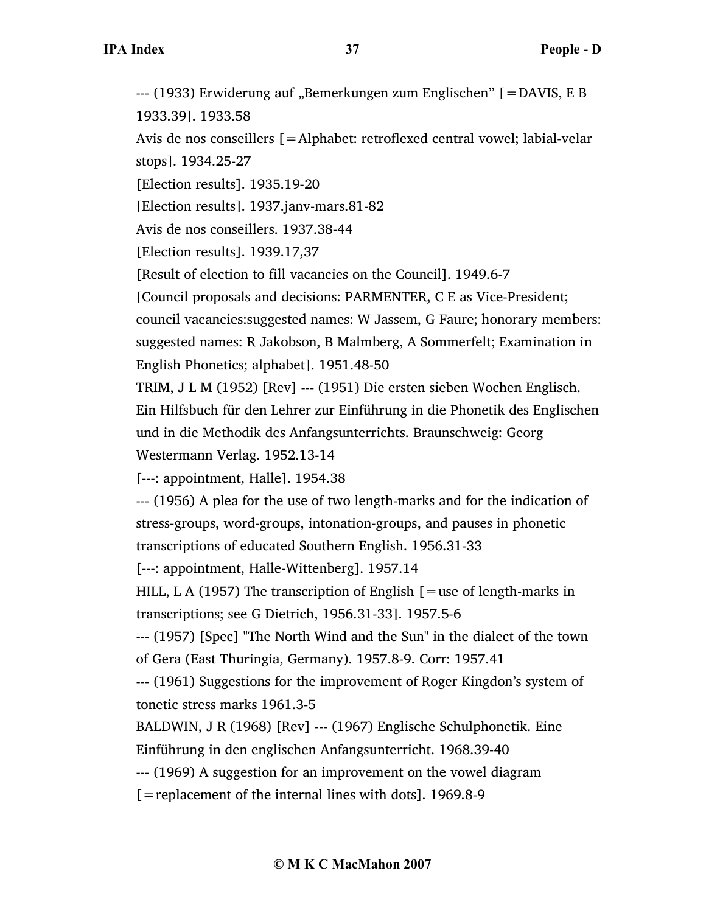--- (1933) Erwiderung auf "Bemerkungen zum Englischen" [=DAVIS, E B 1933.39]. 1933.58

Avis de nos conseillers [=Alphabet: retroflexed central vowel; labial-velar stops]. 1934.25-27

[Election results]. 1935.19-20

[Election results]. 1937.janv-mars.81-82

Avis de nos conseillers. 1937.38-44

[Election results]. 1939.17,37

[Result of election to fill vacancies on the Council]. 1949.6-7

[Council proposals and decisions: PARMENTER, C E as Vice-President;

council vacancies:suggested names: W Jassem, G Faure; honorary members:

suggested names: R Jakobson, B Malmberg, A Sommerfelt; Examination in English Phonetics; alphabet]. 1951.48-50

TRIM, J L M (1952) [Rev] --- (1951) Die ersten sieben Wochen Englisch.

Ein Hilfsbuch für den Lehrer zur Einführung in die Phonetik des Englischen und in die Methodik des Anfangsunterrichts. Braunschweig: Georg

Westermann Verlag. 1952.13-14

[---: appointment, Halle]. 1954.38

--- (1956) A plea for the use of two length-marks and for the indication of stress-groups, word-groups, intonation-groups, and pauses in phonetic transcriptions of educated Southern English. 1956.31-33

[---: appointment, Halle-Wittenberg]. 1957.14

HILL, L A (1957) The transcription of English  $\mathfrak{f}$  = use of length-marks in transcriptions; see G Dietrich, 1956.31-33]. 1957.5-6

--- (1957) [Spec] "The North Wind and the Sun" in the dialect of the town of Gera (East Thuringia, Germany). 1957.8-9. Corr: 1957.41

--- (1961) Suggestions for the improvement of Roger Kingdon's system of tonetic stress marks 1961.3-5

BALDWIN, J R (1968) [Rev] --- (1967) Englische Schulphonetik. Eine Einführung in den englischen Anfangsunterricht. 1968.39-40

--- (1969) A suggestion for an improvement on the vowel diagram

[=replacement of the internal lines with dots]. 1969.8-9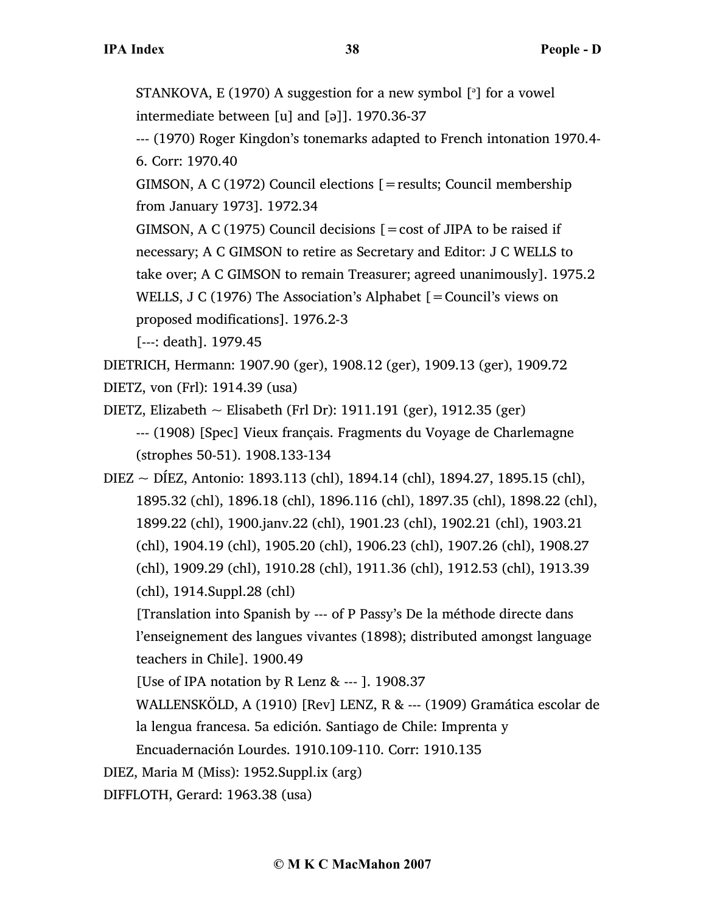STANKOVA, E (1970) A suggestion for a new symbol [<sup>3</sup>] for a vowel intermediate between [u] and [ə]]. 1970.36-37

--- (1970) Roger Kingdon's tonemarks adapted to French intonation 1970.4- 6. Corr: 1970.40

GIMSON, A C (1972) Council elections [=results; Council membership from January 1973]. 1972.34

GIMSON, A C (1975) Council decisions  $\mathbf{r} = \cos t$  of JIPA to be raised if necessary; A C GIMSON to retire as Secretary and Editor: J C WELLS to take over; A C GIMSON to remain Treasurer; agreed unanimously]. 1975.2 WELLS, J C (1976) The Association's Alphabet [=Council's views on proposed modifications]. 1976.2-3

[---: death]. 1979.45

DIETRICH, Hermann: 1907.90 (ger), 1908.12 (ger), 1909.13 (ger), 1909.72

DIETZ, von (Frl): 1914.39 (usa)

DIETZ, Elizabeth  $\sim$  Elisabeth (Frl Dr): 1911.191 (ger), 1912.35 (ger) --- (1908) [Spec] Vieux français. Fragments du Voyage de Charlemagne (strophes 50-51). 1908.133-134

DIEZ ~ DÍEZ, Antonio: 1893.113 (chl), 1894.14 (chl), 1894.27, 1895.15 (chl), 1895.32 (chl), 1896.18 (chl), 1896.116 (chl), 1897.35 (chl), 1898.22 (chl), 1899.22 (chl), 1900.janv.22 (chl), 1901.23 (chl), 1902.21 (chl), 1903.21 (chl), 1904.19 (chl), 1905.20 (chl), 1906.23 (chl), 1907.26 (chl), 1908.27 (chl), 1909.29 (chl), 1910.28 (chl), 1911.36 (chl), 1912.53 (chl), 1913.39 (chl), 1914.Suppl.28 (chl)

[Translation into Spanish by --- of P Passy's De la méthode directe dans l'enseignement des langues vivantes (1898); distributed amongst language teachers in Chile]. 1900.49

[Use of IPA notation by R Lenz & --- ]. 1908.37

WALLENSKÖLD, A (1910) [Rev] LENZ, R & --- (1909) Gramática escolar de la lengua francesa. 5a edición. Santiago de Chile: Imprenta y

Encuadernación Lourdes. 1910.109-110. Corr: 1910.135

DIEZ, Maria M (Miss): 1952.Suppl.ix (arg)

DIFFLOTH, Gerard: 1963.38 (usa)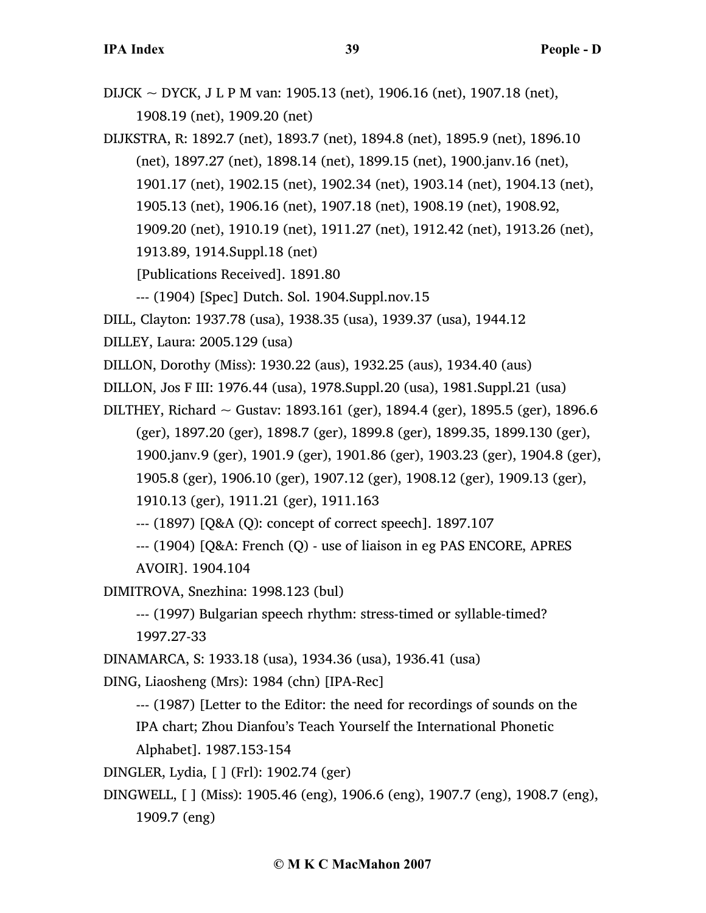- DIJCK ~ DYCK, J L P M van: 1905.13 (net), 1906.16 (net), 1907.18 (net), 1908.19 (net), 1909.20 (net)
- DIJKSTRA, R: 1892.7 (net), 1893.7 (net), 1894.8 (net), 1895.9 (net), 1896.10 (net), 1897.27 (net), 1898.14 (net), 1899.15 (net), 1900.janv.16 (net), 1901.17 (net), 1902.15 (net), 1902.34 (net), 1903.14 (net), 1904.13 (net), 1905.13 (net), 1906.16 (net), 1907.18 (net), 1908.19 (net), 1908.92, 1909.20 (net), 1910.19 (net), 1911.27 (net), 1912.42 (net), 1913.26 (net),

1913.89, 1914.Suppl.18 (net)

[Publications Received]. 1891.80

--- (1904) [Spec] Dutch. Sol. 1904.Suppl.nov.15

DILL, Clayton: 1937.78 (usa), 1938.35 (usa), 1939.37 (usa), 1944.12

DILLEY, Laura: 2005.129 (usa)

DILLON, Dorothy (Miss): 1930.22 (aus), 1932.25 (aus), 1934.40 (aus)

DILLON, Jos F III: 1976.44 (usa), 1978.Suppl.20 (usa), 1981.Suppl.21 (usa)

DILTHEY, Richard  $\sim$  Gustav: 1893.161 (ger), 1894.4 (ger), 1895.5 (ger), 1896.6 (ger), 1897.20 (ger), 1898.7 (ger), 1899.8 (ger), 1899.35, 1899.130 (ger), 1900.janv.9 (ger), 1901.9 (ger), 1901.86 (ger), 1903.23 (ger), 1904.8 (ger), 1905.8 (ger), 1906.10 (ger), 1907.12 (ger), 1908.12 (ger), 1909.13 (ger), 1910.13 (ger), 1911.21 (ger), 1911.163

--- (1897) [Q&A (Q): concept of correct speech]. 1897.107

--- (1904) [Q&A: French (Q) - use of liaison in eg PAS ENCORE, APRES

AVOIR]. 1904.104

DIMITROVA, Snezhina: 1998.123 (bul)

--- (1997) Bulgarian speech rhythm: stress-timed or syllable-timed? 1997.27-33

DINAMARCA, S: 1933.18 (usa), 1934.36 (usa), 1936.41 (usa)

DING, Liaosheng (Mrs): 1984 (chn) [IPA-Rec]

--- (1987) [Letter to the Editor: the need for recordings of sounds on the

IPA chart; Zhou Dianfou's Teach Yourself the International Phonetic

Alphabet]. 1987.153-154

DINGLER, Lydia, [ ] (Frl): 1902.74 (ger)

DINGWELL, [ ] (Miss): 1905.46 (eng), 1906.6 (eng), 1907.7 (eng), 1908.7 (eng), 1909.7 (eng)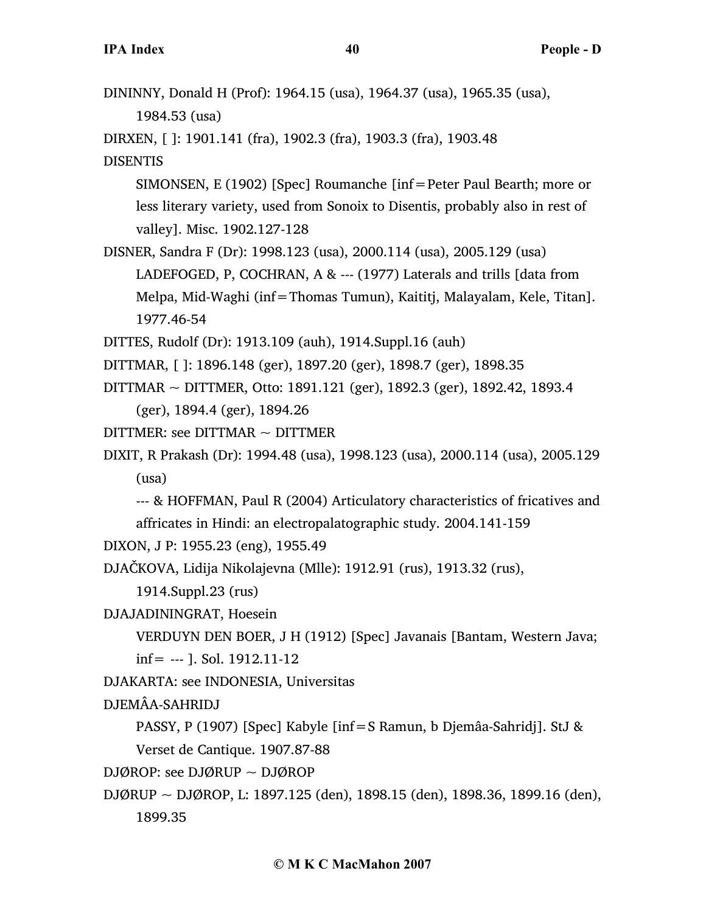| DININNY, Donald H (Prof): 1964.15 (usa), 1964.37 (usa), 1965.35 (usa),         |
|--------------------------------------------------------------------------------|
| 1984.53 (usa)                                                                  |
| DIRXEN, []: 1901.141 (fra), 1902.3 (fra), 1903.3 (fra), 1903.48                |
| <b>DISENTIS</b>                                                                |
| SIMONSEN, E (1902) [Spec] Roumanche [inf = Peter Paul Bearth; more or          |
| less literary variety, used from Sonoix to Disentis, probably also in rest of  |
| valley]. Misc. 1902.127-128                                                    |
| DISNER, Sandra F (Dr): 1998.123 (usa), 2000.114 (usa), 2005.129 (usa)          |
| LADEFOGED, P, COCHRAN, A & --- (1977) Laterals and trills [data from           |
| Melpa, Mid-Waghi (inf=Thomas Tumun), Kaititj, Malayalam, Kele, Titan].         |
| 1977.46-54                                                                     |
| DITTES, Rudolf (Dr): 1913.109 (auh), 1914.Suppl.16 (auh)                       |
| DITTMAR, []: 1896.148 (ger), 1897.20 (ger), 1898.7 (ger), 1898.35              |
| DITTMAR ~ DITTMER, Otto: 1891.121 (ger), 1892.3 (ger), 1892.42, 1893.4         |
| (ger), 1894.4 (ger), 1894.26                                                   |
| DITTMER: see DITTMAR $\sim$ DITTMER                                            |
| DIXIT, R Prakash (Dr): 1994.48 (usa), 1998.123 (usa), 2000.114 (usa), 2005.129 |
| (usa)                                                                          |
| --- & HOFFMAN, Paul R (2004) Articulatory characteristics of fricatives and    |
| affricates in Hindi: an electropalatographic study. 2004.141-159               |
| DIXON, J P: 1955.23 (eng), 1955.49                                             |
| DJAČKOVA, Lidija Nikolajevna (Mlle): 1912.91 (rus), 1913.32 (rus),             |
| 1914.Suppl.23 (rus)                                                            |
| DJAJADININGRAT, Hoesein                                                        |
| VERDUYN DEN BOER, J H (1912) [Spec] Javanais [Bantam, Western Java;            |
| $inf =$ --- ]. Sol. 1912.11-12                                                 |
| DJAKARTA: see INDONESIA, Universitas                                           |
| DJEMÂA-SAHRIDJ                                                                 |
| PASSY, P (1907) [Spec] Kabyle [inf = S Ramun, b Djemâa-Sahridj]. StJ &         |
| Verset de Cantique. 1907.87-88                                                 |
| DJØROP: see DJØRUP $\sim$ DJØROP                                               |
| DJØRUP ~ DJØROP, L: 1897.125 (den), 1898.15 (den), 1898.36, 1899.16 (den),     |
| 1899.35                                                                        |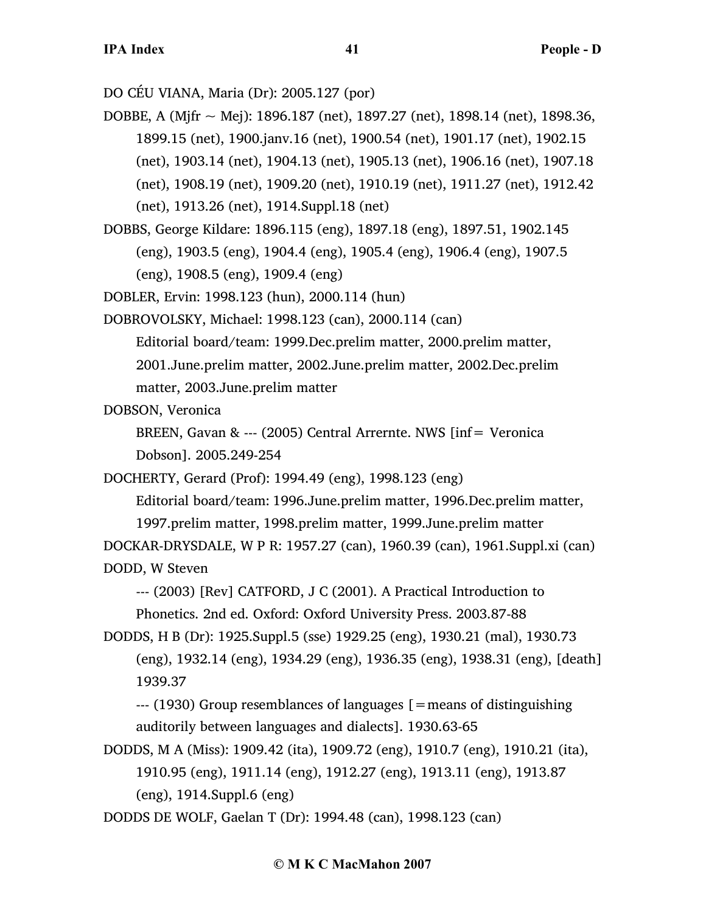DO CÉU VIANA, Maria (Dr): 2005.127 (por)

DOBBE, A (Mjfr  $\sim$  Mej): 1896.187 (net), 1897.27 (net), 1898.14 (net), 1898.36, 1899.15 (net), 1900.janv.16 (net), 1900.54 (net), 1901.17 (net), 1902.15 (net), 1903.14 (net), 1904.13 (net), 1905.13 (net), 1906.16 (net), 1907.18 (net), 1908.19 (net), 1909.20 (net), 1910.19 (net), 1911.27 (net), 1912.42 (net), 1913.26 (net), 1914.Suppl.18 (net)

DOBBS, George Kildare: 1896.115 (eng), 1897.18 (eng), 1897.51, 1902.145 (eng), 1903.5 (eng), 1904.4 (eng), 1905.4 (eng), 1906.4 (eng), 1907.5 (eng), 1908.5 (eng), 1909.4 (eng)

DOBLER, Ervin: 1998.123 (hun), 2000.114 (hun)

DOBROVOLSKY, Michael: 1998.123 (can), 2000.114 (can) Editorial board/team: 1999.Dec.prelim matter, 2000.prelim matter,

2001.June.prelim matter, 2002.June.prelim matter, 2002.Dec.prelim matter, 2003.June.prelim matter

DOBSON, Veronica

BREEN, Gavan & --- (2005) Central Arrernte. NWS [inf= Veronica Dobson]. 2005.249-254

DOCHERTY, Gerard (Prof): 1994.49 (eng), 1998.123 (eng)

Editorial board/team: 1996.June.prelim matter, 1996.Dec.prelim matter, 1997.prelim matter, 1998.prelim matter, 1999.June.prelim matter DOCKAR-DRYSDALE, W P R: 1957.27 (can), 1960.39 (can), 1961.Suppl.xi (can)

DODD, W Steven

--- (2003) [Rev] CATFORD, J C (2001). A Practical Introduction to

Phonetics. 2nd ed. Oxford: Oxford University Press. 2003.87-88

DODDS, H B (Dr): 1925.Suppl.5 (sse) 1929.25 (eng), 1930.21 (mal), 1930.73 (eng), 1932.14 (eng), 1934.29 (eng), 1936.35 (eng), 1938.31 (eng), [death] 1939.37

--- (1930) Group resemblances of languages [=means of distinguishing auditorily between languages and dialects]. 1930.63-65

DODDS, M A (Miss): 1909.42 (ita), 1909.72 (eng), 1910.7 (eng), 1910.21 (ita), 1910.95 (eng), 1911.14 (eng), 1912.27 (eng), 1913.11 (eng), 1913.87 (eng), 1914.Suppl.6 (eng)

DODDS DE WOLF, Gaelan T (Dr): 1994.48 (can), 1998.123 (can)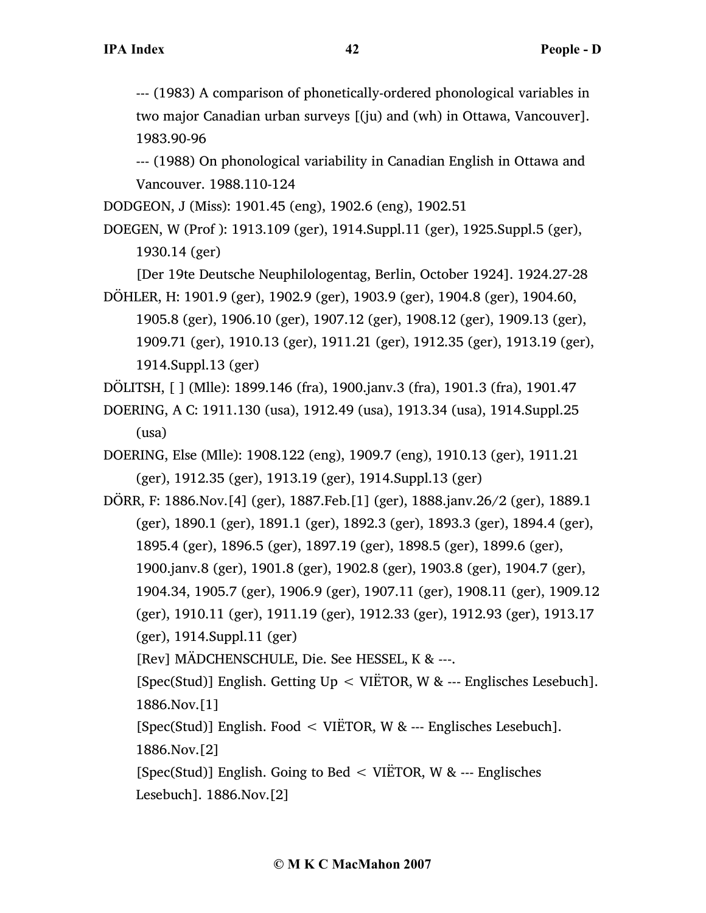--- (1983) A comparison of phonetically-ordered phonological variables in two major Canadian urban surveys [(ju) and (wh) in Ottawa, Vancouver]. 1983.90-96

--- (1988) On phonological variability in Canadian English in Ottawa and Vancouver. 1988.110-124

DODGEON, J (Miss): 1901.45 (eng), 1902.6 (eng), 1902.51

DOEGEN, W (Prof ): 1913.109 (ger), 1914.Suppl.11 (ger), 1925.Suppl.5 (ger), 1930.14 (ger)

[Der 19te Deutsche Neuphilologentag, Berlin, October 1924]. 1924.27-28 DÖHLER, H: 1901.9 (ger), 1902.9 (ger), 1903.9 (ger), 1904.8 (ger), 1904.60,

1905.8 (ger), 1906.10 (ger), 1907.12 (ger), 1908.12 (ger), 1909.13 (ger), 1909.71 (ger), 1910.13 (ger), 1911.21 (ger), 1912.35 (ger), 1913.19 (ger), 1914.Suppl.13 (ger)

DÖLITSH, [ ] (Mlle): 1899.146 (fra), 1900.janv.3 (fra), 1901.3 (fra), 1901.47

DOERING, A C: 1911.130 (usa), 1912.49 (usa), 1913.34 (usa), 1914.Suppl.25 (usa)

DOERING, Else (Mlle): 1908.122 (eng), 1909.7 (eng), 1910.13 (ger), 1911.21 (ger), 1912.35 (ger), 1913.19 (ger), 1914.Suppl.13 (ger)

DÖRR, F: 1886.Nov.[4] (ger), 1887.Feb.[1] (ger), 1888.janv.26/2 (ger), 1889.1 (ger), 1890.1 (ger), 1891.1 (ger), 1892.3 (ger), 1893.3 (ger), 1894.4 (ger), 1895.4 (ger), 1896.5 (ger), 1897.19 (ger), 1898.5 (ger), 1899.6 (ger), 1900.janv.8 (ger), 1901.8 (ger), 1902.8 (ger), 1903.8 (ger), 1904.7 (ger), 1904.34, 1905.7 (ger), 1906.9 (ger), 1907.11 (ger), 1908.11 (ger), 1909.12 (ger), 1910.11 (ger), 1911.19 (ger), 1912.33 (ger), 1912.93 (ger), 1913.17 (ger), 1914.Suppl.11 (ger)

[Rev] MÄDCHENSCHULE, Die. See HESSEL, K & ---.

[Spec(Stud)] English. Getting  $Up < VIETOR$ , W & --- Englisches Lesebuch]. 1886.Nov.[1]

[Spec(Stud)] English. Food < VIËTOR, W & --- Englisches Lesebuch]. 1886.Nov.[2]

[Spec(Stud)] English. Going to Bed < VIËTOR, W & --- Englisches Lesebuch]. 1886.Nov.[2]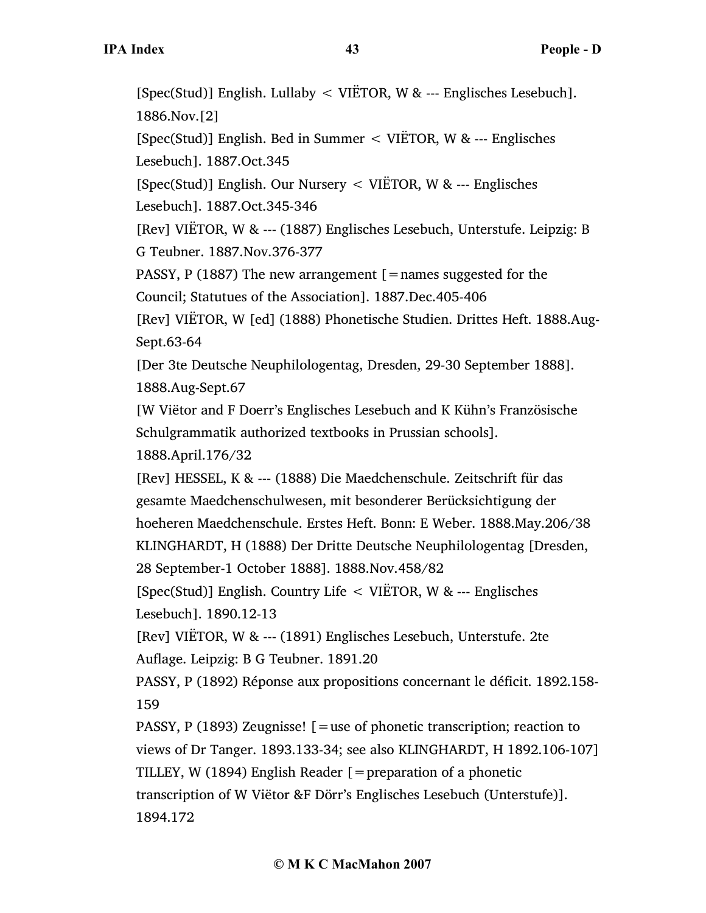[Spec(Stud)] English. Lullaby < VIËTOR, W & --- Englisches Lesebuch]. 1886.Nov.[2] [Spec(Stud)] English. Bed in Summer < VIËTOR, W & --- Englisches Lesebuch]. 1887.Oct.345 [Spec(Stud)] English. Our Nursery < VIËTOR, W & --- Englisches Lesebuch]. 1887.Oct.345-346 [Rev] VIËTOR, W & --- (1887) Englisches Lesebuch, Unterstufe. Leipzig: B G Teubner. 1887.Nov.376-377 PASSY, P (1887) The new arrangement  $\mathfrak{[}=$  names suggested for the Council; Statutues of the Association]. 1887.Dec.405-406 [Rev] VIËTOR, W [ed] (1888) Phonetische Studien. Drittes Heft. 1888.Aug-Sept.63-64 [Der 3te Deutsche Neuphilologentag, Dresden, 29-30 September 1888]. 1888.Aug-Sept.67 [W Viëtor and F Doerr's Englisches Lesebuch and K Kühn's Französische Schulgrammatik authorized textbooks in Prussian schools]. 1888.April.176/32 [Rev] HESSEL, K & --- (1888) Die Maedchenschule. Zeitschrift für das gesamte Maedchenschulwesen, mit besonderer Berücksichtigung der hoeheren Maedchenschule. Erstes Heft. Bonn: E Weber. 1888.May.206/38 KLINGHARDT, H (1888) Der Dritte Deutsche Neuphilologentag [Dresden, 28 September-1 October 1888]. 1888.Nov.458/82 [Spec(Stud)] English. Country Life < VIËTOR, W & --- Englisches Lesebuch]. 1890.12-13 [Rev] VIËTOR, W & --- (1891) Englisches Lesebuch, Unterstufe. 2te Auflage. Leipzig: B G Teubner. 1891.20 PASSY, P (1892) Réponse aux propositions concernant le déficit. 1892.158- 159 PASSY, P (1893) Zeugnisse! [=use of phonetic transcription; reaction to views of Dr Tanger. 1893.133-34; see also KLINGHARDT, H 1892.106-107] TILLEY, W (1894) English Reader  $[$  = preparation of a phonetic transcription of W Viëtor &F Dörr's Englisches Lesebuch (Unterstufe)]. 1894.172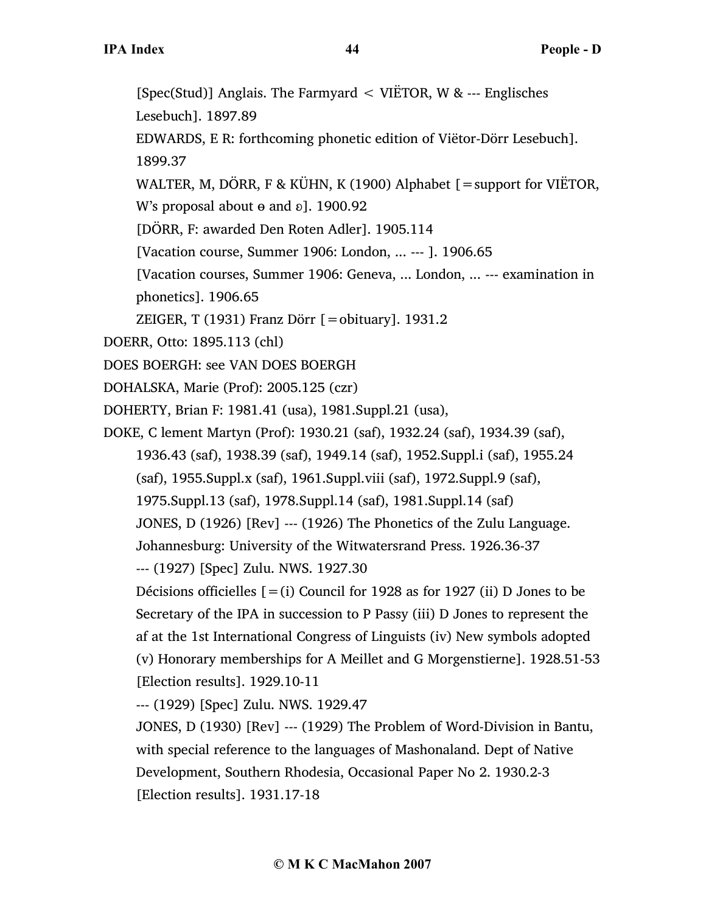[Spec(Stud)] Anglais. The Farmyard < VIËTOR, W & --- Englisches Lesebuch]. 1897.89 EDWARDS, E R: forthcoming phonetic edition of Viëtor-Dörr Lesebuch]. 1899.37 WALTER, M, DÖRR, F & KÜHN, K (1900) Alphabet [=support for VIËTOR, W's proposal about  $\theta$  and  $\delta$ ]. 1900.92 [DÖRR, F: awarded Den Roten Adler]. 1905.114 [Vacation course, Summer 1906: London, ... --- ]. 1906.65 [Vacation courses, Summer 1906: Geneva, ... London, ... --- examination in phonetics]. 1906.65 ZEIGER, T (1931) Franz Dörr  $\lceil = \text{obituary} \rceil$ . 1931.2 DOERR, Otto: 1895.113 (chl) DOES BOERGH: see VAN DOES BOERGH DOHALSKA, Marie (Prof): 2005.125 (czr) DOHERTY, Brian F: 1981.41 (usa), 1981.Suppl.21 (usa), DOKE, C lement Martyn (Prof): 1930.21 (saf), 1932.24 (saf), 1934.39 (saf), 1936.43 (saf), 1938.39 (saf), 1949.14 (saf), 1952.Suppl.i (saf), 1955.24 (saf), 1955.Suppl.x (saf), 1961.Suppl.viii (saf), 1972.Suppl.9 (saf), 1975.Suppl.13 (saf), 1978.Suppl.14 (saf), 1981.Suppl.14 (saf) JONES, D (1926) [Rev] --- (1926) The Phonetics of the Zulu Language. Johannesburg: University of the Witwatersrand Press. 1926.36-37 --- (1927) [Spec] Zulu. NWS. 1927.30 Décisions officielles  $[=(i)$  Council for 1928 as for 1927 (ii) D Jones to be Secretary of the IPA in succession to P Passy (iii) D Jones to represent the af at the 1st International Congress of Linguists (iv) New symbols adopted (v) Honorary memberships for A Meillet and G Morgenstierne]. 1928.51-53 [Election results]. 1929.10-11 --- (1929) [Spec] Zulu. NWS. 1929.47 JONES, D (1930) [Rev] --- (1929) The Problem of Word-Division in Bantu, with special reference to the languages of Mashonaland. Dept of Native Development, Southern Rhodesia, Occasional Paper No 2. 1930.2-3

[Election results]. 1931.17-18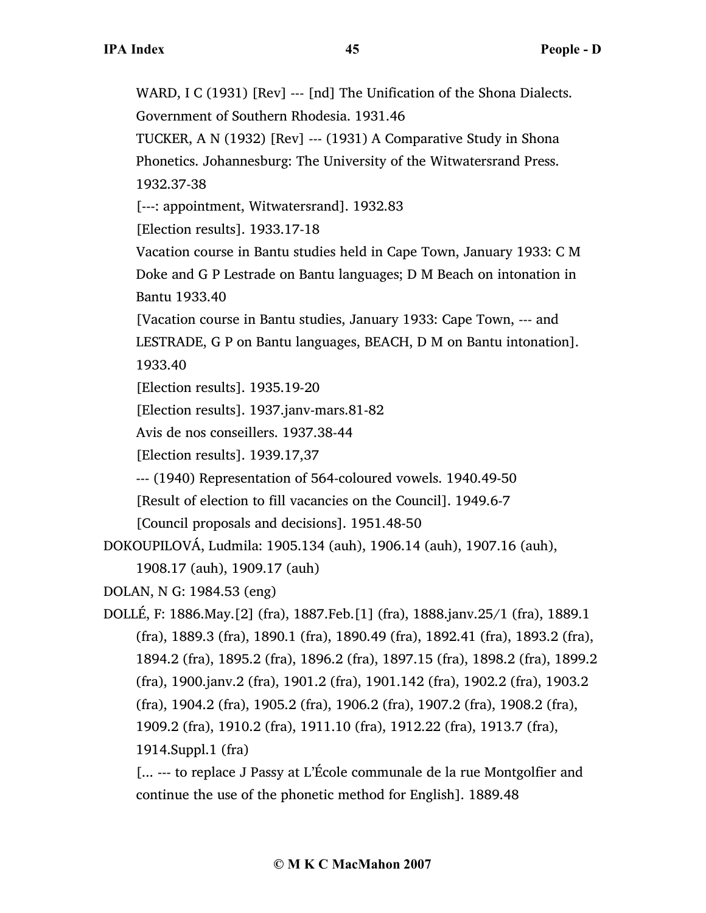WARD, I C (1931) [Rev] --- [nd] The Unification of the Shona Dialects. Government of Southern Rhodesia. 1931.46 TUCKER, A N (1932) [Rev] --- (1931) A Comparative Study in Shona Phonetics. Johannesburg: The University of the Witwatersrand Press. 1932.37-38 [---: appointment, Witwatersrand]. 1932.83 [Election results]. 1933.17-18 Vacation course in Bantu studies held in Cape Town, January 1933: C M Doke and G P Lestrade on Bantu languages; D M Beach on intonation in Bantu 1933.40 [Vacation course in Bantu studies, January 1933: Cape Town, --- and LESTRADE, G P on Bantu languages, BEACH, D M on Bantu intonation]. 1933.40 [Election results]. 1935.19-20 [Election results]. 1937.janv-mars.81-82 Avis de nos conseillers. 1937.38-44 [Election results]. 1939.17,37 --- (1940) Representation of 564-coloured vowels. 1940.49-50 [Result of election to fill vacancies on the Council]. 1949.6-7 [Council proposals and decisions]. 1951.48-50 DOKOUPILOVÁ, Ludmila: 1905.134 (auh), 1906.14 (auh), 1907.16 (auh), 1908.17 (auh), 1909.17 (auh) DOLAN, N G: 1984.53 (eng) DOLLÉ, F: 1886.May.[2] (fra), 1887.Feb.[1] (fra), 1888.janv.25/1 (fra), 1889.1 (fra), 1889.3 (fra), 1890.1 (fra), 1890.49 (fra), 1892.41 (fra), 1893.2 (fra), 1894.2 (fra), 1895.2 (fra), 1896.2 (fra), 1897.15 (fra), 1898.2 (fra), 1899.2 (fra), 1900.janv.2 (fra), 1901.2 (fra), 1901.142 (fra), 1902.2 (fra), 1903.2 (fra), 1904.2 (fra), 1905.2 (fra), 1906.2 (fra), 1907.2 (fra), 1908.2 (fra), 1909.2 (fra), 1910.2 (fra), 1911.10 (fra), 1912.22 (fra), 1913.7 (fra), 1914.Suppl.1 (fra)

[... --- to replace J Passy at L'École communale de la rue Montgolfier and continue the use of the phonetic method for English]. 1889.48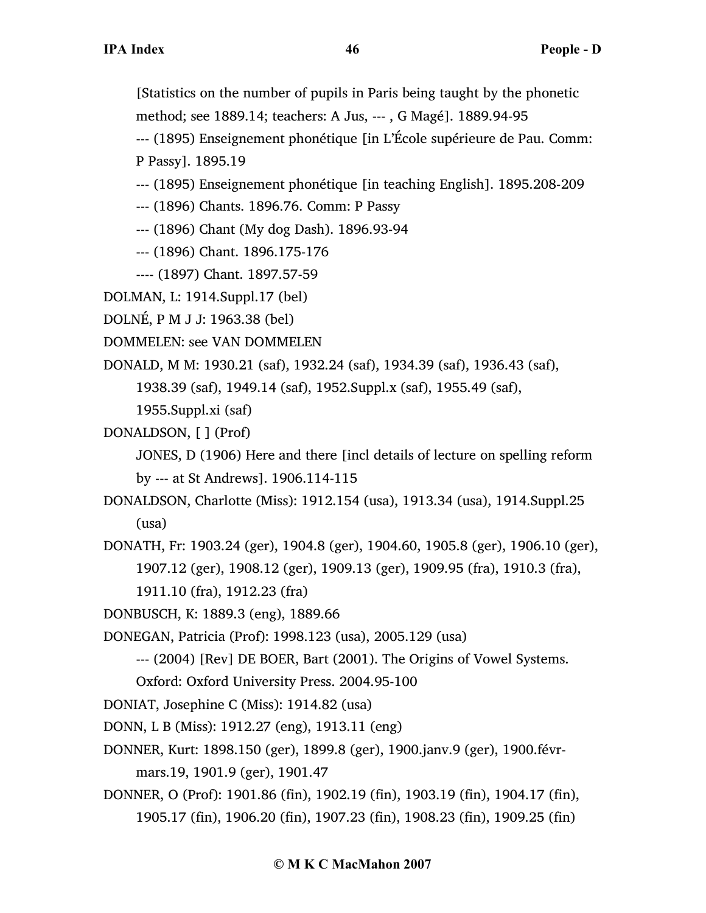[Statistics on the number of pupils in Paris being taught by the phonetic method; see 1889.14; teachers: A Jus, --- , G Magé]. 1889.94-95

--- (1895) Enseignement phonétique [in L'École supérieure de Pau. Comm:

P Passy]. 1895.19

- --- (1895) Enseignement phonétique [in teaching English]. 1895.208-209
- --- (1896) Chants. 1896.76. Comm: P Passy
- --- (1896) Chant (My dog Dash). 1896.93-94
- --- (1896) Chant. 1896.175-176
- ---- (1897) Chant. 1897.57-59
- DOLMAN, L: 1914.Suppl.17 (bel)
- DOLNÉ, P M J J: 1963.38 (bel)
- DOMMELEN: see VAN DOMMELEN

DONALD, M M: 1930.21 (saf), 1932.24 (saf), 1934.39 (saf), 1936.43 (saf),

1938.39 (saf), 1949.14 (saf), 1952.Suppl.x (saf), 1955.49 (saf),

1955.Suppl.xi (saf)

DONALDSON, [ ] (Prof)

JONES, D (1906) Here and there [incl details of lecture on spelling reform by --- at St Andrews]. 1906.114-115

- DONALDSON, Charlotte (Miss): 1912.154 (usa), 1913.34 (usa), 1914.Suppl.25 (usa)
- DONATH, Fr: 1903.24 (ger), 1904.8 (ger), 1904.60, 1905.8 (ger), 1906.10 (ger), 1907.12 (ger), 1908.12 (ger), 1909.13 (ger), 1909.95 (fra), 1910.3 (fra), 1911.10 (fra), 1912.23 (fra)
- DONBUSCH, K: 1889.3 (eng), 1889.66

DONEGAN, Patricia (Prof): 1998.123 (usa), 2005.129 (usa)

--- (2004) [Rev] DE BOER, Bart (2001). The Origins of Vowel Systems. Oxford: Oxford University Press. 2004.95-100

DONIAT, Josephine C (Miss): 1914.82 (usa)

- DONN, L B (Miss): 1912.27 (eng), 1913.11 (eng)
- DONNER, Kurt: 1898.150 (ger), 1899.8 (ger), 1900.janv.9 (ger), 1900.févr-

mars.19, 1901.9 (ger), 1901.47

DONNER, O (Prof): 1901.86 (fin), 1902.19 (fin), 1903.19 (fin), 1904.17 (fin), 1905.17 (fin), 1906.20 (fin), 1907.23 (fin), 1908.23 (fin), 1909.25 (fin)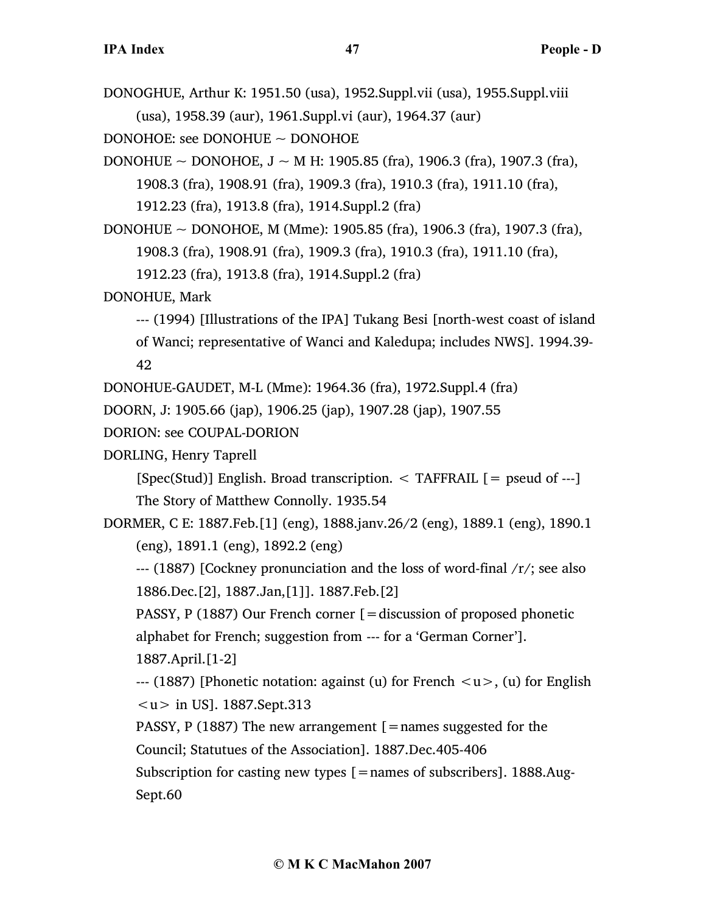DONOGHUE, Arthur K: 1951.50 (usa), 1952.Suppl.vii (usa), 1955.Suppl.viii (usa), 1958.39 (aur), 1961.Suppl.vi (aur), 1964.37 (aur)

DONOHOE: see DONOHUE ~ DONOHOE

DONOHUE ~ DONOHOE,  $J \sim M$  H: 1905.85 (fra), 1906.3 (fra), 1907.3 (fra), 1908.3 (fra), 1908.91 (fra), 1909.3 (fra), 1910.3 (fra), 1911.10 (fra),

1912.23 (fra), 1913.8 (fra), 1914.Suppl.2 (fra)

DONOHUE ~ DONOHOE, M (Mme): 1905.85 (fra), 1906.3 (fra), 1907.3 (fra), 1908.3 (fra), 1908.91 (fra), 1909.3 (fra), 1910.3 (fra), 1911.10 (fra), 1912.23 (fra), 1913.8 (fra), 1914.Suppl.2 (fra)

DONOHUE, Mark

--- (1994) [Illustrations of the IPA] Tukang Besi [north-west coast of island of Wanci; representative of Wanci and Kaledupa; includes NWS]. 1994.39- 42

DONOHUE-GAUDET, M-L (Mme): 1964.36 (fra), 1972.Suppl.4 (fra)

DOORN, J: 1905.66 (jap), 1906.25 (jap), 1907.28 (jap), 1907.55

DORION: see COUPAL-DORION

DORLING, Henry Taprell

 $[Spec(Stud)]$  English. Broad transcription.  $\leq$  TAFFRAIL  $[=$  pseud of ---

The Story of Matthew Connolly. 1935.54

DORMER, C E: 1887.Feb.[1] (eng), 1888.janv.26/2 (eng), 1889.1 (eng), 1890.1 (eng), 1891.1 (eng), 1892.2 (eng)

 $-$ -- (1887) [Cockney pronunciation and the loss of word-final  $/r$ ; see also 1886.Dec.[2], 1887.Jan,[1]]. 1887.Feb.[2]

PASSY, P (1887) Our French corner [=discussion of proposed phonetic alphabet for French; suggestion from --- for a 'German Corner'].

1887.April.[1-2]

 $-$ -- (1887) [Phonetic notation: against (u) for French  $\langle u \rangle$ , (u) for English  $|1 \rangle$  in US]. 1887.Sept.313

PASSY, P (1887) The new arrangement  $[$  = names suggested for the Council; Statutues of the Association]. 1887.Dec.405-406

Subscription for casting new types  $[ =$ names of subscribers]. 1888.Aug-Sept.60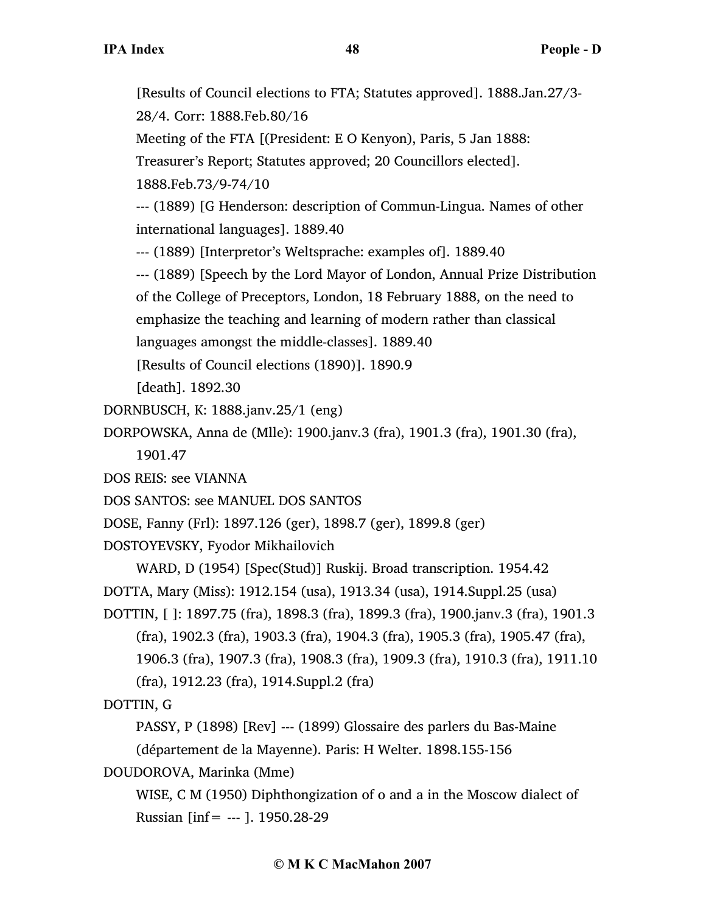[Results of Council elections to FTA; Statutes approved]. 1888.Jan.27/3- 28/4. Corr: 1888.Feb.80/16

Meeting of the FTA [(President: E O Kenyon), Paris, 5 Jan 1888:

Treasurer's Report; Statutes approved; 20 Councillors elected].

1888.Feb.73/9-74/10

--- (1889) [G Henderson: description of Commun-Lingua. Names of other international languages]. 1889.40

--- (1889) [Interpretor's Weltsprache: examples of]. 1889.40

--- (1889) [Speech by the Lord Mayor of London, Annual Prize Distribution of the College of Preceptors, London, 18 February 1888, on the need to emphasize the teaching and learning of modern rather than classical languages amongst the middle-classes]. 1889.40

[Results of Council elections (1890)]. 1890.9

[death]. 1892.30

DORNBUSCH, K: 1888.janv.25/1 (eng)

DORPOWSKA, Anna de (Mlle): 1900.janv.3 (fra), 1901.3 (fra), 1901.30 (fra), 1901.47

DOS REIS: see VIANNA

DOS SANTOS: see MANUEL DOS SANTOS

DOSE, Fanny (Frl): 1897.126 (ger), 1898.7 (ger), 1899.8 (ger)

DOSTOYEVSKY, Fyodor Mikhailovich

WARD, D (1954) [Spec(Stud)] Ruskij. Broad transcription. 1954.42

DOTTA, Mary (Miss): 1912.154 (usa), 1913.34 (usa), 1914.Suppl.25 (usa)

DOTTIN, [ ]: 1897.75 (fra), 1898.3 (fra), 1899.3 (fra), 1900.janv.3 (fra), 1901.3 (fra), 1902.3 (fra), 1903.3 (fra), 1904.3 (fra), 1905.3 (fra), 1905.47 (fra), 1906.3 (fra), 1907.3 (fra), 1908.3 (fra), 1909.3 (fra), 1910.3 (fra), 1911.10

(fra), 1912.23 (fra), 1914.Suppl.2 (fra)

DOTTIN, G

PASSY, P (1898) [Rev] --- (1899) Glossaire des parlers du Bas-Maine (département de la Mayenne). Paris: H Welter. 1898.155-156

DOUDOROVA, Marinka (Mme)

WISE, C M (1950) Diphthongization of o and a in the Moscow dialect of Russian [inf= --- ]. 1950.28-29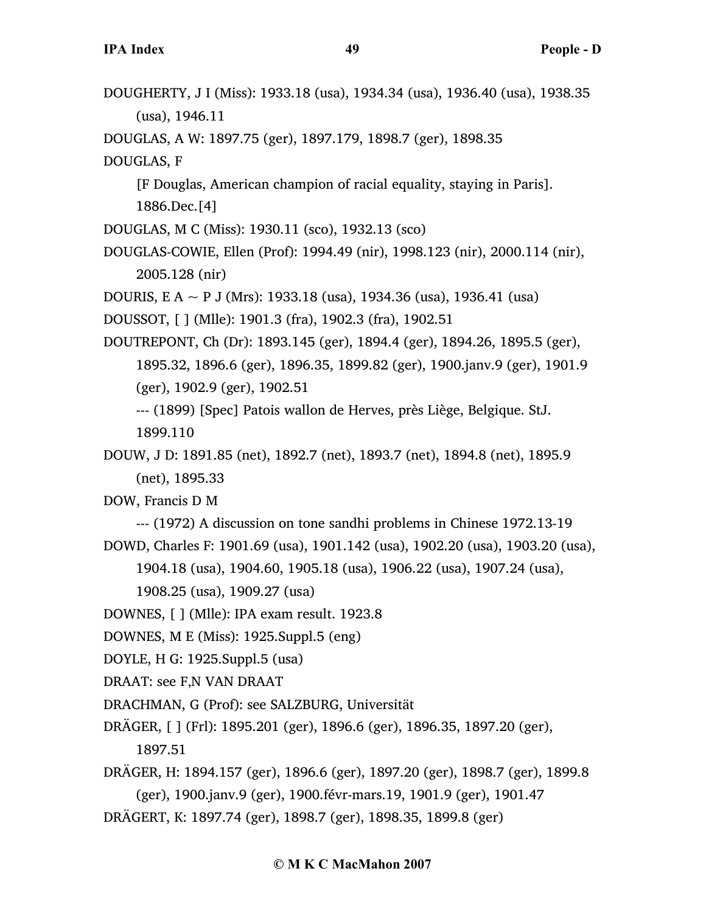DOUGHERTY, J I (Miss): 1933.18 (usa), 1934.34 (usa), 1936.40 (usa), 1938.35 (usa), 1946.11

DOUGLAS, A W: 1897.75 (ger), 1897.179, 1898.7 (ger), 1898.35

DOUGLAS, F

[F Douglas, American champion of racial equality, staying in Paris]. 1886.Dec.[4]

DOUGLAS, M C (Miss): 1930.11 (sco), 1932.13 (sco)

DOUGLAS-COWIE, Ellen (Prof): 1994.49 (nir), 1998.123 (nir), 2000.114 (nir), 2005.128 (nir)

DOURIS, E A  $\sim$  P J (Mrs): 1933.18 (usa), 1934.36 (usa), 1936.41 (usa)

DOUSSOT, [ ] (Mlle): 1901.3 (fra), 1902.3 (fra), 1902.51

DOUTREPONT, Ch (Dr): 1893.145 (ger), 1894.4 (ger), 1894.26, 1895.5 (ger), 1895.32, 1896.6 (ger), 1896.35, 1899.82 (ger), 1900.janv.9 (ger), 1901.9 (ger), 1902.9 (ger), 1902.51 --- (1899) [Spec] Patois wallon de Herves, près Liège, Belgique. StJ.

1899.110

DOUW, J D: 1891.85 (net), 1892.7 (net), 1893.7 (net), 1894.8 (net), 1895.9 (net), 1895.33

DOW, Francis D M

--- (1972) A discussion on tone sandhi problems in Chinese 1972.13-19 DOWD, Charles F: 1901.69 (usa), 1901.142 (usa), 1902.20 (usa), 1903.20 (usa),

1904.18 (usa), 1904.60, 1905.18 (usa), 1906.22 (usa), 1907.24 (usa),

1908.25 (usa), 1909.27 (usa)

DOWNES, [ ] (Mlle): IPA exam result. 1923.8

DOWNES, M E (Miss): 1925.Suppl.5 (eng)

DOYLE, H G: 1925.Suppl.5 (usa)

DRAAT: see F,N VAN DRAAT

DRACHMAN, G (Prof): see SALZBURG, Universität

DRÄGER, [ ] (Frl): 1895.201 (ger), 1896.6 (ger), 1896.35, 1897.20 (ger), 1897.51

DRÄGER, H: 1894.157 (ger), 1896.6 (ger), 1897.20 (ger), 1898.7 (ger), 1899.8 (ger), 1900.janv.9 (ger), 1900.févr-mars.19, 1901.9 (ger), 1901.47

DRÄGERT, K: 1897.74 (ger), 1898.7 (ger), 1898.35, 1899.8 (ger)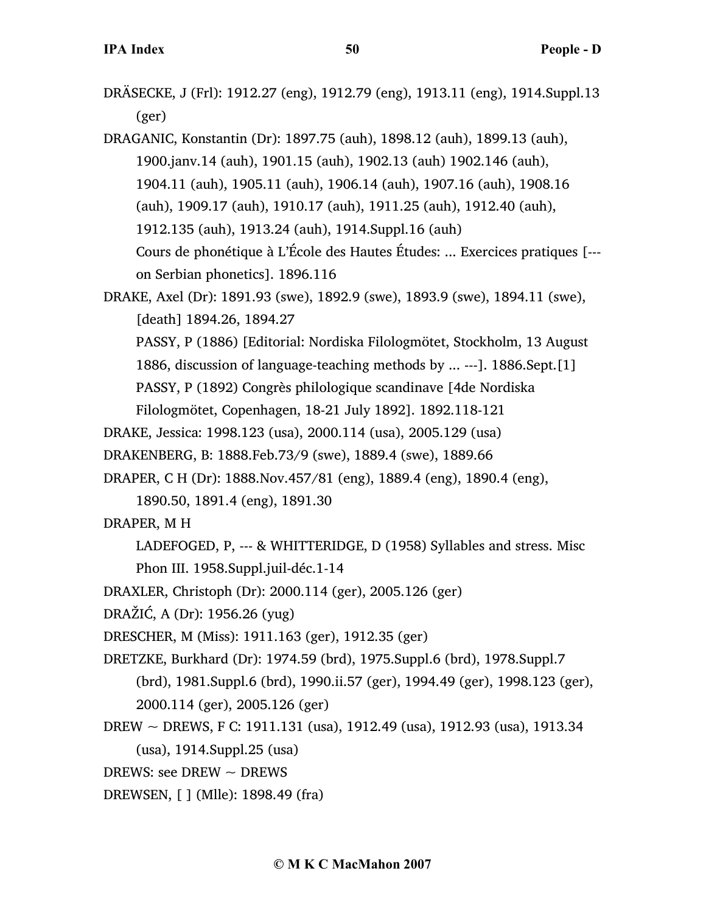DRÄSECKE, J (Frl): 1912.27 (eng), 1912.79 (eng), 1913.11 (eng), 1914.Suppl.13 (ger)

DRAGANIC, Konstantin (Dr): 1897.75 (auh), 1898.12 (auh), 1899.13 (auh), 1900.janv.14 (auh), 1901.15 (auh), 1902.13 (auh) 1902.146 (auh), 1904.11 (auh), 1905.11 (auh), 1906.14 (auh), 1907.16 (auh), 1908.16 (auh), 1909.17 (auh), 1910.17 (auh), 1911.25 (auh), 1912.40 (auh), 1912.135 (auh), 1913.24 (auh), 1914.Suppl.16 (auh) Cours de phonétique à L'École des Hautes Études: ... Exercices pratiques [-- on Serbian phonetics]. 1896.116

- DRAKE, Axel (Dr): 1891.93 (swe), 1892.9 (swe), 1893.9 (swe), 1894.11 (swe), [death] 1894.26, 1894.27
	- PASSY, P (1886) [Editorial: Nordiska Filologmötet, Stockholm, 13 August 1886, discussion of language-teaching methods by ... ---]. 1886.Sept.[1]

PASSY, P (1892) Congrès philologique scandinave [4de Nordiska

Filologmötet, Copenhagen, 18-21 July 1892]. 1892.118-121

DRAKE, Jessica: 1998.123 (usa), 2000.114 (usa), 2005.129 (usa)

- DRAKENBERG, B: 1888.Feb.73/9 (swe), 1889.4 (swe), 1889.66
- DRAPER, C H (Dr): 1888.Nov.457/81 (eng), 1889.4 (eng), 1890.4 (eng),
	- 1890.50, 1891.4 (eng), 1891.30
- DRAPER, M H
	- LADEFOGED, P, --- & WHITTERIDGE, D (1958) Syllables and stress. Misc Phon III. 1958.Suppl.juil-déc.1-14
- DRAXLER, Christoph (Dr): 2000.114 (ger), 2005.126 (ger)
- DRAŽIĆ, A (Dr): 1956.26 (yug)
- DRESCHER, M (Miss): 1911.163 (ger), 1912.35 (ger)
- DRETZKE, Burkhard (Dr): 1974.59 (brd), 1975.Suppl.6 (brd), 1978.Suppl.7 (brd), 1981.Suppl.6 (brd), 1990.ii.57 (ger), 1994.49 (ger), 1998.123 (ger), 2000.114 (ger), 2005.126 (ger)
- DREW ~ DREWS, F C: 1911.131 (usa), 1912.49 (usa), 1912.93 (usa), 1913.34 (usa), 1914.Suppl.25 (usa)
- DREWS: see DREW  $\sim$  DREWS
- DREWSEN, [ ] (Mlle): 1898.49 (fra)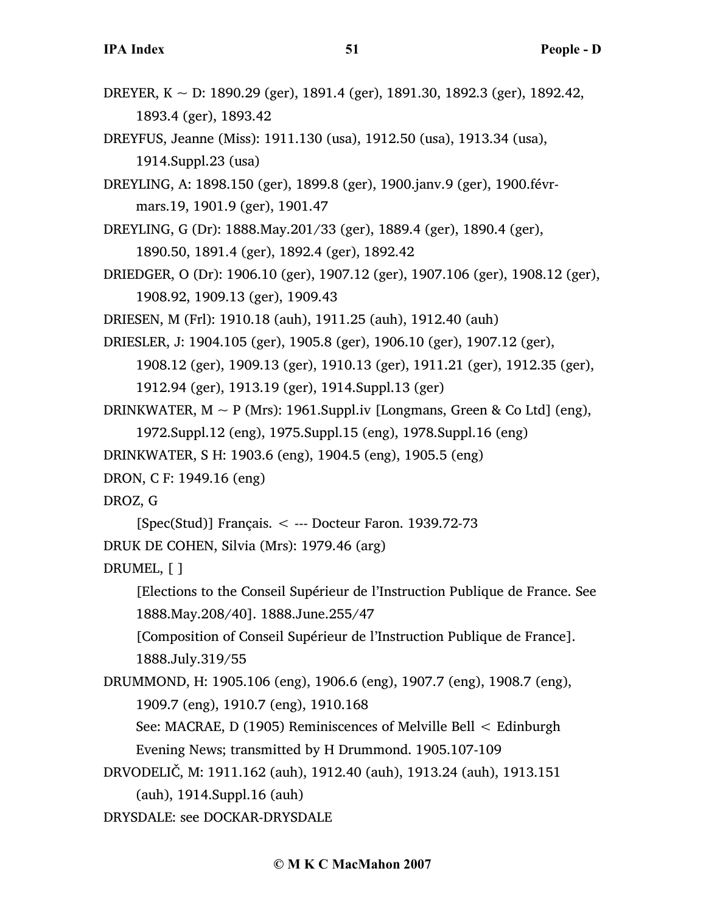- DREYER, K  $\sim$  D: 1890.29 (ger), 1891.4 (ger), 1891.30, 1892.3 (ger), 1892.42, 1893.4 (ger), 1893.42
- DREYFUS, Jeanne (Miss): 1911.130 (usa), 1912.50 (usa), 1913.34 (usa), 1914.Suppl.23 (usa)
- DREYLING, A: 1898.150 (ger), 1899.8 (ger), 1900.janv.9 (ger), 1900.févrmars.19, 1901.9 (ger), 1901.47
- DREYLING, G (Dr): 1888.May.201/33 (ger), 1889.4 (ger), 1890.4 (ger), 1890.50, 1891.4 (ger), 1892.4 (ger), 1892.42
- DRIEDGER, O (Dr): 1906.10 (ger), 1907.12 (ger), 1907.106 (ger), 1908.12 (ger), 1908.92, 1909.13 (ger), 1909.43
- DRIESEN, M (Frl): 1910.18 (auh), 1911.25 (auh), 1912.40 (auh)
- DRIESLER, J: 1904.105 (ger), 1905.8 (ger), 1906.10 (ger), 1907.12 (ger),
	- 1908.12 (ger), 1909.13 (ger), 1910.13 (ger), 1911.21 (ger), 1912.35 (ger),
	- 1912.94 (ger), 1913.19 (ger), 1914.Suppl.13 (ger)
- DRINKWATER,  $M \sim P$  (Mrs): 1961.Suppl.iv [Longmans, Green & Co Ltd] (eng),
	- 1972.Suppl.12 (eng), 1975.Suppl.15 (eng), 1978.Suppl.16 (eng)
- DRINKWATER, S H: 1903.6 (eng), 1904.5 (eng), 1905.5 (eng)
- DRON, C F: 1949.16 (eng)
- DROZ, G
- $[Spec(Stud)]$  Français.  $\lt$  --- Docteur Faron. 1939.72-73
- DRUK DE COHEN, Silvia (Mrs): 1979.46 (arg)
- DRUMEL, [ ]
	- [Elections to the Conseil Supérieur de l'Instruction Publique de France. See 1888.May.208/40]. 1888.June.255/47
	- [Composition of Conseil Supérieur de l'Instruction Publique de France]. 1888.July.319/55
- DRUMMOND, H: 1905.106 (eng), 1906.6 (eng), 1907.7 (eng), 1908.7 (eng), 1909.7 (eng), 1910.7 (eng), 1910.168
	- See: MACRAE, D (1905) Reminiscences of Melville Bell < Edinburgh Evening News; transmitted by H Drummond. 1905.107-109
- DRVODELIČ, M: 1911.162 (auh), 1912.40 (auh), 1913.24 (auh), 1913.151 (auh), 1914.Suppl.16 (auh)
- DRYSDALE: see DOCKAR-DRYSDALE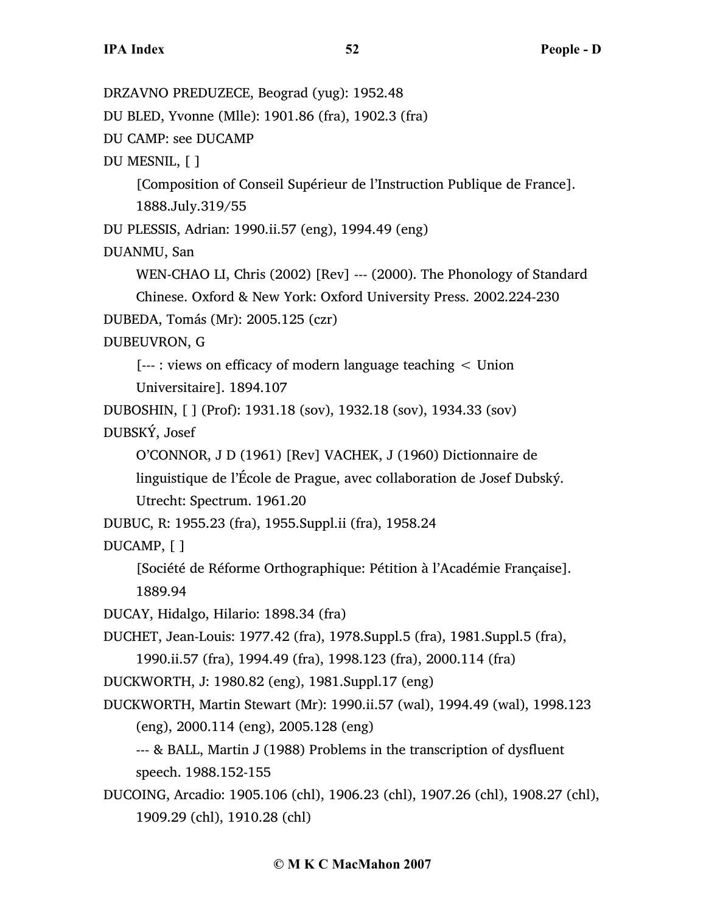DRZAVNO PREDUZECE, Beograd (yug): 1952.48 DU BLED, Yvonne (Mlle): 1901.86 (fra), 1902.3 (fra) DU CAMP: see DUCAMP DU MESNIL, [ ] [Composition of Conseil Supérieur de l'Instruction Publique de France]. 1888.July.319/55 DU PLESSIS, Adrian: 1990.ii.57 (eng), 1994.49 (eng) DUANMU, San WEN-CHAO LI, Chris (2002) [Rev] --- (2000). The Phonology of Standard Chinese. Oxford & New York: Oxford University Press. 2002.224-230 DUBEDA, Tomás (Mr): 2005.125 (czr) DUBEUVRON, G [--- : views on efficacy of modern language teaching < Union Universitaire]. 1894.107 DUBOSHIN, [ ] (Prof): 1931.18 (sov), 1932.18 (sov), 1934.33 (sov) DUBSKÝ, Josef O'CONNOR, J D (1961) [Rev] VACHEK, J (1960) Dictionnaire de linguistique de l'École de Prague, avec collaboration de Josef Dubský. Utrecht: Spectrum. 1961.20 DUBUC, R: 1955.23 (fra), 1955.Suppl.ii (fra), 1958.24 DUCAMP, [ ] [Société de Réforme Orthographique: Pétition à l'Académie Française]. 1889.94 DUCAY, Hidalgo, Hilario: 1898.34 (fra) DUCHET, Jean-Louis: 1977.42 (fra), 1978.Suppl.5 (fra), 1981.Suppl.5 (fra), 1990.ii.57 (fra), 1994.49 (fra), 1998.123 (fra), 2000.114 (fra) DUCKWORTH, J: 1980.82 (eng), 1981.Suppl.17 (eng) DUCKWORTH, Martin Stewart (Mr): 1990.ii.57 (wal), 1994.49 (wal), 1998.123 (eng), 2000.114 (eng), 2005.128 (eng) --- & BALL, Martin J (1988) Problems in the transcription of dysfluent speech. 1988.152-155 DUCOING, Arcadio: 1905.106 (chl), 1906.23 (chl), 1907.26 (chl), 1908.27 (chl), 1909.29 (chl), 1910.28 (chl)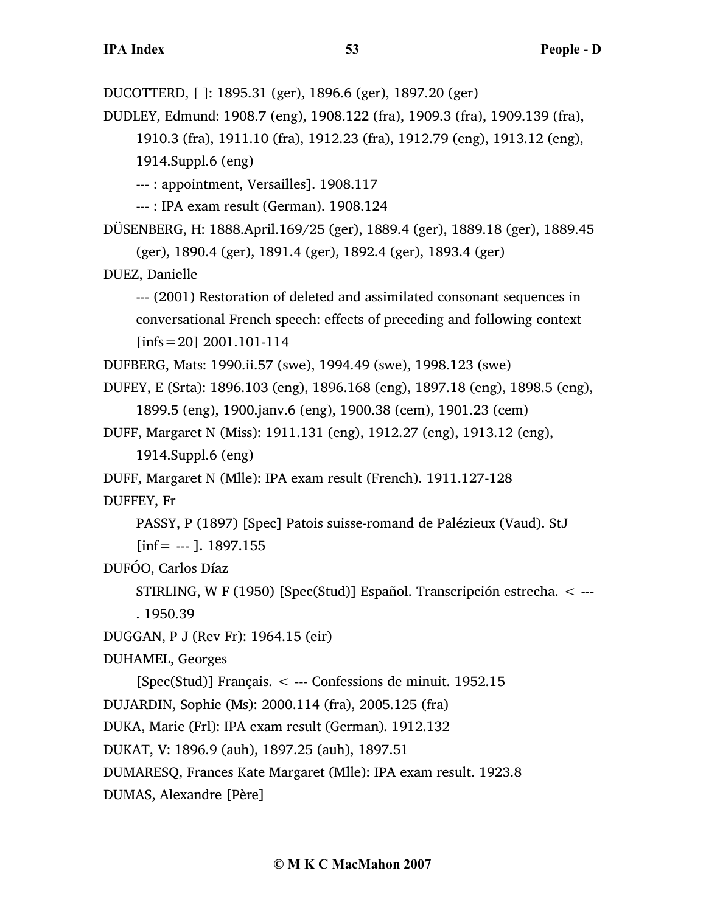DUCOTTERD, [ ]: 1895.31 (ger), 1896.6 (ger), 1897.20 (ger)

DUDLEY, Edmund: 1908.7 (eng), 1908.122 (fra), 1909.3 (fra), 1909.139 (fra), 1910.3 (fra), 1911.10 (fra), 1912.23 (fra), 1912.79 (eng), 1913.12 (eng), 1914.Suppl.6 (eng)

--- : appointment, Versailles]. 1908.117

--- : IPA exam result (German). 1908.124

DÜSENBERG, H: 1888.April.169/25 (ger), 1889.4 (ger), 1889.18 (ger), 1889.45 (ger), 1890.4 (ger), 1891.4 (ger), 1892.4 (ger), 1893.4 (ger)

DUEZ, Danielle

--- (2001) Restoration of deleted and assimilated consonant sequences in conversational French speech: effects of preceding and following context  $[infs=20]$  2001.101-114

DUFBERG, Mats: 1990.ii.57 (swe), 1994.49 (swe), 1998.123 (swe)

DUFEY, E (Srta): 1896.103 (eng), 1896.168 (eng), 1897.18 (eng), 1898.5 (eng), 1899.5 (eng), 1900.janv.6 (eng), 1900.38 (cem), 1901.23 (cem)

DUFF, Margaret N (Miss): 1911.131 (eng), 1912.27 (eng), 1913.12 (eng),

1914.Suppl.6 (eng)

DUFF, Margaret N (Mlle): IPA exam result (French). 1911.127-128

DUFFEY, Fr

PASSY, P (1897) [Spec] Patois suisse-romand de Palézieux (Vaud). StJ

 $[inf = -1$ . 1897.155

DUFÓO, Carlos Díaz

STIRLING, W F (1950) [Spec(Stud)] Español. Transcripción estrecha. < --- . 1950.39

DUGGAN, P J (Rev Fr): 1964.15 (eir)

DUHAMEL, Georges

[Spec(Stud)] Français. < --- Confessions de minuit. 1952.15

DUJARDIN, Sophie (Ms): 2000.114 (fra), 2005.125 (fra)

DUKA, Marie (Frl): IPA exam result (German). 1912.132

DUKAT, V: 1896.9 (auh), 1897.25 (auh), 1897.51

DUMARESQ, Frances Kate Margaret (Mlle): IPA exam result. 1923.8

DUMAS, Alexandre [Père]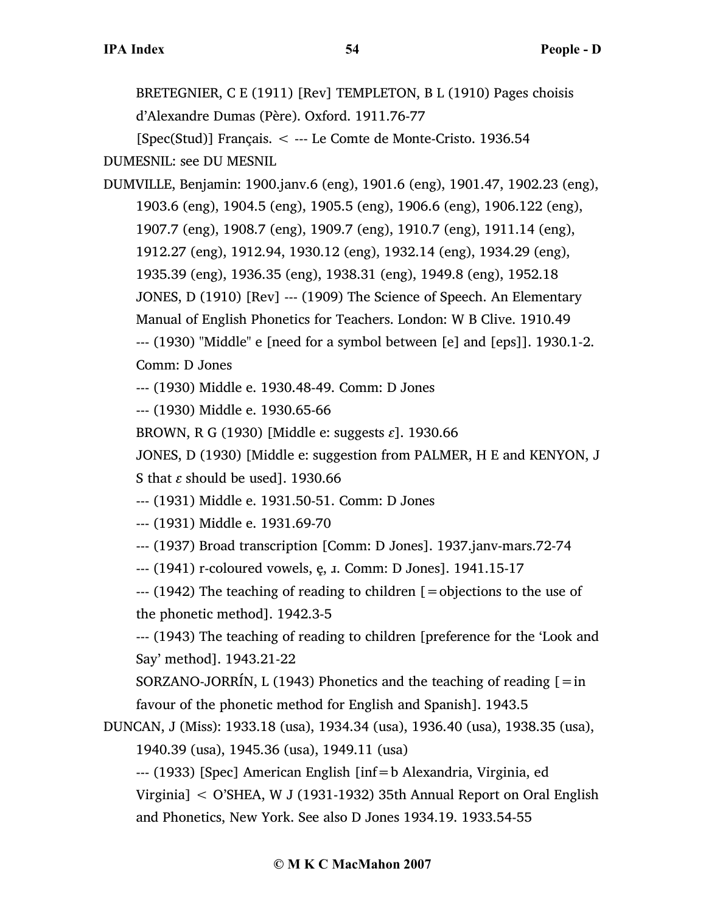BRETEGNIER, C E (1911) [Rev] TEMPLETON, B L (1910) Pages choisis d'Alexandre Dumas (Père). Oxford. 1911.76-77

[Spec(Stud)] Français. < --- Le Comte de Monte-Cristo. 1936.54 DUMESNIL: see DU MESNIL

DUMVILLE, Benjamin: 1900.janv.6 (eng), 1901.6 (eng), 1901.47, 1902.23 (eng), 1903.6 (eng), 1904.5 (eng), 1905.5 (eng), 1906.6 (eng), 1906.122 (eng), 1907.7 (eng), 1908.7 (eng), 1909.7 (eng), 1910.7 (eng), 1911.14 (eng), 1912.27 (eng), 1912.94, 1930.12 (eng), 1932.14 (eng), 1934.29 (eng), 1935.39 (eng), 1936.35 (eng), 1938.31 (eng), 1949.8 (eng), 1952.18 JONES, D (1910) [Rev] --- (1909) The Science of Speech. An Elementary Manual of English Phonetics for Teachers. London: W B Clive. 1910.49 --- (1930) "Middle" e [need for a symbol between [e] and [eps]]. 1930.1-2. Comm: D Jones

--- (1930) Middle e. 1930.48-49. Comm: D Jones

--- (1930) Middle e. 1930.65-66

BROWN, R G (1930) [Middle e: suggests *ɛ*]. 1930.66

JONES, D (1930) [Middle e: suggestion from PALMER, H E and KENYON, J S that *ɛ* should be used]. 1930.66

--- (1931) Middle e. 1931.50-51. Comm: D Jones

--- (1931) Middle e. 1931.69-70

--- (1937) Broad transcription [Comm: D Jones]. 1937.janv-mars.72-74

--- (1941) r-coloured vowels, ę, *I*. Comm: D Jones]. 1941.15-17

--- (1942) The teaching of reading to children [=objections to the use of the phonetic method]. 1942.3-5

--- (1943) The teaching of reading to children [preference for the 'Look and Say' method]. 1943.21-22

SORZANO-JORRÍN, L (1943) Phonetics and the teaching of reading  $\mathbf{I} = \text{in}$ favour of the phonetic method for English and Spanish]. 1943.5

DUNCAN, J (Miss): 1933.18 (usa), 1934.34 (usa), 1936.40 (usa), 1938.35 (usa), 1940.39 (usa), 1945.36 (usa), 1949.11 (usa)

--- (1933) [Spec] American English [inf=b Alexandria, Virginia, ed Virginia] < O'SHEA, W J (1931-1932) 35th Annual Report on Oral English and Phonetics, New York. See also D Jones 1934.19. 1933.54-55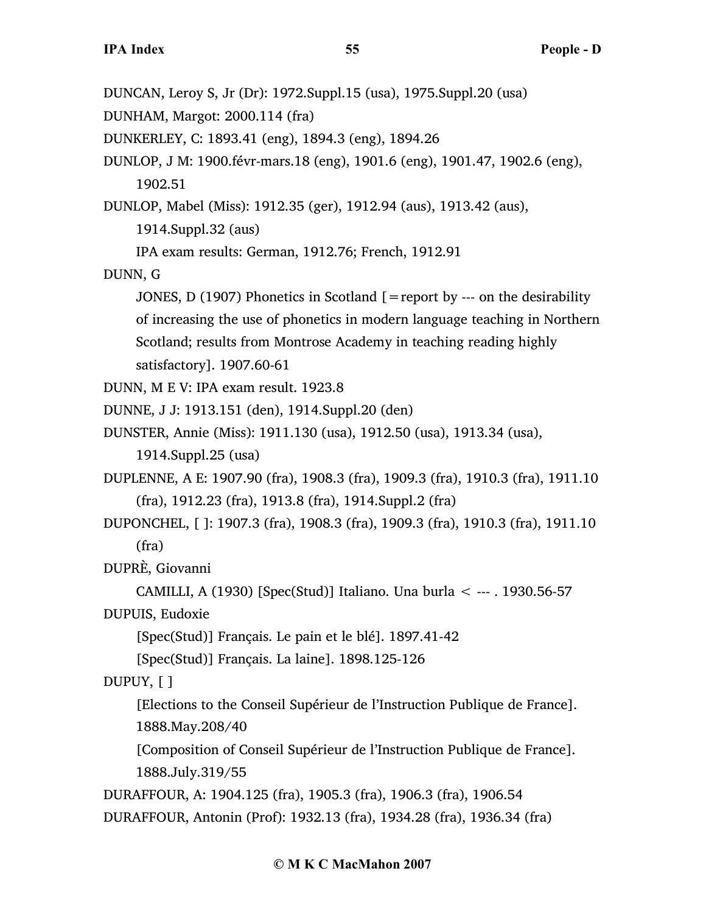DUNCAN, Leroy S, Jr (Dr): 1972.Suppl.15 (usa), 1975.Suppl.20 (usa) DUNHAM, Margot: 2000.114 (fra) DUNKERLEY, C: 1893.41 (eng), 1894.3 (eng), 1894.26 DUNLOP, J M: 1900.févr-mars.18 (eng), 1901.6 (eng), 1901.47, 1902.6 (eng), 1902.51 DUNLOP, Mabel (Miss): 1912.35 (ger), 1912.94 (aus), 1913.42 (aus), 1914.Suppl.32 (aus) IPA exam results: German, 1912.76; French, 1912.91 DUNN, G JONES, D (1907) Phonetics in Scotland  $\mathcal{I}$  = report by --- on the desirability of increasing the use of phonetics in modern language teaching in Northern Scotland; results from Montrose Academy in teaching reading highly satisfactory]. 1907.60-61 DUNN, M E V: IPA exam result. 1923.8 DUNNE, J J: 1913.151 (den), 1914.Suppl.20 (den) DUNSTER, Annie (Miss): 1911.130 (usa), 1912.50 (usa), 1913.34 (usa), 1914.Suppl.25 (usa) DUPLENNE, A E: 1907.90 (fra), 1908.3 (fra), 1909.3 (fra), 1910.3 (fra), 1911.10 (fra), 1912.23 (fra), 1913.8 (fra), 1914.Suppl.2 (fra) DUPONCHEL, [ ]: 1907.3 (fra), 1908.3 (fra), 1909.3 (fra), 1910.3 (fra), 1911.10 (fra) DUPRÈ, Giovanni CAMILLI, A (1930) [Spec(Stud)] Italiano. Una burla  $\lt$  --- . 1930.56-57 DUPUIS, Eudoxie [Spec(Stud)] Français. Le pain et le blé]. 1897.41-42 [Spec(Stud)] Français. La laine]. 1898.125-126 DUPUY, [ ] [Elections to the Conseil Supérieur de l'Instruction Publique de France]. 1888.May.208/40 [Composition of Conseil Supérieur de l'Instruction Publique de France]. 1888.July.319/55 DURAFFOUR, A: 1904.125 (fra), 1905.3 (fra), 1906.3 (fra), 1906.54

DURAFFOUR, Antonin (Prof): 1932.13 (fra), 1934.28 (fra), 1936.34 (fra)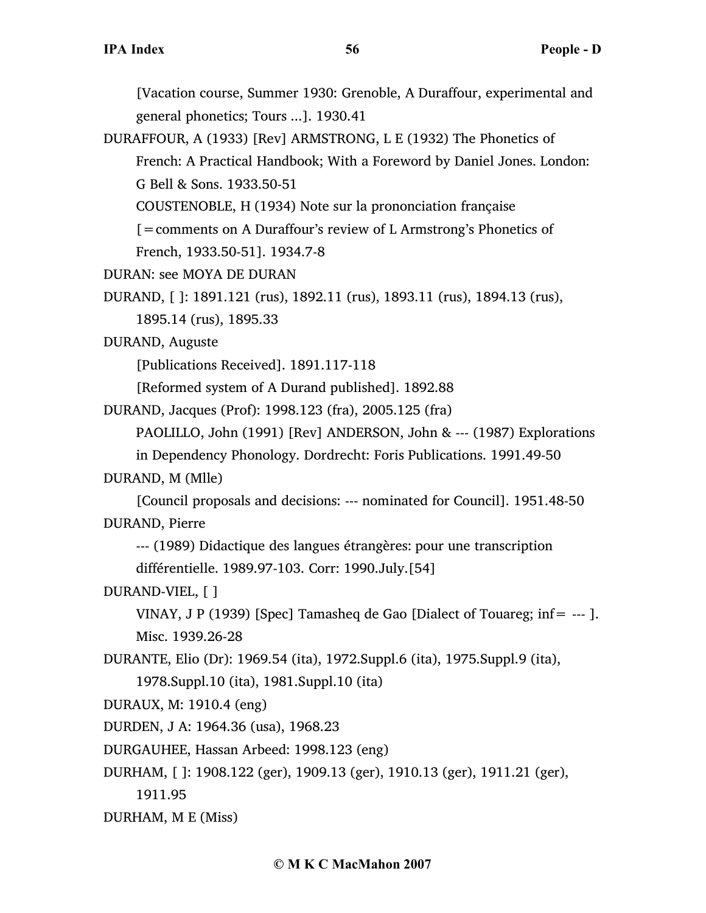[Vacation course, Summer 1930: Grenoble, A Duraffour, experimental and general phonetics; Tours ...]. 1930.41

DURAFFOUR, A (1933) [Rev] ARMSTRONG, L E (1932) The Phonetics of French: A Practical Handbook; With a Foreword by Daniel Jones. London: G Bell & Sons. 1933.50-51

COUSTENOBLE, H (1934) Note sur la prononciation française

[=comments on A Duraffour's review of L Armstrong's Phonetics of

French, 1933.50-51]. 1934.7-8

DURAN: see MOYA DE DURAN

```
DURAND, [ ]: 1891.121 (rus), 1892.11 (rus), 1893.11 (rus), 1894.13 (rus),
```
1895.14 (rus), 1895.33

DURAND, Auguste

[Publications Received]. 1891.117-118

[Reformed system of A Durand published]. 1892.88

DURAND, Jacques (Prof): 1998.123 (fra), 2005.125 (fra)

PAOLILLO, John (1991) [Rev] ANDERSON, John & --- (1987) Explorations

in Dependency Phonology. Dordrecht: Foris Publications. 1991.49-50

## DURAND, M (Mlle)

[Council proposals and decisions: --- nominated for Council]. 1951.48-50 DURAND, Pierre

--- (1989) Didactique des langues étrangères: pour une transcription différentielle. 1989.97-103. Corr: 1990.July.[54]

## DURAND-VIEL, [ ]

VINAY, J P (1939) [Spec] Tamasheq de Gao [Dialect of Touareg; inf=  $---$  ]. Misc. 1939.26-28

DURANTE, Elio (Dr): 1969.54 (ita), 1972.Suppl.6 (ita), 1975.Suppl.9 (ita), 1978.Suppl.10 (ita), 1981.Suppl.10 (ita)

DURAUX, M: 1910.4 (eng)

DURDEN, J A: 1964.36 (usa), 1968.23

DURGAUHEE, Hassan Arbeed: 1998.123 (eng)

DURHAM, [ ]: 1908.122 (ger), 1909.13 (ger), 1910.13 (ger), 1911.21 (ger), 1911.95

DURHAM, M E (Miss)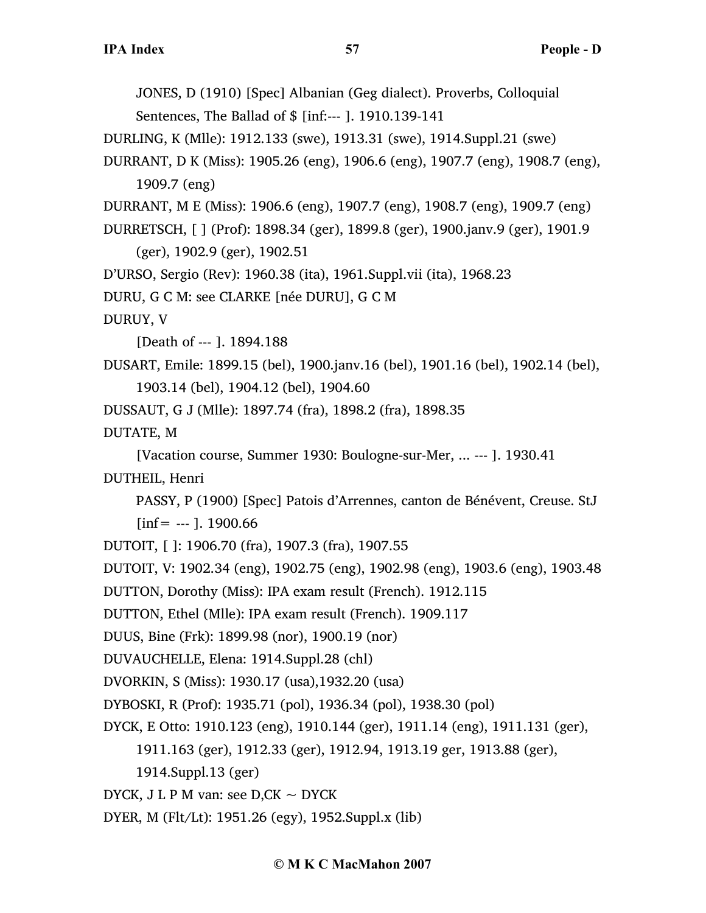JONES, D (1910) [Spec] Albanian (Geg dialect). Proverbs, Colloquial Sentences, The Ballad of \$ [inf:--- ]. 1910.139-141

DURLING, K (Mlle): 1912.133 (swe), 1913.31 (swe), 1914.Suppl.21 (swe)

DURRANT, D K (Miss): 1905.26 (eng), 1906.6 (eng), 1907.7 (eng), 1908.7 (eng), 1909.7 (eng)

DURRANT, M E (Miss): 1906.6 (eng), 1907.7 (eng), 1908.7 (eng), 1909.7 (eng)

DURRETSCH, [ ] (Prof): 1898.34 (ger), 1899.8 (ger), 1900.janv.9 (ger), 1901.9 (ger), 1902.9 (ger), 1902.51

D'URSO, Sergio (Rev): 1960.38 (ita), 1961.Suppl.vii (ita), 1968.23

DURU, G C M: see CLARKE [née DURU], G C M

DURUY, V

[Death of --- ]. 1894.188

DUSART, Emile: 1899.15 (bel), 1900.janv.16 (bel), 1901.16 (bel), 1902.14 (bel), 1903.14 (bel), 1904.12 (bel), 1904.60

DUSSAUT, G J (Mlle): 1897.74 (fra), 1898.2 (fra), 1898.35

DUTATE, M

[Vacation course, Summer 1930: Boulogne-sur-Mer, ... --- ]. 1930.41 DUTHEIL, Henri

PASSY, P (1900) [Spec] Patois d'Arrennes, canton de Bénévent, Creuse. StJ

 $[inf = -1]$ . 1900.66

DUTOIT, [ ]: 1906.70 (fra), 1907.3 (fra), 1907.55

DUTOIT, V: 1902.34 (eng), 1902.75 (eng), 1902.98 (eng), 1903.6 (eng), 1903.48

DUTTON, Dorothy (Miss): IPA exam result (French). 1912.115

DUTTON, Ethel (Mlle): IPA exam result (French). 1909.117

DUUS, Bine (Frk): 1899.98 (nor), 1900.19 (nor)

DUVAUCHELLE, Elena: 1914.Suppl.28 (chl)

DVORKIN, S (Miss): 1930.17 (usa),1932.20 (usa)

DYBOSKI, R (Prof): 1935.71 (pol), 1936.34 (pol), 1938.30 (pol)

DYCK, E Otto: 1910.123 (eng), 1910.144 (ger), 1911.14 (eng), 1911.131 (ger),

1911.163 (ger), 1912.33 (ger), 1912.94, 1913.19 ger, 1913.88 (ger),

1914.Suppl.13 (ger)

DYCK, J L P M van: see  $D,CK \sim DYCK$ 

DYER, M (Flt/Lt): 1951.26 (egy), 1952.Suppl.x (lib)